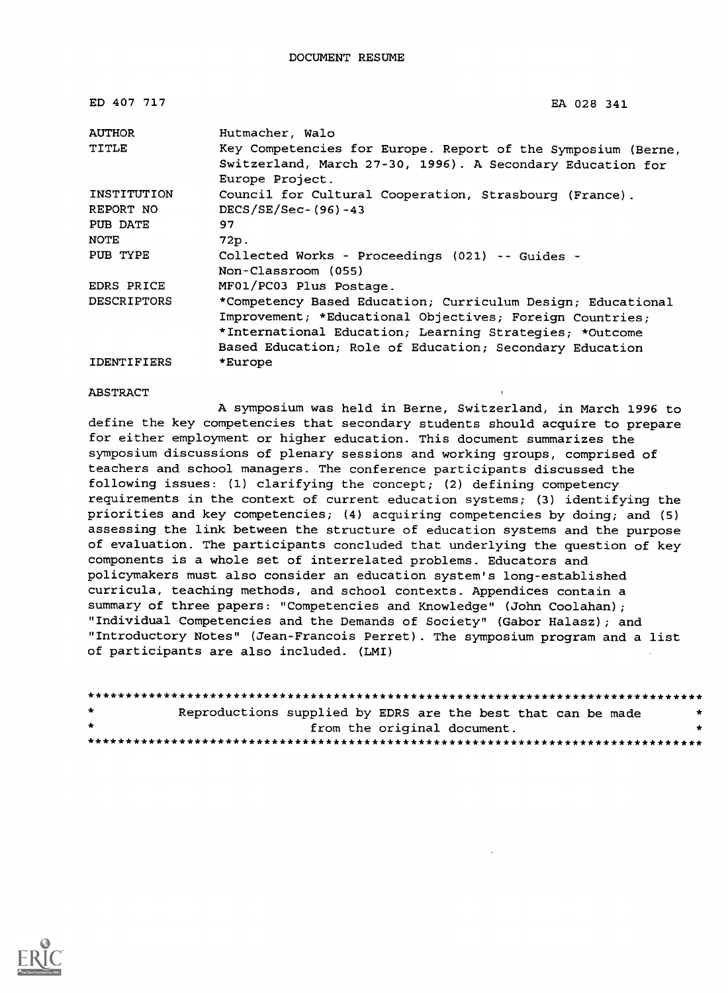| ED 407 717         | EA 028 341                                                                                                                                                                                                                                    |
|--------------------|-----------------------------------------------------------------------------------------------------------------------------------------------------------------------------------------------------------------------------------------------|
| <b>AUTHOR</b>      | Hutmacher, Walo                                                                                                                                                                                                                               |
| TITLE              | Key Competencies for Europe. Report of the Symposium (Berne,<br>Switzerland, March 27-30, 1996). A Secondary Education for<br>Europe Project.                                                                                                 |
| INSTITUTION        | Council for Cultural Cooperation, Strasbourg (France).                                                                                                                                                                                        |
| REPORT NO          | DECS/SE/Sec-(96)-43                                                                                                                                                                                                                           |
| PUB DATE           | 97                                                                                                                                                                                                                                            |
| <b>NOTE</b>        | 72p.                                                                                                                                                                                                                                          |
| PUB TYPE           | Collected Works - Proceedings (021) -- Guides -<br>Non-Classroom (055)                                                                                                                                                                        |
| <b>EDRS PRICE</b>  | MF01/PC03 Plus Postage.                                                                                                                                                                                                                       |
| <b>DESCRIPTORS</b> | *Competency Based Education; Curriculum Design; Educational<br>Improvement; *Educational Objectives; Foreign Countries;<br>*International Education; Learning Strategies; *Outcome<br>Based Education; Role of Education; Secondary Education |
| <b>IDENTIFIERS</b> | *Europe                                                                                                                                                                                                                                       |

#### ABSTRACT

A symposium was held in Berne, Switzerland, in March 1996 to define the key competencies that secondary students should acquire to prepare for either employment or higher education. This document summarizes the symposium discussions of plenary sessions and working groups, comprised of teachers and school managers. The conference participants discussed the following issues: (1) clarifying the concept; (2) defining competency requirements in the context of current education systems; (3) identifying the priorities and key competencies; (4) acquiring competencies by doing; and (5) assessing the link between the structure of education systems and the purpose of evaluation. The participants concluded that underlying the question of key components is a whole set of interrelated problems. Educators and policymakers must also consider an education system's long-established curricula, teaching methods, and school contexts. Appendices contain a summary of three papers: "Competencies and Knowledge" (John Coolahan); "Individual Competencies and the Demands of Society" (Gabor Halasz); and "Introductory Notes" (Jean-Francois Perret). The symposium program and a list of participants are also included. (LMI)

| $\mathbf{r}$ | Reproductions supplied by EDRS are the best that can be made |  |                             |  | $\rightarrow$ |
|--------------|--------------------------------------------------------------|--|-----------------------------|--|---------------|
| $\star$      |                                                              |  | from the original document. |  | -             |
|              |                                                              |  |                             |  |               |

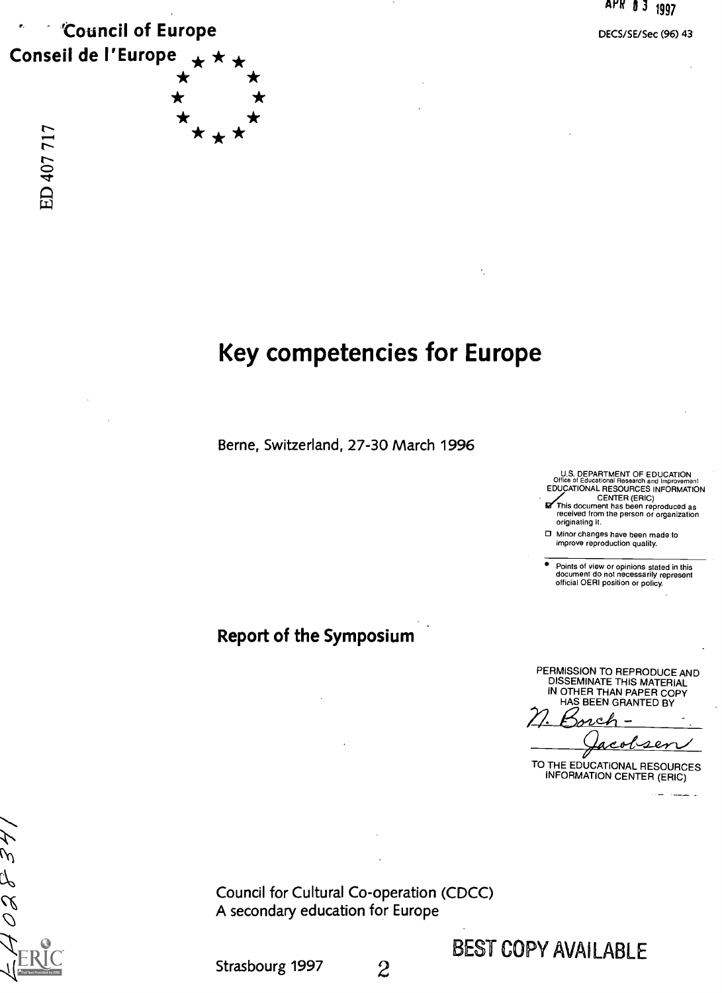

DECS/SE/Sec (96) 43

# Key competencies for Europe

Berne, Switzerland, 27-30 March 1996

U.S. DEPARTMENT OF EDUCATION<br>Office of Educational Research and Improveme

Office of Educational Research and Improvement<br>EDUCATIONAL RESOURCES INFORMATION<br>This document has been reproduced as<br>received from the person or organization originating it.

Minor changes have been made to improve reproduction quality.

° Points of view or opinions stated in this document do not necessarily represent official OERI position or policy.

Report of the Symposium

PERMISSION TO REPRODUCE AND DISSEMINATE THIS MATERIAL IN OTHER THAN PAPER COPY HAS BEEN GRANTED BY

 $\epsilon$ 

TO THE EDUCATIONAL RESOURCES INFORMATION CENTER (ERIC)

Council for Cultural Co-operation (CDCC) A secondary education for Europe

BEST COPY AVAILABLE

Strasbourg 1997 2

 $\alpha$  $\overline{\mathcal{O}}$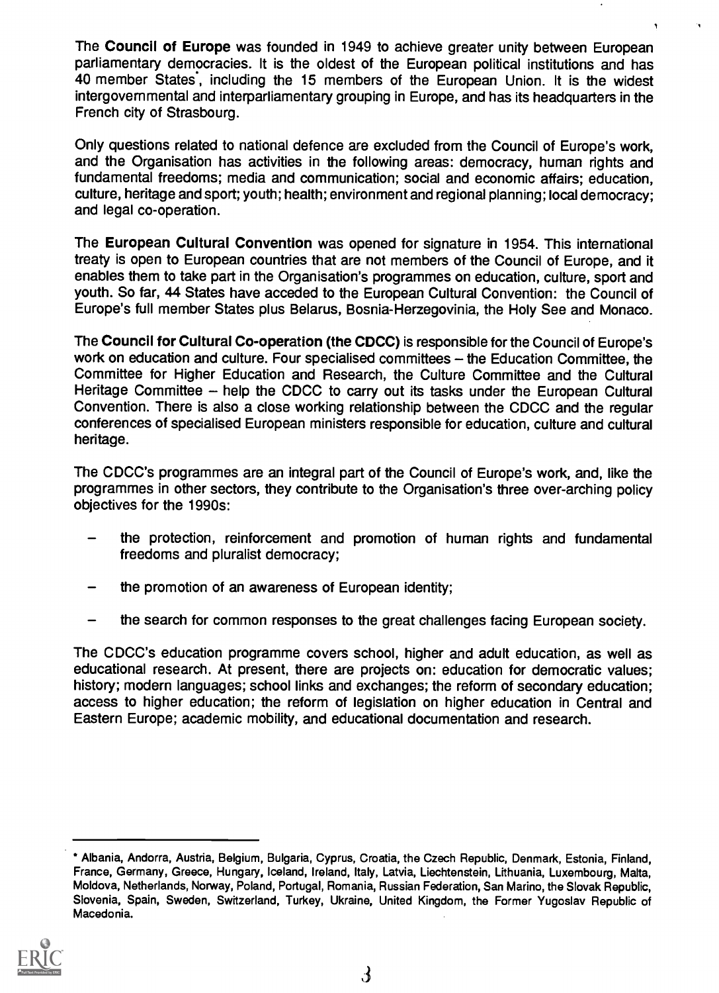The Council of Europe was founded in 1949 to achieve greater unity between European parliamentary democracies. It is the oldest of the European political institutions and has 40 member States , including the 15 members of the European Union. It is the widest intergovernmental and interparliamentary grouping in Europe, and has its headquarters in the French city of Strasbourg.

Only questions related to national defence are excluded from the Council of Europe's work, and the Organisation has activities in the following areas: democracy, human rights and fundamental freedoms; media and communication; social and economic affairs; education, culture, heritage and sport; youth; health; environment and regional planning; local democracy; and legal co-operation.

The European Cultural Convention was opened for signature in 1954. This international treaty is open to European countries that are not members of the Council of Europe, and it enables them to take part in the Organisation's programmes on education, culture, sport and youth. So far, 44 States have acceded to the European Cultural Convention: the Council of Europe's full member States plus Belarus, Bosnia-Herzegovinia, the Holy See and Monaco.

The Council for Cultural Co-operation (the CDCC) is responsible for the Council of Europe's work on education and culture. Four specialised committees - the Education Committee, the Committee for Higher Education and Research, the Culture Committee and the Cultural Heritage Committee – help the CDCC to carry out its tasks under the European Cultural Convention. There is also a close working relationship between the CDCC and the regular conferences of specialised European ministers responsible for education, culture and cultural heritage.

The CDCC's programmes are an integral part of the Council of Europe's work, and, like the programmes in other sectors, they contribute to the Organisation's three over-arching policy objectives for the 1990s:

- the protection, reinforcement and promotion of human rights and fundamental freedoms and pluralist democracy;
- the promotion of an awareness of European identity;
- the search for common responses to the great challenges facing European society.  $\qquad \qquad -$

The CDCC's education programme covers school, higher and adult education, as well as educational research. At present, there are projects on: education for democratic values; history; modern languages; school links and exchanges; the reform of secondary education; access to higher education; the reform of legislation on higher education in Central and Eastern Europe; academic mobility, and educational documentation and research.

Albania, Andorra, Austria, Belgium, Bulgaria, Cyprus, Croatia, the Czech Republic, Denmark, Estonia, Finland, France, Germany, Greece, Hungary, Iceland, Ireland, Italy, Latvia, Liechtenstein, Lithuania, Luxembourg, Malta, Moldova, Netherlands, Norway, Poland, Portugal, Romania, Russian Federation, San Marino, the Slovak Republic, Slovenia, Spain, Sweden, Switzerland, Turkey, Ukraine, United Kingdom, the Former Yugoslav Republic of Macedonia.

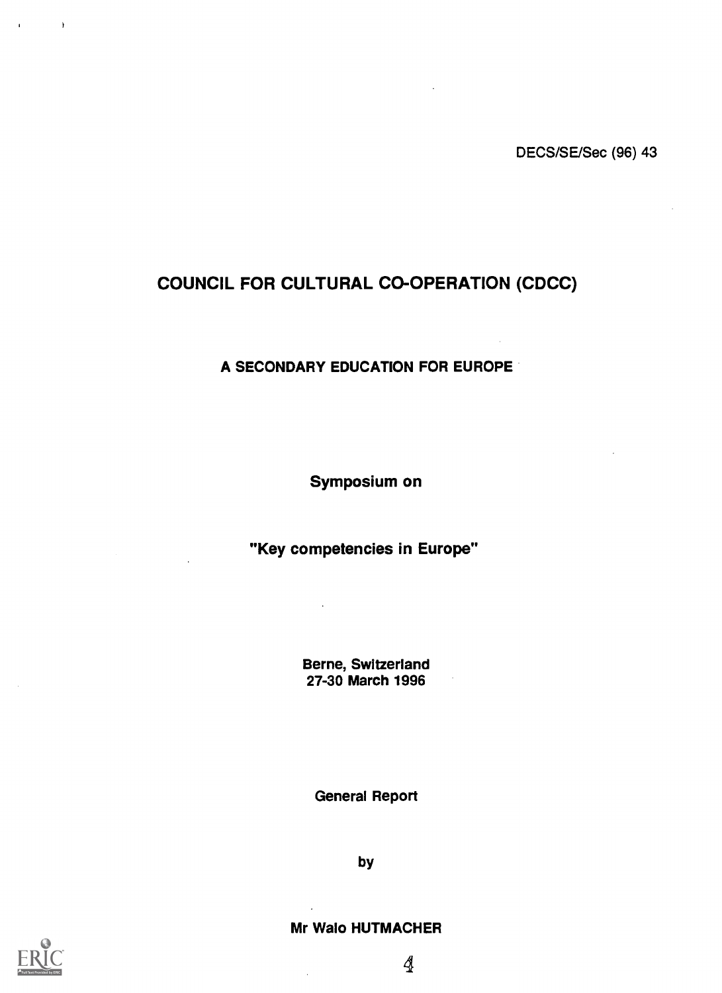## COUNCIL FOR CULTURAL CO-OPERATION (CDCC)

#### A SECONDARY EDUCATION FOR EUROPE

Symposium on

"Key competencies in Europe"

Berne, Switzerland 27-30 March 1996

General Report

by

Mr Walo HUTMACHER



 $\bar{1}$ 

 $\mathbf{r}$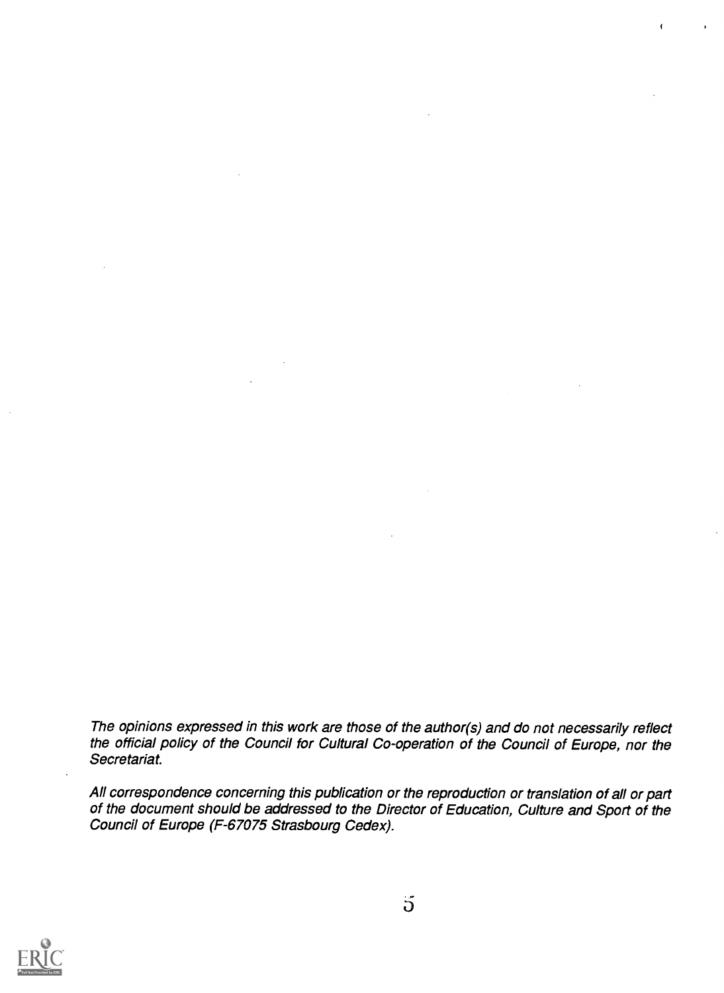The opinions expressed in this work are those of the author(s) and do not necessarily reflect the official policy of the Council for Cultural Co-operation of the Council of Europe, nor the Secretariat.

All correspondence concerning this publication or the reproduction or translation of all or part of the document should be addressed to the Director of Education, Culture and Sport of the Council of Europe (F-67075 Strasbourg Cedex).

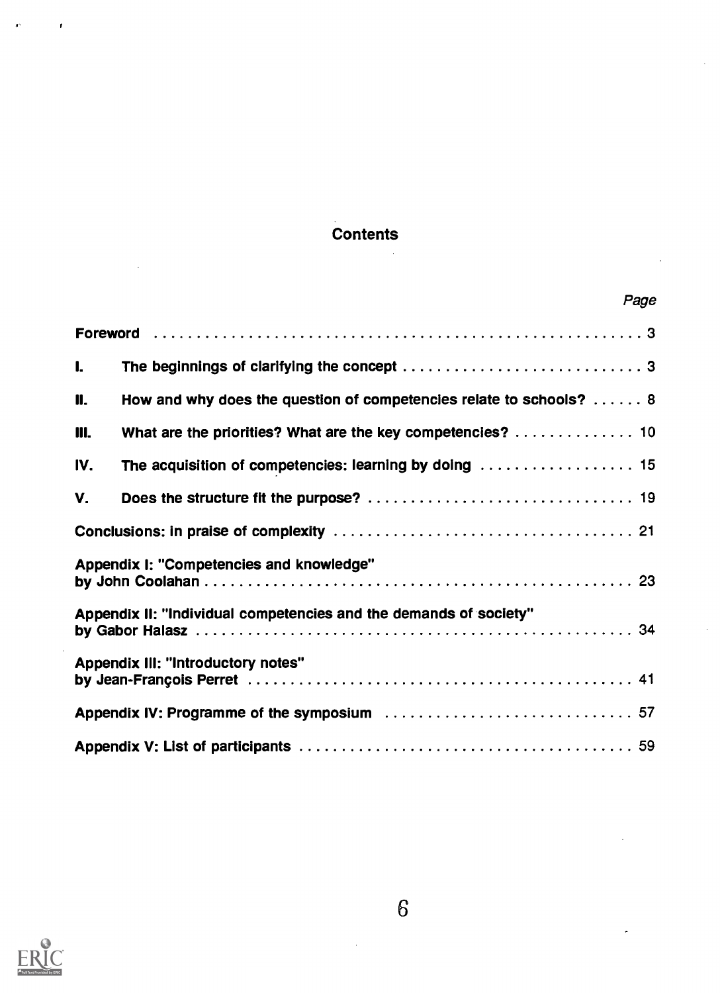## **Contents**

|                                           |                                                                     | Page |
|-------------------------------------------|---------------------------------------------------------------------|------|
|                                           |                                                                     |      |
| $\mathbf{L}$                              |                                                                     |      |
| 11.                                       | How and why does the question of competencies relate to schools?  8 |      |
| 111.                                      | What are the priorities? What are the key competencies?  10         |      |
| IV.                                       |                                                                     |      |
| V.                                        |                                                                     |      |
|                                           |                                                                     |      |
|                                           | Appendix I: "Competencies and knowledge"                            |      |
|                                           | Appendix II: "Individual competencies and the demands of society"   |      |
| <b>Appendix III: "Introductory notes"</b> |                                                                     |      |
|                                           |                                                                     |      |
|                                           |                                                                     |      |



J.

ŕ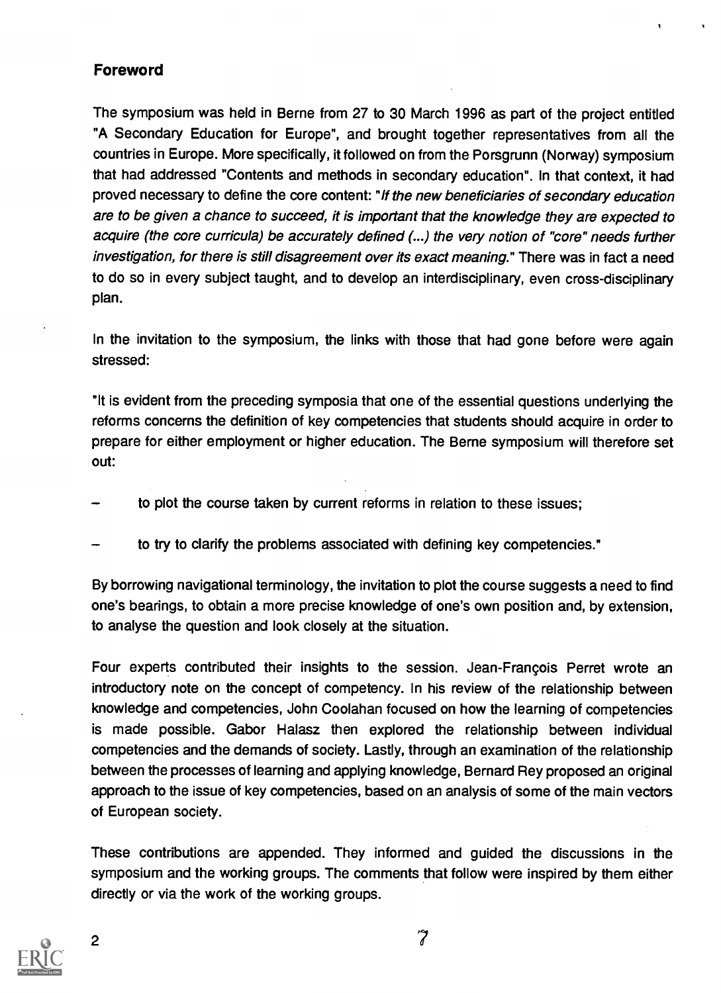## Foreword

The symposium was held in Berne from 27 to 30 March 1996 as part of the project entitled "A Secondary Education for Europe", and brought together representatives from all the countries in Europe. More specifically, it followed on from the Porsgrunn (Norway) symposium that had addressed "Contents and methods in secondary education". In that context, it had proved necessary to define the core content: "If the new beneficiaries of secondary education are to be given a chance to succeed, it is important that the knowledge they are expected to acquire (the core curricula) be accurately defined (...) the very notion of "core" needs further investigation, for there is still disagreement over its exact meaning." There was in fact a need to do so in every subject taught, and to develop an interdisciplinary, even cross-disciplinary plan.

In the invitation to the symposium, the links with those that had gone before were again stressed:

"It is evident from the preceding symposia that one of the essential questions underlying the reforms concerns the definition of key competencies that students should acquire in order to prepare for either employment or higher education. The Berne symposium will therefore set out:

- to plot the course taken by current reforms in relation to these issues;
- to try to clarify the problems associated with defining key competencies."

By borrowing navigational terminology, the invitation to plot the course suggests a need to find one's bearings, to obtain a more precise knowledge of one's own position and, by extension, to analyse the question and look closely at the situation.

Four experts contributed their insights to the session. Jean-Francois Perret wrote an introductory note on the concept of competency. In his review of the relationship between knowledge and competencies, John Coolahan focused on how the learning of competencies is made possible. Gabor Halasz then explored the relationship between individual competencies and the demands of society. Lastly, through an examination of the relationship between the processes of learning and applying knowledge, Bernard Rey proposed an original approach to the issue of key competencies, based on an analysis of some of the main vectors of European society.

These contributions are appended. They informed and guided the discussions in the symposium and the working groups. The comments that follow were inspired by them either directly or via the work of the working groups.

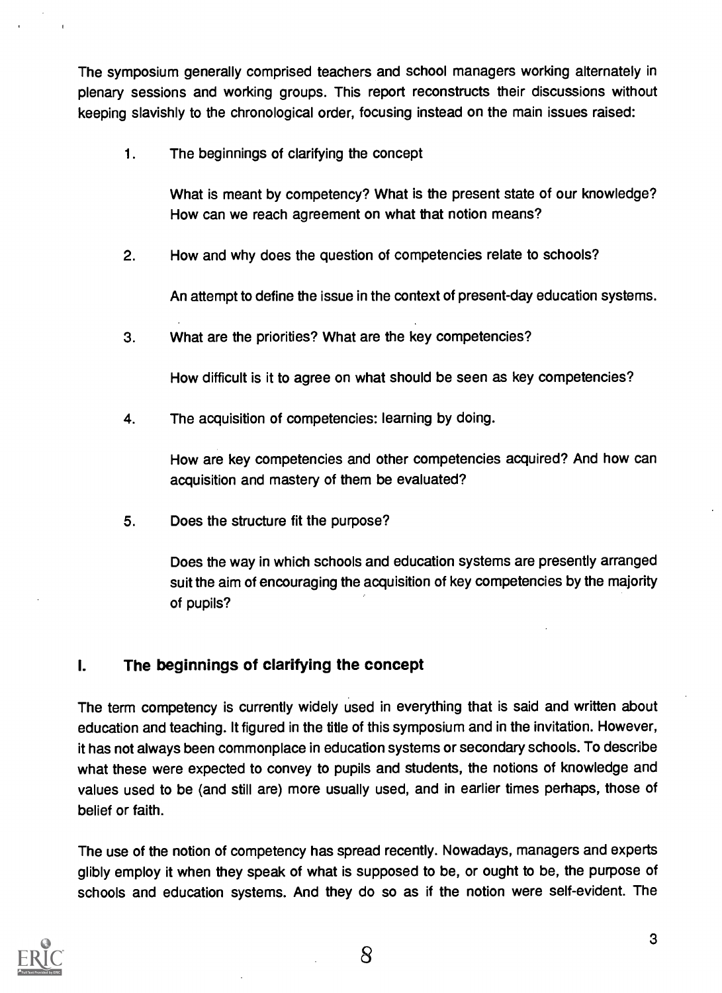The symposium generally comprised teachers and school managers working alternately in plenary sessions and working groups. This report reconstructs their discussions without keeping slavishly to the chronological order, focusing instead on the main issues raised:

1. The beginnings of clarifying the concept

What is meant by competency? What is the present state of our knowledge? How can we reach agreement on what that notion means?

2. How and why does the question of competencies relate to schools?

An attempt to define the issue in the context of present-day education systems.

3. What are the priorities? What are the key competencies?

How difficult is it to agree on what should be seen as key competencies?

4. The acquisition of competencies: learning by doing.

How are key competencies and other competencies acquired? And how can acquisition and mastery of them be evaluated?

5. Does the structure fit the purpose?

Does the way in which schools and education systems are presently arranged suit the aim of encouraging the acquisition of key competencies by the majority of pupils?

## 1. The beginnings of clarifying the concept

The term competency is currently widely used in everything that is said and written about education and teaching. It figured in the title of this symposium and in the invitation. However, it has not always been commonplace in education systems or secondary schools. To describe what these were expected to convey to pupils and students, the notions of knowledge and values used to be (and still are) more usually used, and in earlier times perhaps, those of belief or faith.

The use of the notion of competency has spread recently. Nowadays, managers and experts glibly employ it when they speak of what is supposed to be, or ought to be, the purpose of schools and education systems. And they do so as if the notion were self-evident. The



8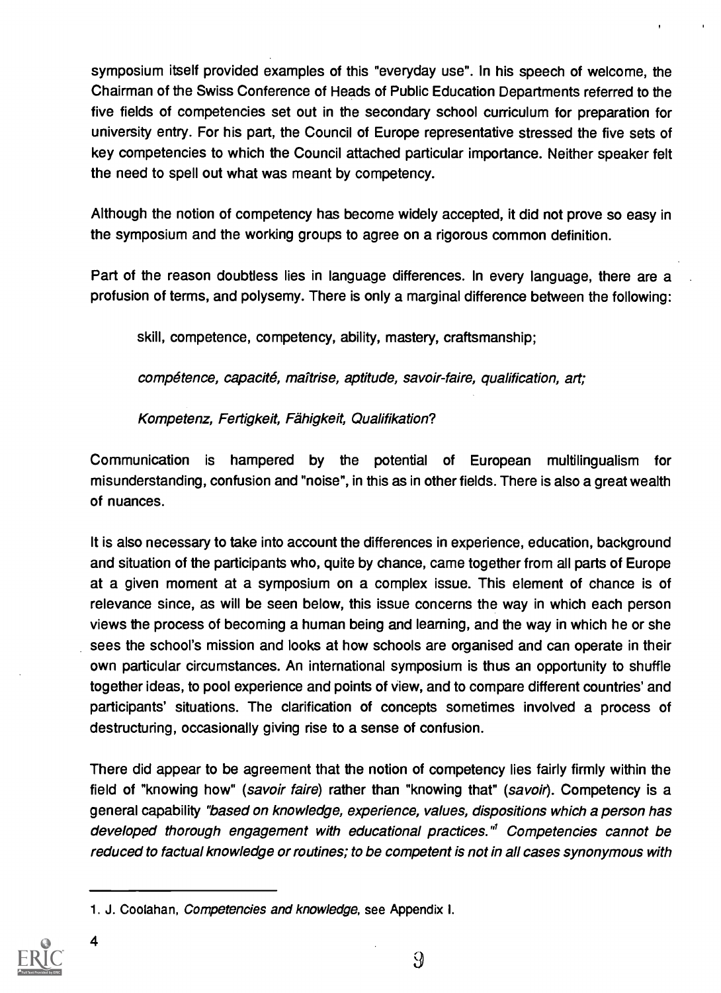symposium itself provided examples of this "everyday use". In his speech of welcome, the Chairman of the Swiss Conference of Heads of Public Education Departments referred to the five fields of competencies set out in the secondary school curriculum for preparation for university entry. For his part, the Council of Europe representative stressed the five sets of key competencies to which the Council attached particular importance. Neither speaker felt the need to spell out what was meant by competency.

Although the notion of competency has become widely accepted, it did not prove so easy in the symposium and the working groups to agree on a rigorous common definition.

Part of the reason doubtless lies in language differences. In every language, there are a profusion of terms, and polysemy. There is only a marginal difference between the following:

skill, competence, competency, ability, mastery, craftsmanship;

competence, capacite, maltrise, aptitude, savoir-faire, qualification, art;

Kompetenz, Fertigkeit, Fähigkeit, Qualifikation?

Communication is hampered by the potential of European multilingualism for misunderstanding, confusion and "noise", in this as in other fields. There is also a great wealth of nuances.

It is also necessary to take into account the differences in experience, education, background and situation of the participants who, quite by chance, came together from all parts of Europe at a given moment at a symposium on a complex issue. This element of chance is of relevance since, as will be seen below, this issue concerns the way in which each person views the process of becoming a human being and learning, and the way in which he or she sees the school's mission and looks at how schools are organised and can operate in their own particular circumstances. An international symposium is thus an opportunity to shuffle together ideas, to pool experience and points of view, and to compare different countries' and participants' situations. The clarification of concepts sometimes involved a process of destructuring, occasionally giving rise to a sense of confusion.

There did appear to be agreement that the notion of competency lies fairly firmly within the field of "knowing how" (savoir faire) rather than "knowing that" (savoir). Competency is a general capability "based on knowledge, experience, values, dispositions which a person has developed thorough engagement with educational practices."' Competencies cannot be reduced to factual knowledge or routines; to be competent is not in all cases synonymous with

<sup>1.</sup> J. Coolahan, Competencies and knowledge, see Appendix I.



4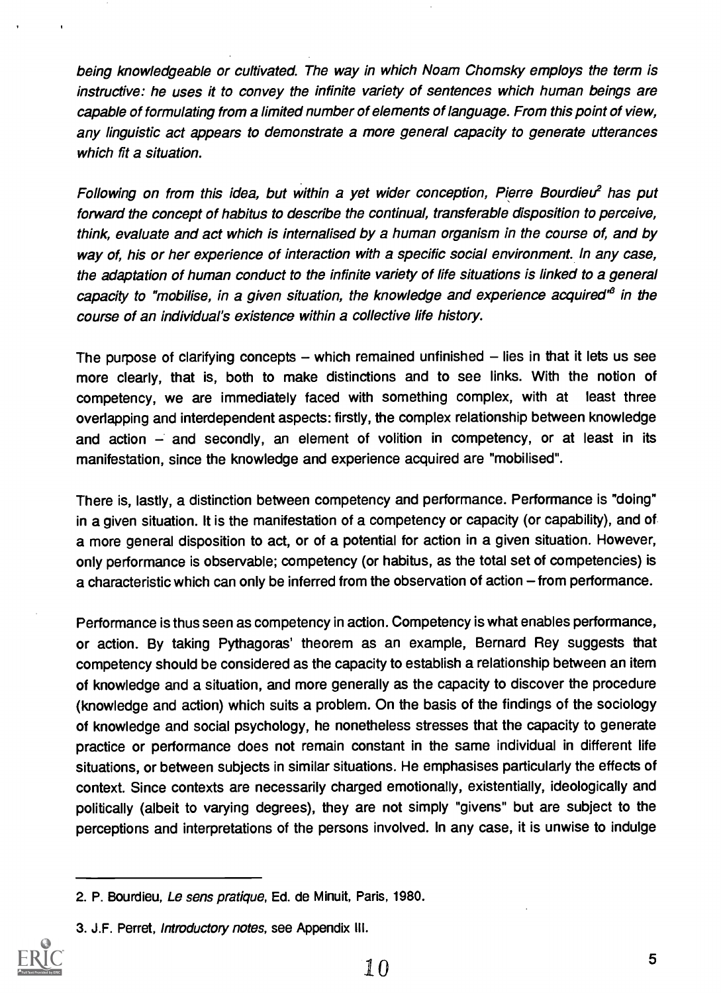being knowledgeable or cultivated. The way in which Noam Chomsky employs the term is instructive: he uses it to convey the infinite variety of sentences which human beings are capable of formulating from a limited number of elements of language. From this point of view, any linguistic act appears to demonstrate a more general capacity to generate utterances which fit a situation.

Following on from this idea, but within a yet wider conception, Pierre Bourdieu<sup>2</sup> has put forward the concept of habitus to describe the continual, transferable disposition to perceive, think, evaluate and act which is internalised by a human organism in the course of, and by way of, his or her experience of interaction with a specific social environment. In any case, the adaptation of human conduct to the infinite variety of life situations is linked to a general capacity to "mobilise, in a given situation, the knowledge and experience acquired" in the course of an individual's existence within a collective life history.

The purpose of clarifying concepts  $-$  which remained unfinished  $-$  lies in that it lets us see more clearly, that is, both to make distinctions and to see links. With the notion of competency, we are immediately faced with something complex, with at least three overlapping and interdependent aspects: firstly, the complex relationship between knowledge and action  $-$  and secondly, an element of volition in competency, or at least in its manifestation, since the knowledge and experience acquired are "mobilised".

There is, lastly, a distinction between competency and performance. Performance is "doing" in a given situation. It is the manifestation of a competency or capacity (or capability), and of a more general disposition to act, or of a potential for action in a given situation. However, only performance is observable; competency (or habitus, as the total set of competencies) is a characteristic which can only be inferred from the observation of action – from performance.

Performance is thus seen as competency in action. Competency is what enables performance, or action. By taking Pythagoras' theorem as an example, Bernard Rey suggests that competency should be considered as the capacity to establish a relationship between an item of knowledge and a situation, and more generally as the capacity to discover the procedure (knowledge and action) which suits a problem. On the basis of the findings of the sociology of knowledge and social psychology, he nonetheless stresses that the capacity to generate practice or performance does not remain constant in the same individual in different life situations, or between subjects in similar situations. He emphasises particularly the effects of context. Since contexts are necessarily charged emotionally, existentially, ideologically and politically (albeit to varying degrees), they are not simply "givens" but are subject to the perceptions and interpretations of the persons involved. In any case, it is unwise to indulge

<sup>3.</sup> J.F. Perret, Introductory notes, see Appendix III.



<sup>2.</sup> P. Bourdieu, Le sens pratique, Ed. de Minuit, Paris, 1980.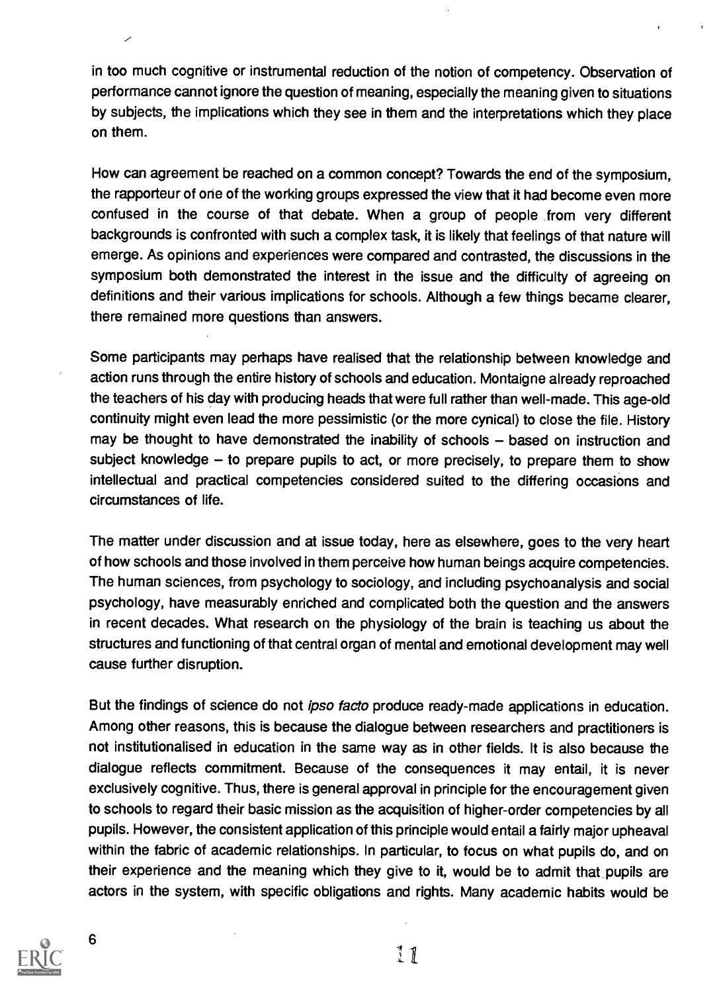in too much cognitive or instrumental reduction of the notion of competency. Observation of performance cannot ignore the question of meaning, especially the meaning given to situations by subjects, the implications which they see in them and the interpretations which they place on them.

How can agreement be reached on a common concept? Towards the end of the symposium, the rapporteur of one of the working groups expressed the view that it had become even more confused in the course of that debate. When a group of people from very different backgrounds is confronted with such a complex task, it is likely that feelings of that nature will emerge. As opinions and experiences were compared and contrasted, the discussions in the symposium both demonstrated the interest in the issue and the difficulty of agreeing on definitions and their various implications for schools. Although a few things became clearer, there remained more questions than answers.

Some participants may perhaps have realised that the relationship between knowledge and action runs through the entire history of schools and education. Montaigne already reproached the teachers of his day with producing heads that were full rather than well-made. This age-old continuity might even lead the more pessimistic (or the more cynical) to close the file. History may be thought to have demonstrated the inability of schools  $-$  based on instruction and subject knowledge  $-$  to prepare pupils to act, or more precisely, to prepare them to show intellectual and practical competencies considered suited to the differing occasions and circumstances of life.

The matter under discussion and at issue today, here as elsewhere, goes to the very heart of how schools and those involved in them perceive how human beings acquire competencies. The human sciences, from psychology to sociology, and including psychoanalysis and social psychology, have measurably enriched and complicated both the question and the answers in recent decades. What research on the physiology of the brain is teaching us about the structures and functioning of that central organ of mental and emotional development may well cause further disruption.

But the findings of science do not *ipso facto* produce ready-made applications in education. Among other reasons, this is because the dialogue between researchers and practitioners is not institutionalised in education in the same way as in other fields. It is also because the dialogue reflects commitment. Because of the consequences it may entail, it is never exclusively cognitive. Thus, there is general approval in principle for the encouragement given to schools to regard their basic mission as the acquisition of higher-order competencies by all pupils. However, the consistent application of this principle would entail a fairly major upheaval within the fabric of academic relationships. In particular, to focus on what pupils do, and on their experience and the meaning which they give to it, would be to admit that pupils are actors in the system, with specific obligations and rights. Many academic habits would be



6

 $11$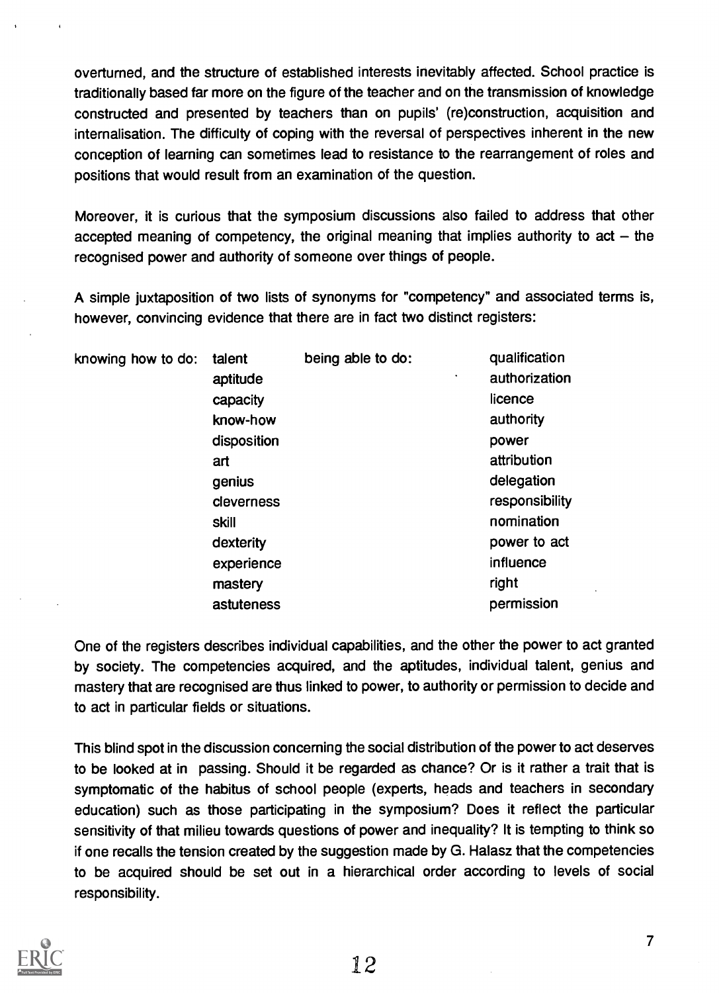overturned, and the structure of established interests inevitably affected. School practice is traditionally based far more on the figure of the teacher and on the transmission of knowledge constructed and presented by teachers than on pupils' (re)construction, acquisition and internalisation. The difficulty of coping with the reversal of perspectives inherent in the new conception of learning can sometimes lead to resistance to the rearrangement of roles and positions that would result from an examination of the question.

Moreover, it is curious that the symposium discussions also failed to address that other accepted meaning of competency, the original meaning that implies authority to  $act - the$ recognised power and authority of someone over things of people.

A simple juxtaposition of two lists of synonyms for "competency" and associated terms is, however, convincing evidence that there are in fact two distinct registers:

| knowing how to do: | talent      | being able to do: | qualification  |
|--------------------|-------------|-------------------|----------------|
|                    | aptitude    | ٠                 | authorization  |
|                    | capacity    |                   | licence        |
|                    | know-how    |                   | authority      |
|                    | disposition |                   | power          |
|                    | art         |                   | attribution    |
|                    | genius      |                   | delegation     |
|                    | cleverness  |                   | responsibility |
|                    | skill       |                   | nomination     |
|                    | dexterity   |                   | power to act   |
|                    | experience  |                   | influence      |
|                    | mastery     |                   | right          |
|                    | astuteness  |                   | permission     |
|                    |             |                   |                |

One of the registers describes individual capabilities, and the other the power to act granted by society. The competencies acquired, and the aptitudes, individual talent, genius and mastery that are recognised are thus linked to power, to authority or permission to decide and to act in particular fields or situations.

This blind spot in the discussion concerning the social distribution of the power to act deserves to be looked at in passing. Should it be regarded as chance? Or is it rather a trait that is symptomatic of the habitus of school people (experts, heads and teachers in secondary education) such as those participating in the symposium? Does it reflect the particular sensitivity of that milieu towards questions of power and inequality? It is tempting to think so if one recalls the tension created by the suggestion made by G. Halasz that the competencies to be acquired should be set out in a hierarchical order according to levels of social responsibility.

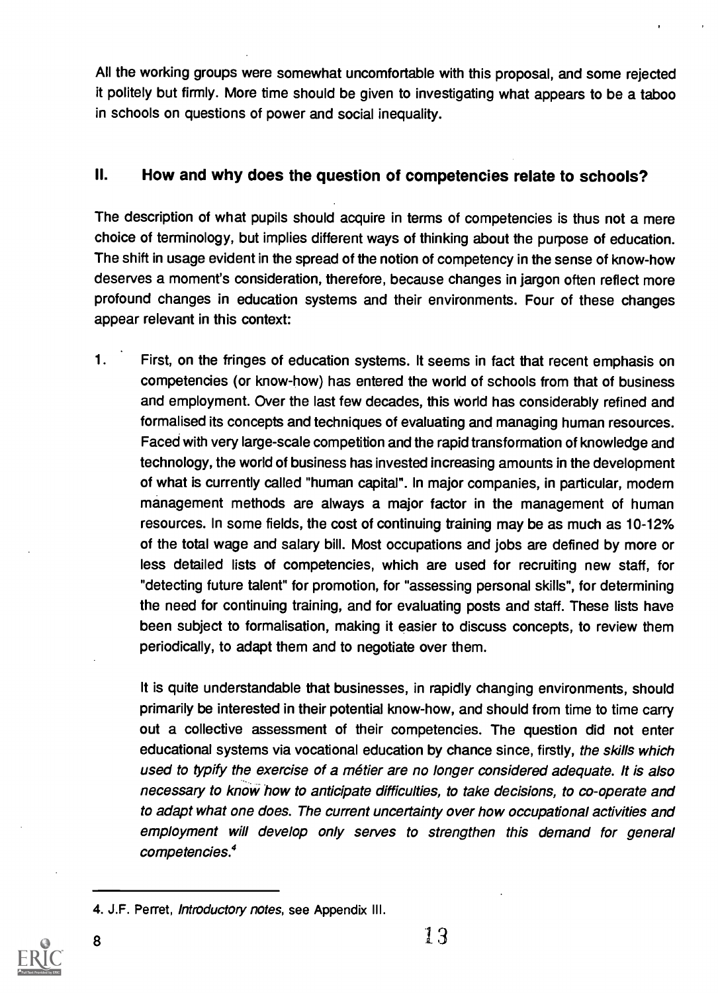All the working groups were somewhat uncomfortable with this proposal, and some rejected it politely but firmly. More time should be given to investigating what appears to be a taboo in schools on questions of power and social inequality.

### II. How and why does the question of competencies relate to schools?

The description of what pupils should acquire in terms of competencies is thus not a mere choice of terminology, but implies different ways of thinking about the purpose of education. The shift in usage evident in the spread of the notion of competency in the sense of know-how deserves a moment's consideration, therefore, because changes in jargon often reflect more profound changes in education systems and their environments. Four of these changes appear relevant in this context:

1. First, on the fringes of education systems. It seems in fact that recent emphasis on competencies (or know-how) has entered the world of schools from that of business and employment. Over the last few decades, this world has considerably refined and formalised its concepts and techniques of evaluating and managing human resources. Faced with very large-scale competition and the rapid transformation of knowledge and technology, the world of business has invested increasing amounts in the development of what is currently called "human capital". In major companies, in particular, modern management methods are always a major factor in the management of human resources. In some fields, the cost of continuing training may be as much as 10-12% of the total wage and salary bill. Most occupations and jobs are defined by more or less detailed lists of competencies, which are used for recruiting new staff, for "detecting future talent" for promotion, for "assessing personal skills", for determining the need for continuing training, and for evaluating posts and staff. These lists have been subject to formalisation, making it easier to discuss concepts, to review them periodically, to adapt them and to negotiate over them.

It is quite understandable that businesses, in rapidly changing environments, should primarily be interested in their potential know-how, and should from time to time carry out a collective assessment of their competencies. The question did not enter educational systems via vocational education by chance since, firstly, the skills which used to typify the exercise of a métier are no longer considered adequate. It is also necessary to know how to anticipate difficulties, to take decisions, to co-operate and to adapt what one does. The current uncertainty over how occupational activities and employment will develop only serves to strengthen this demand for general competencies.4

<sup>4.</sup> J.F. Perret, Introductory notes, see Appendix III.

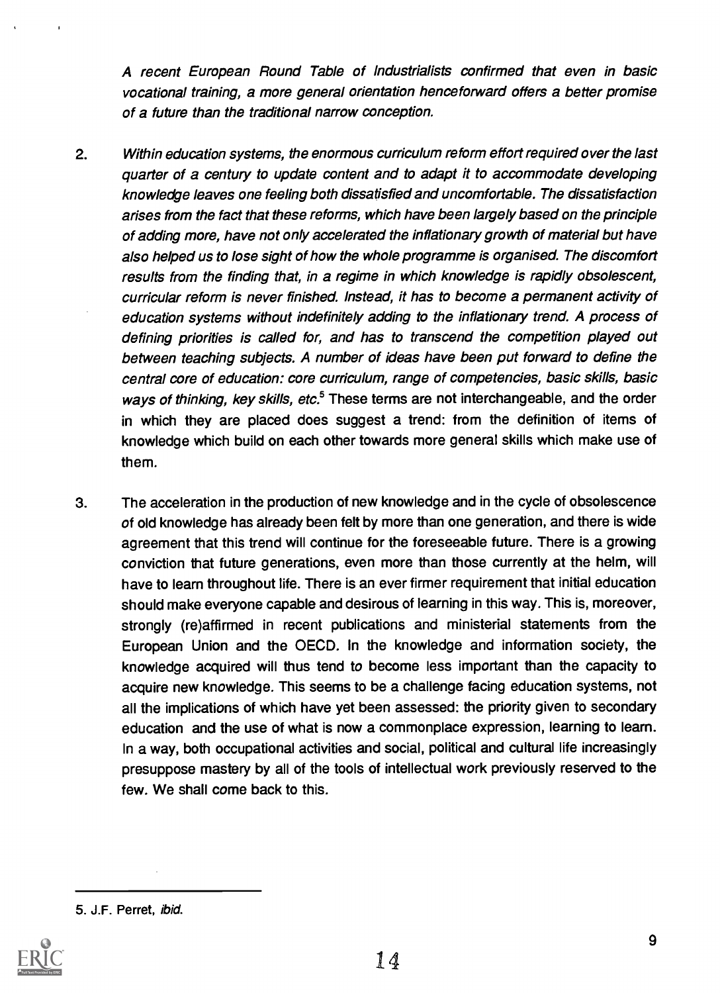A recent European Round Table of Industrialists confirmed that even in basic vocational training, a more general orientation henceforward offers a better promise of a future than the traditional narrow conception.

- 2. Within education systems, the enormous curriculum reform effort required over the last quarter of a century to update content and to adapt it to accommodate developing knowledge leaves one feeling both dissatisfied and uncomfortable. The dissatisfaction arises from the fact that these reforms, which have been largely based on the principle of adding more, have not only accelerated the inflationary growth of material but have also helped us to lose sight of how the whole programme is organised. The discomfort results from the finding that, in a regime in which knowledge is rapidly obsolescent, curricular reform is never finished. Instead, it has to become a permanent activity of education systems without indefinitely adding to the inflationary trend. A process of defining priorities is called for, and has to transcend the competition played out between teaching subjects. A number of ideas have been put forward to define the central core of education: core curriculum, range of competencies, basic skills, basic ways of thinking, key skills, etc. $5$  These terms are not interchangeable, and the order in which they are placed does suggest a trend: from the definition of items of knowledge which build on each other towards more general skills which make use of them.
- 3. The acceleration in the production of new knowledge and in the cycle of obsolescence of old knowledge has already been felt by more than one generation, and there is wide agreement that this trend will continue for the foreseeable future. There is a growing conviction that future generations, even more than those currently at the helm, will have to learn throughout life. There is an ever firmer requirement that initial education should make everyone capable and desirous of learning in this way. This is, moreover, strongly (re)affirmed in recent publications and ministerial statements from the European Union and the OECD. In the knowledge and information society, the knowledge acquired will thus tend to become less important than the capacity to acquire new knowledge. This seems to be a challenge facing education systems, not all the implications of which have yet been assessed: the priority given to secondary education and the use of what is now a commonplace expression, learning to learn. In a way, both occupational activities and social, political and cultural life increasingly presuppose mastery by all of the tools of intellectual work previously reserved to the few. We shall come back to this.

<sup>5.</sup> J.F. Perret, ibid.

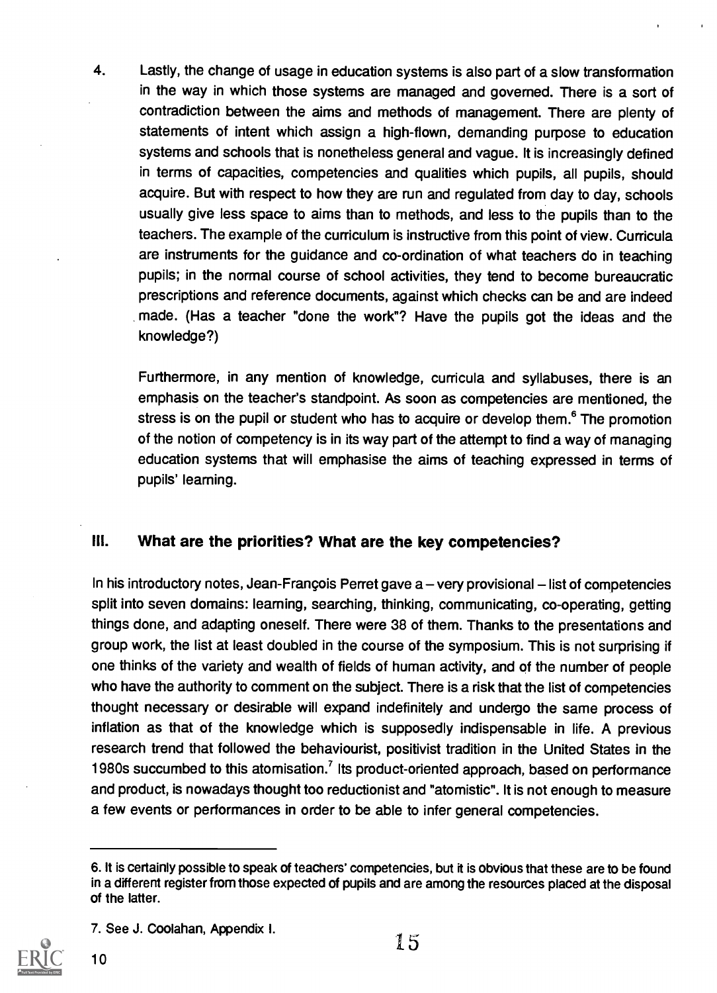4. Lastly, the change of usage in education systems is also part of a slow transformation in the way in which those systems are managed and governed. There is a sort of contradiction between the aims and methods of management. There are plenty of statements of intent which assign a high-flown, demanding purpose to education systems and schools that is nonetheless general and vague. It is increasingly defined in terms of capacities, competencies and qualities which pupils, all pupils, should acquire. But with respect to how they are run and regulated from day to day, schools usually give less space to aims than to methods, and less to the pupils than to the teachers. The example of the curriculum is instructive from this point of view. Curricula are instruments for the guidance and co-ordination of what teachers do in teaching pupils; in the normal course of school activities, they tend to become bureaucratic prescriptions and reference documents, against which checks can be and are indeed made. (Has a teacher "done the work"? Have the pupils got the ideas and the knowledge?)

Furthermore, in any mention of knowledge, curricula and syllabuses, there is an emphasis on the teacher's standpoint. As soon as competencies are mentioned, the stress is on the pupil or student who has to acquire or develop them.<sup>6</sup> The promotion of the notion of competency is in its way part of the attempt to find a way of managing education systems that will emphasise the aims of teaching expressed in terms of pupils' learning.

## III. What are the priorities? What are the key competencies?

In his introductory notes, Jean-François Perret gave  $a$  – very provisional  $-$  list of competencies split into seven domains: learning, searching, thinking, communicating, co-operating, getting things done, and adapting oneself. There were 38 of them. Thanks to the presentations and group work, the list at least doubled in the course of the symposium. This is not surprising if one thinks of the variety and wealth of fields of human activity, and of the number of people who have the authority to comment on the subject. There is a risk that the list of competencies thought necessary or desirable will expand indefinitely and undergo the same process of inflation as that of the knowledge which is supposedly indispensable in life. A previous research trend that followed the behaviourist, positivist tradition in the United States in the 1980s succumbed to this atomisation.' Its product-oriented approach, based on performance and product, is nowadays thought too reductionist and "atomistic". It is not enough to measure a few events or performances in order to be able to infer general competencies.

<sup>7.</sup> See J. Coolahan, Appendix I.



<sup>6.</sup> It is certainly possible to speak of teachers' competencies, but it is obvious that these are to be found in a different register from those expected of pupils and are among the resources placed at the disposal of the latter.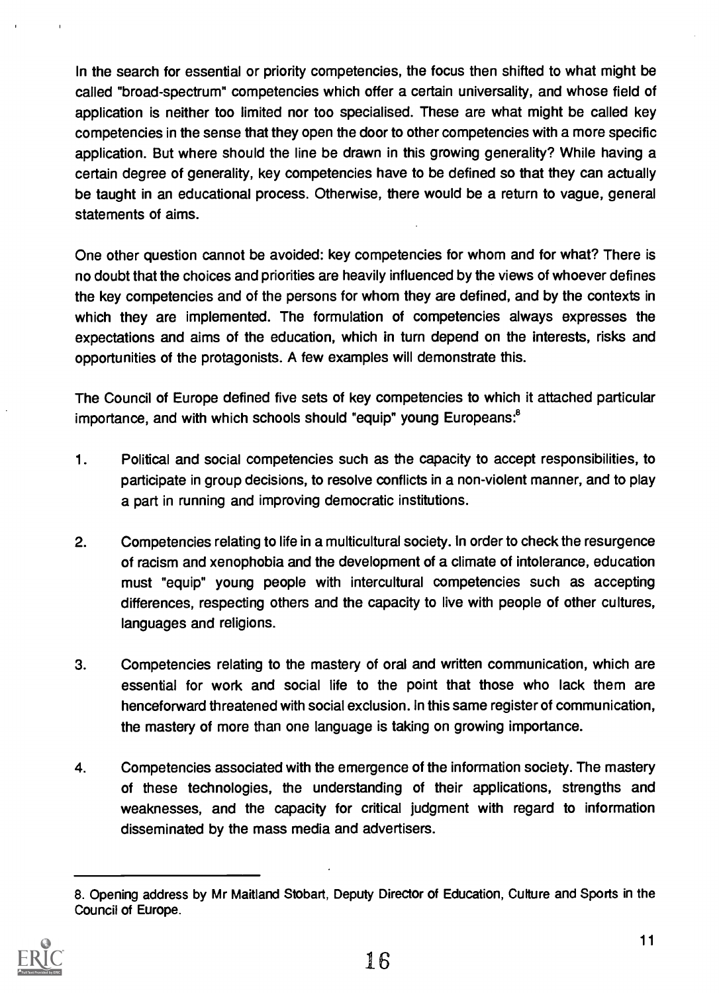In the search for essential or priority competencies, the focus then shifted to what might be called "broad-spectrum" competencies which offer a certain universality, and whose field of application is neither too limited nor too specialised. These are what might be called key competencies in the sense that they open the door to other competencies with a more specific application. But where should the line be drawn in this growing generality? While having a certain degree of generality, key competencies have to be defined so that they can actually be taught in an educational process. Otherwise, there would be a return to vague, general statements of aims.

One other question cannot be avoided: key competencies for whom and for what? There is no doubt that the choices and priorities are heavily influenced by the views of whoever defines the key competencies and of the persons for whom they are defined, and by the contexts in which they are implemented. The formulation of competencies always expresses the expectations and aims of the education, which in turn depend on the interests, risks and opportunities of the protagonists. A few examples will demonstrate this.

The Council of Europe defined five sets of key competencies to which it attached particular importance, and with which schools should "equip" young Europeans:<sup>8</sup>

- 1. Political and social competencies such as the capacity to accept responsibilities, to participate in group decisions, to resolve conflicts in a non-violent manner, and to play a part in running and improving democratic institutions.
- 2. Competencies relating to life in a multicultural society. In order to check the resurgence of racism and xenophobia and the development of a climate of intolerance, education must "equip" young people with intercultural competencies such as accepting differences, respecting others and the capacity to live with people of other cultures, languages and religions.
- 3. Competencies relating to the mastery of oral and written communication, which are essential for work and social life to the point that those who lack them are henceforward threatened with social exclusion. In this same register of communication, the mastery of more than one language is taking on growing importance.
- 4. Competencies associated with the emergence of the information society. The mastery of these technologies, the understanding of their applications, strengths and weaknesses, and the capacity for critical judgment with regard to information disseminated by the mass media and advertisers.

<sup>8.</sup> Opening address by Mr Maitland Stobart, Deputy Director of Education, Culture and Sports in the Council of Europe.

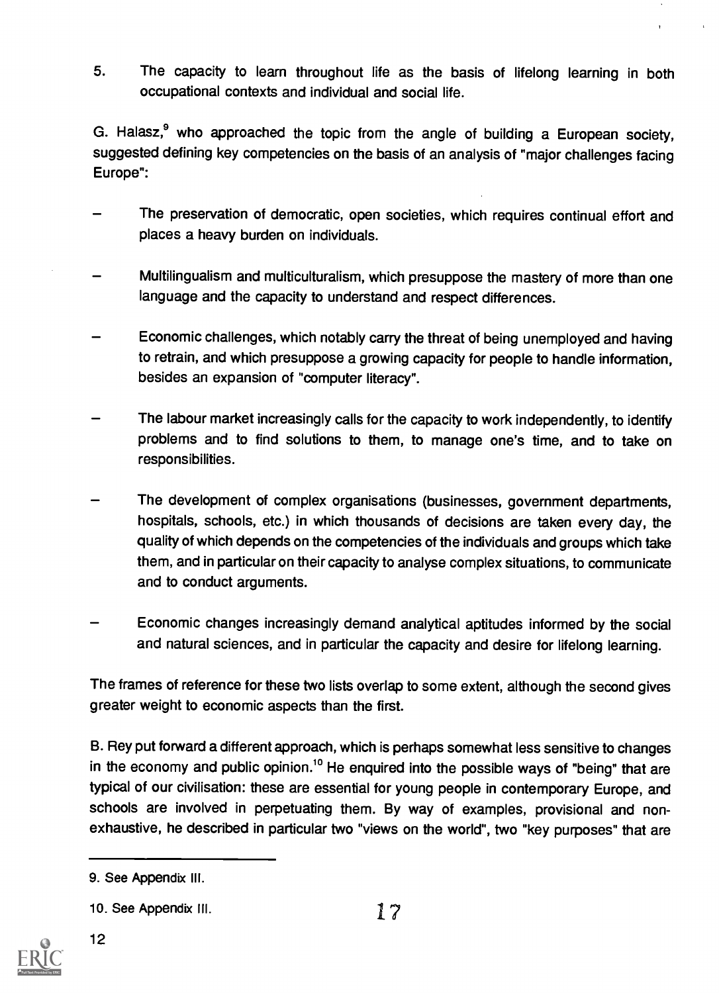5. The capacity to learn throughout life as the basis of lifelong learning in both occupational contexts and individual and social life.

G. Halasz,<sup>9</sup> who approached the topic from the angle of building a European society, suggested defining key competencies on the basis of an analysis of "major challenges facing Europe":

- The preservation of democratic, open societies, which requires continual effort and places a heavy burden on individuals.
- Multilingualism and multiculturalism, which presuppose the mastery of more than one language and the capacity to understand and respect differences.
- Economic challenges, which notably carry the threat of being unemployed and having to retrain, and which presuppose a growing capacity for people to handle information, besides an expansion of "computer literacy".
- The labour market increasingly calls for the capacity to work independently, to identify problems and to find solutions to them, to manage one's time, and to take on responsibilities.
- The development of complex organisations (businesses, government departments, hospitals, schools, etc.) in which thousands of decisions are taken every day, the quality of which depends on the competencies of the individuals and groups which take them, and in particular on their capacity to analyse complex situations, to communicate and to conduct arguments.
- Economic changes increasingly demand analytical aptitudes informed by the social and natural sciences, and in particular the capacity and desire for lifelong learning.

The frames of reference for these two lists overlap to some extent, although the second gives greater weight to economic aspects than the first.

B. Rey put forward a different approach, which is perhaps somewhat less sensitive to changes in the economy and public opinion.<sup>10</sup> He enquired into the possible ways of "being" that are typical of our civilisation: these are essential for young people in contemporary Europe, and schools are involved in perpetuating them. By way of examples, provisional and nonexhaustive, he described in particular two "views on the world", two "key purposes" that are



<sup>9.</sup> See Appendix Ill.

<sup>10.</sup> See Appendix III.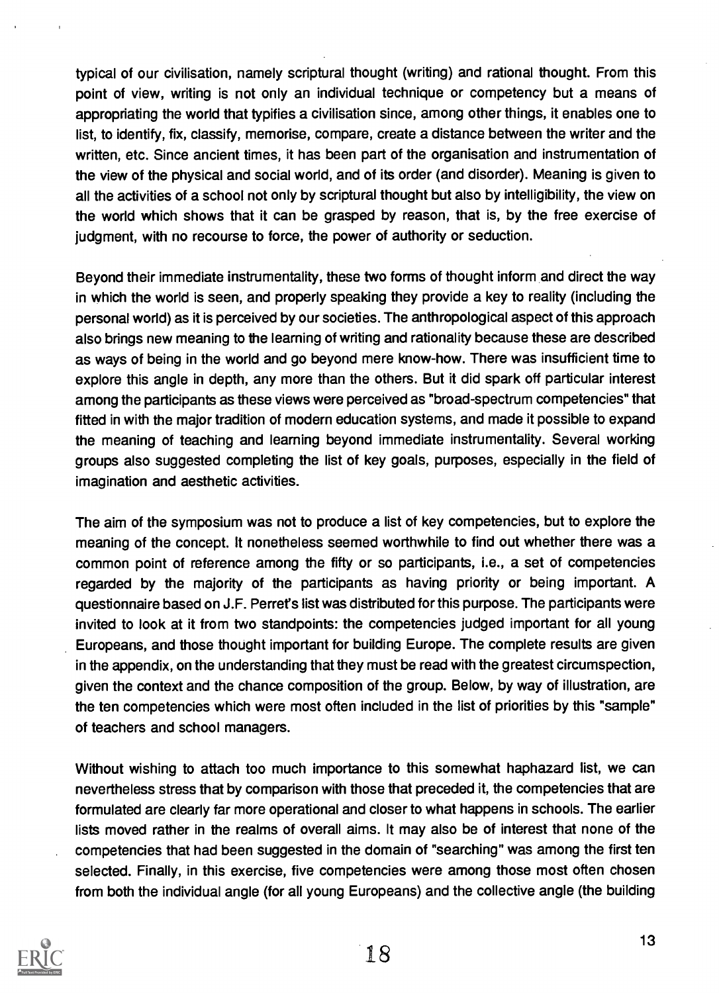typical of our civilisation, namely scriptural thought (writing) and rational thought. From this point of view, writing is not only an individual technique or competency but a means of appropriating the world that typifies a civilisation since, among other things, it enables one to list, to identify, fix, classify, memorise, compare, create a distance between the writer and the written, etc. Since ancient times, it has been part of the organisation and instrumentation of the view of the physical and social world, and of its order (and disorder). Meaning is given to all the activities of a school not only by scriptural thought but also by intelligibility, the view on the world which shows that it can be grasped by reason, that is, by the free exercise of judgment, with no recourse to force, the power of authority or seduction.

Beyond their immediate instrumentality, these two forms of thought inform and direct the way in which the world is seen, and properly speaking they provide a key to reality (including the personal world) as it is perceived by our societies. The anthropological aspect of this approach also brings new meaning to the learning of writing and rationality because these are described as ways of being in the world and go beyond mere know-how. There was insufficient time to explore this angle in depth, any more than the others. But it did spark off particular interest among the participants as these views were perceived as "broad-spectrum competencies" that fitted in with the major tradition of modern education systems, and made it possible to expand the meaning of teaching and learning beyond immediate instrumentality. Several working groups also suggested completing the list of key goals, purposes, especially in the field of imagination and aesthetic activities.

The aim of the symposium was not to produce a list of key competencies, but to explore the meaning of the concept. It nonetheless seemed worthwhile to find out whether there was a common point of reference among the fifty or so participants, i.e., a set of competencies regarded by the majority of the participants as having priority or being important. A questionnaire based on J.F. Perret's list was distributed for this purpose. The participants were invited to look at it from two standpoints: the competencies judged important for all young Europeans, and those thought important for building Europe. The complete results are given in the appendix, on the understanding that they must be read with the greatest circumspection, given the context and the chance composition of the group. Below, by way of illustration, are the ten competencies which were most often included in the list of priorities by this "sample" of teachers and school managers.

Without wishing to attach too much importance to this somewhat haphazard list, we can nevertheless stress that by comparison with those that preceded it, the competencies that are formulated are clearly far more operational and closer to what happens in schools. The earlier lists moved rather in the realms of overall aims. It may also be of interest that none of the competencies that had been suggested in the domain of "searching" was among the first ten selected. Finally, in this exercise, five competencies were among those most often chosen from both the individual angle (for all young Europeans) and the collective angle (the building

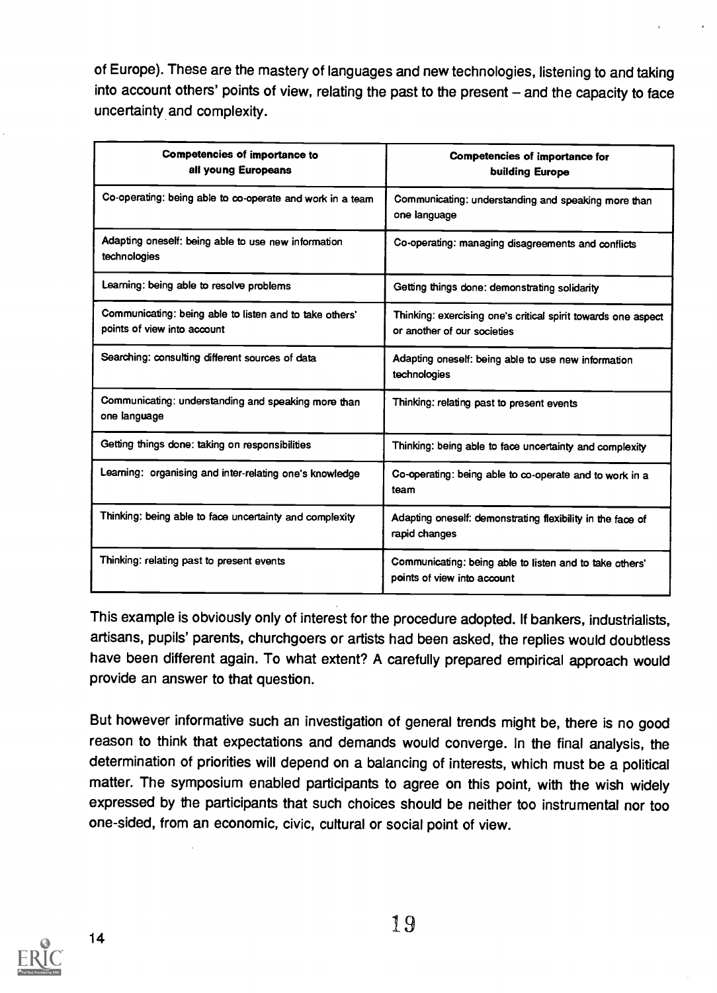of Europe). These are the mastery of languages and new technologies, listening to and taking into account others' points of view, relating the past to the present - and the capacity to face uncertainty and complexity.

| <b>Competencies of importance to</b><br>all young Europeans                            | <b>Competencies of importance for</b><br>building Europe                                     |
|----------------------------------------------------------------------------------------|----------------------------------------------------------------------------------------------|
| Co-operating: being able to co-operate and work in a team                              | Communicating: understanding and speaking more than<br>one language                          |
| Adapting oneself: being able to use new information<br>technologies                    | Co-operating: managing disagreements and conflicts                                           |
| Learning: being able to resolve problems                                               | Getting things done: demonstrating solidarity                                                |
| Communicating: being able to listen and to take others'<br>points of view into account | Thinking: exercising one's critical spirit towards one aspect<br>or another of our societies |
| Searching: consulting different sources of data                                        | Adapting oneself: being able to use new information<br>technologies                          |
| Communicating: understanding and speaking more than<br>one language                    | Thinking: relating past to present events                                                    |
| Getting things done: taking on responsibilities                                        | Thinking: being able to face uncertainty and complexity                                      |
| Learning: organising and inter-relating one's knowledge                                | Co-operating: being able to co-operate and to work in a<br>team                              |
| Thinking: being able to face uncertainty and complexity                                | Adapting oneself: demonstrating flexibility in the face of<br>rapid changes                  |
| Thinking: relating past to present events                                              | Communicating: being able to listen and to take others'<br>points of view into account       |

This example is obviously only of interest for the procedure adopted. If bankers, industrialists, artisans, pupils' parents, churchgoers or artists had been asked, the replies would doubtless have been different again. To what extent? A carefully prepared empirical approach would provide an answer to that question.

But however informative such an investigation of general trends might be, there is no good reason to think that expectations and demands would converge. In the final analysis, the determination of priorities will depend on a balancing of interests, which must be a political matter. The symposium enabled participants to agree on this point, with the wish widely expressed by the participants that such choices should be neither too instrumental nor too one-sided, from an economic, civic, cultural or social point of view.

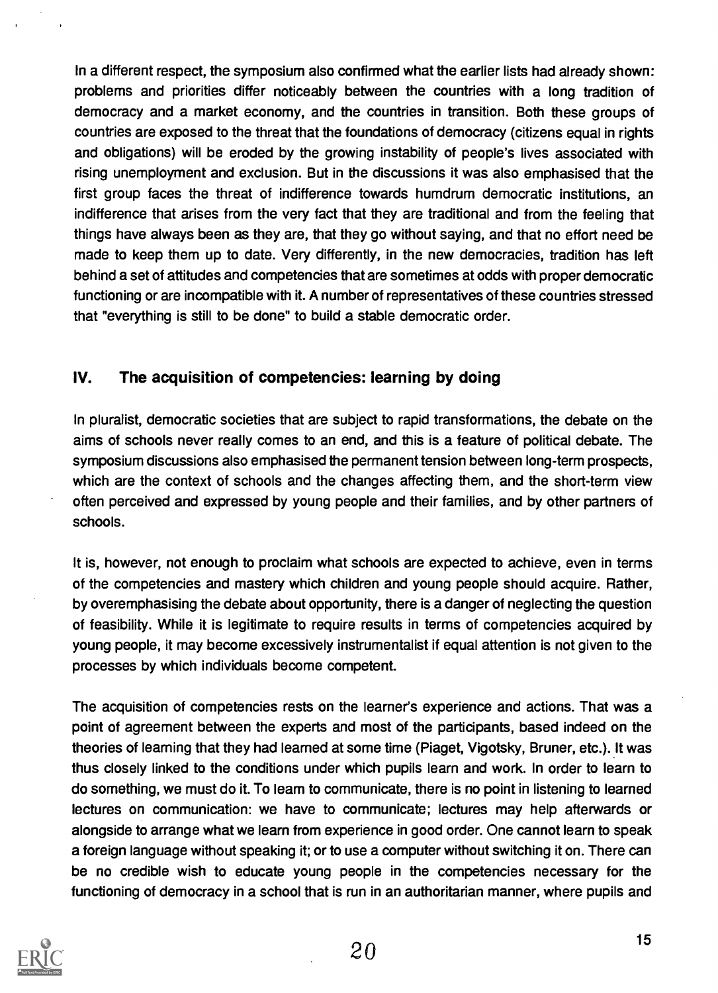In a different respect, the symposium also confirmed what the earlier lists had already shown: problems and priorities differ noticeably between the countries with a long tradition of democracy and a market economy, and the countries in transition. Both these groups of countries are exposed to the threat that the foundations of democracy (citizens equal in rights and obligations) will be eroded by the growing instability of people's lives associated with rising unemployment and exclusion. But in the discussions it was also emphasised that the first group faces the threat of indifference towards humdrum democratic institutions, an indifference that arises from the very fact that they are traditional and from the feeling that things have always been as they are, that they go without saying, and that no effort need be made to keep them up to date. Very differently, in the new democracies, tradition has left behind a set of attitudes and competencies that are sometimes at odds with proper democratic functioning or are incompatible with it. A number of representatives of these countries stressed that "everything is still to be done" to build a stable democratic order.

## IV. The acquisition of competencies: learning by doing

In pluralist, democratic societies that are subject to rapid transformations, the debate on the aims of schools never really comes to an end, and this is a feature of political debate. The symposium discussions also emphasised the permanent tension between long-term prospects, which are the context of schools and the changes affecting them, and the short-term view often perceived and expressed by young people and their families, and by other partners of schools.

It is, however, not enough to proclaim what schools are expected to achieve, even in terms of the competencies and mastery which children and young people should acquire. Rather, by overemphasising the debate about opportunity, there is a danger of neglecting the question of feasibility. While it is legitimate to require results in terms of competencies acquired by young people, it may become excessively instrumentalist if equal attention is not given to the processes by which individuals become competent.

The acquisition of competencies rests on the learner's experience and actions. That was a point of agreement between the experts and most of the participants, based indeed on the theories of learning that they had learned at some time (Piaget, Vigotsky, Bruner, etc.). It was thus closely linked to the conditions under which pupils learn and work. In order to learn to do something, we must do it. To learn to communicate, there is no point in listening to learned lectures on communication: we have to communicate; lectures may help afterwards or alongside to arrange what we learn from experience in good order. One cannot learn to speak a foreign language without speaking it; or to use a computer without switching it on. There can be no credible wish to educate young people in the competencies necessary for the functioning of democracy in a school that is run in an authoritarian manner, where pupils and

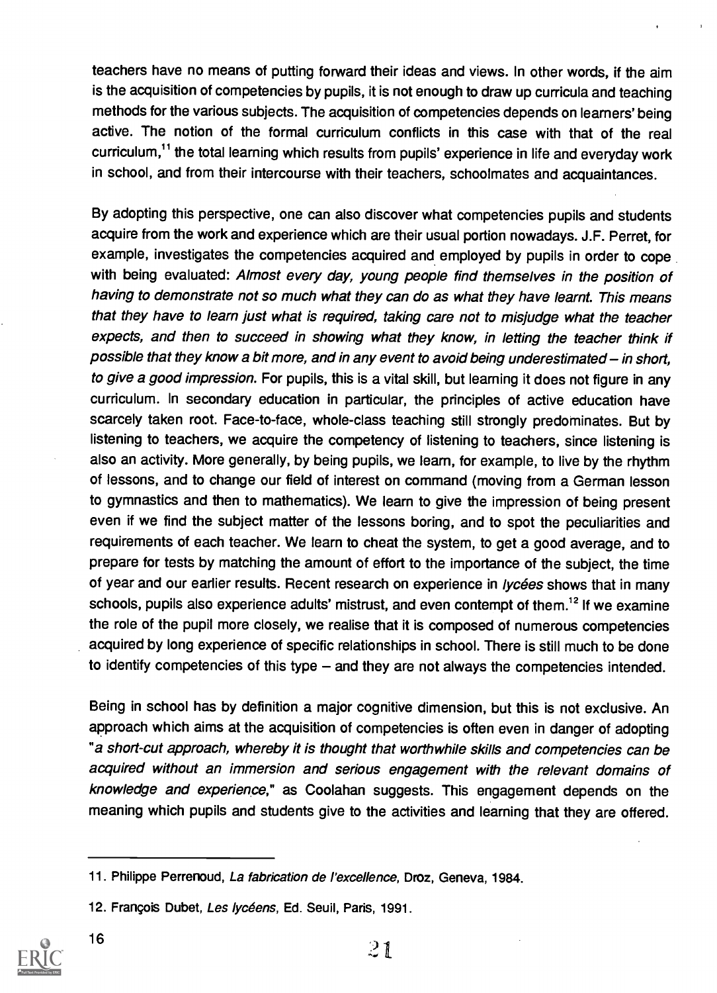teachers have no means of putting forward their ideas and views. In other words, if the aim is the acquisition of competencies by pupils, it is not enough to draw up curricula and teaching methods for the various subjects. The acquisition of competencies depends on learners' being active. The notion of the formal curriculum conflicts in this case with that of the real curriculum.<sup>11</sup> the total learning which results from pupils' experience in life and everyday work in school, and from their intercourse with their teachers, schoolmates and acquaintances.

By adopting this perspective, one can also discover what competencies pupils and students acquire from the work and experience which are their usual portion nowadays. J.F. Perret, for example, investigates the competencies acquired and employed by pupils in order to cope with being evaluated: Almost every day, young people find themselves in the position of having to demonstrate not so much what they can do as what they have learnt. This means that they have to learn just what is required, taking care not to misjudge what the teacher expects, and then to succeed in showing what they know, in letting the teacher think if possible that they know a bit more, and in any event to avoid being underestimated  $-$  in short, to give a good impression. For pupils, this is a vital skill, but learning it does not figure in any curriculum. In secondary education in particular, the principles of active education have scarcely taken root. Face-to-face, whole-class teaching still strongly predominates. But by listening to teachers, we acquire the competency of listening to teachers, since listening is also an activity. More generally, by being pupils, we learn, for example, to live by the rhythm of lessons, and to change our field of interest on command (moving from a German lesson to gymnastics and then to mathematics). We learn to give the impression of being present even if we find the subject matter of the lessons boring, and to spot the peculiarities and requirements of each teacher. We learn to cheat the system, to get a good average, and to prepare for tests by matching the amount of effort to the importance of the subject, the time of year and our earlier results. Recent research on experience in lycées shows that in many schools, pupils also experience adults' mistrust, and even contempt of them.<sup>12</sup> If we examine the role of the pupil more closely, we realise that it is composed of numerous competencies acquired by long experience of specific relationships in school. There is still much to be done to identify competencies of this type  $-$  and they are not always the competencies intended.

Being in school has by definition a major cognitive dimension, but this is not exclusive. An approach which aims at the acquisition of competencies is often even in danger of adopting "a short-cut approach, whereby it is thought that worthwhile skills and competencies can be acquired without an immersion and serious engagement with the relevant domains of knowledge and experience," as Coolahan suggests. This engagement depends on the meaning which pupils and students give to the activities and learning that they are offered.

<sup>12.</sup> Francois Dubet, Les lycéens, Ed. Seuil, Paris, 1991.



16

<sup>11.</sup> Philippe Perrenoud, La fabrication de l'excellence, Droz, Geneva, 1984.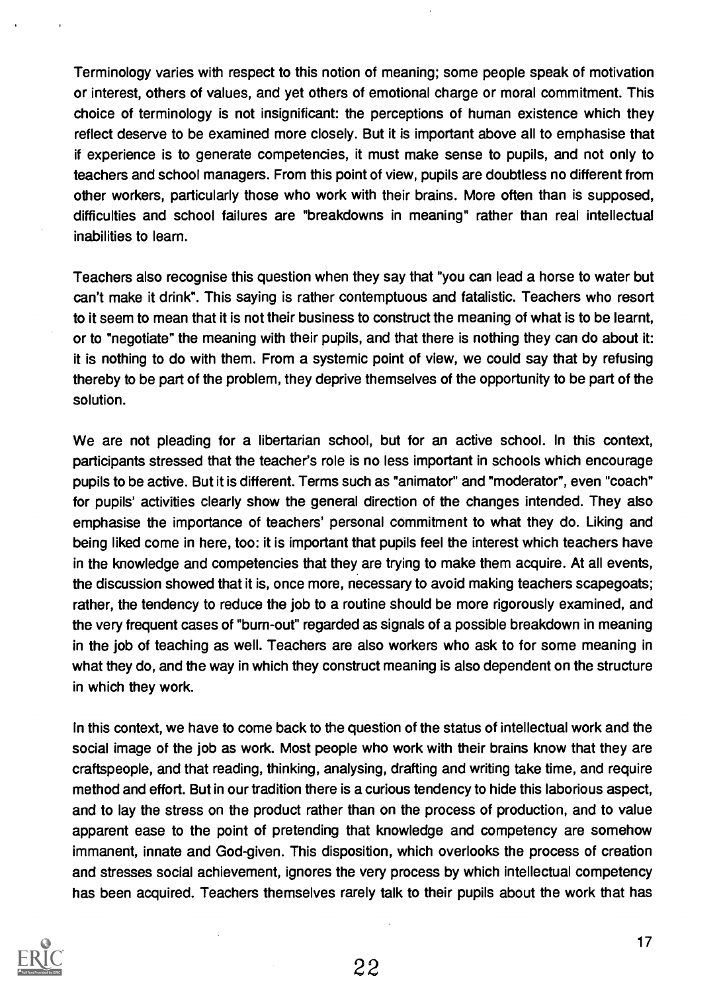Terminology varies with respect to this notion of meaning; some people speak of motivation or interest, others of values, and yet others of emotional charge or moral commitment. This choice of terminology is not insignificant: the perceptions of human existence which they reflect deserve to be examined more closely. But it is important above all to emphasise that if experience is to generate competencies, it must make sense to pupils, and not only to teachers and school managers. From this point of view, pupils are doubtless no different from other workers, particularly those who work with their brains. More often than is supposed, difficulties and school failures are "breakdowns in meaning" rather than real intellectual inabilities to learn.

Teachers also recognise this question when they say that "you can lead a horse to water but can't make it drink". This saying is rather contemptuous and fatalistic. Teachers who resort to it seem to mean that it is not their business to construct the meaning of what is to be learnt, or to "negotiate" the meaning with their pupils, and that there is nothing they can do about it: it is nothing to do with them. From a systemic point of view, we could say that by refusing thereby to be part of the problem, they deprive themselves of the opportunity to be part of the solution.

We are not pleading for a libertarian school, but for an active school. In this context, participants stressed that the teacher's role is no less important in schools which encourage pupils to be active. But it is different. Terms such as "animator" and "moderator", even "coach" for pupils' activities clearly show the general direction of the changes intended. They also emphasise the importance of teachers' personal commitment to what they do. Liking and being liked come in here, too: it is important that pupils feel the interest which teachers have in the knowledge and competencies that they are trying to make them acquire. At all events, the discussion showed that it is, once more, necessary to avoid making teachers scapegoats; rather, the tendency to reduce the job to a routine should be more rigorously examined, and the very frequent cases of "bum-out" regarded as signals of a possible breakdown in meaning in the job of teaching as well. Teachers are also workers who ask to for some meaning in what they do, and the way in which they construct meaning is also dependent on the structure in which they work.

In this context, we have to come back to the question of the status of intellectual work and the social image of the job as work. Most people who work with their brains know that they are craftspeople, and that reading, thinking, analysing, drafting and writing take time, and require method and effort. But in our tradition there is a curious tendency to hide this laborious aspect, and to lay the stress on the product rather than on the process of production, and to value apparent ease to the point of pretending that knowledge and competency are somehow immanent, innate and God-given. This disposition, which overlooks the process of creation and stresses social achievement, ignores the very process by which intellectual competency has been acquired. Teachers themselves rarely talk to their pupils about the work that has

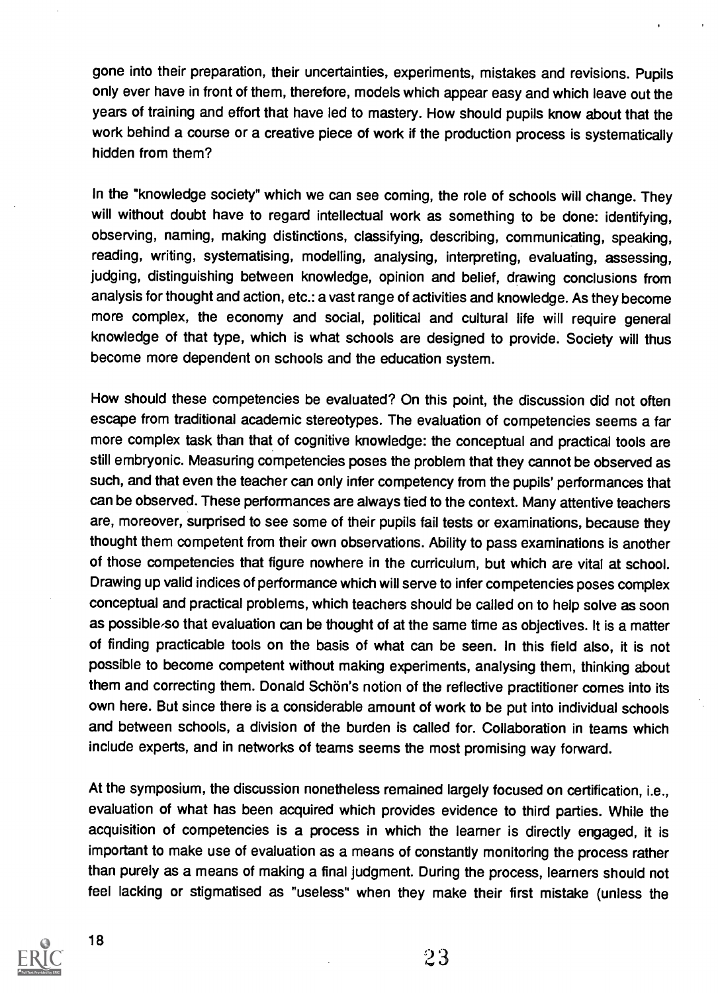gone into their preparation, their uncertainties, experiments, mistakes and revisions. Pupils only ever have in front of them, therefore, models which appear easy and which leave out the years of training and effort that have led to mastery. How should pupils know about that the work behind a course or a creative piece of work if the production process is systematically hidden from them?

In the "knowledge society" which we can see coming, the role of schools will change. They will without doubt have to regard intellectual work as something to be done: identifying, observing, naming, making distinctions, classifying, describing, communicating, speaking, reading, writing, systematising, modelling, analysing, interpreting, evaluating, assessing, judging, distinguishing between knowledge, opinion and belief, drawing conclusions from analysis for thought and action, etc.: a vast range of activities and knowledge. As they become more complex, the economy and social, political and cultural life will require general knowledge of that type, which is what schools are designed to provide. Society will thus become more dependent on schools and the education system.

How should these competencies be evaluated? On this point, the discussion did not often escape from traditional academic stereotypes. The evaluation of competencies seems a far more complex task than that of cognitive knowledge: the conceptual and practical tools are still embryonic. Measuring competencies poses the problem that they cannot be observed as such, and that even the teacher can only infer competency from the pupils' performances that can be observed. These performances are always tied to the context. Many attentive teachers are, moreover, surprised to see some of their pupils fail tests or examinations, because they thought them competent from their own observations. Ability to pass examinations is another of those competencies that figure nowhere in the curriculum, but which are vital at school. Drawing up valid indices of performance which will serve to infer competencies poses complex conceptual and practical problems, which teachers should be called on to help solve as soon as possible.so that evaluation can be thought of at the same time as objectives. It is a matter of finding practicable tools on the basis of what can be seen. In this field also, it is not possible to become competent without making experiments, analysing them, thinking about them and correcting them. Donald Schön's notion of the reflective practitioner comes into its own here. But since there is a considerable amount of work to be put into individual schools and between schools, a division of the burden is called for. Collaboration in teams which include experts, and in networks of teams seems the most promising way forward.

At the symposium, the discussion nonetheless remained largely focused on certification, i.e., evaluation of what has been acquired which provides evidence to third parties. While the acquisition of competencies is a process in which the learner is directly engaged, it is important to make use of evaluation as a means of constantly monitoring the process rather than purely as a means of making a final judgment. During the process, learners should not feel lacking or stigmatised as "useless" when they make their first mistake (unless the



2 3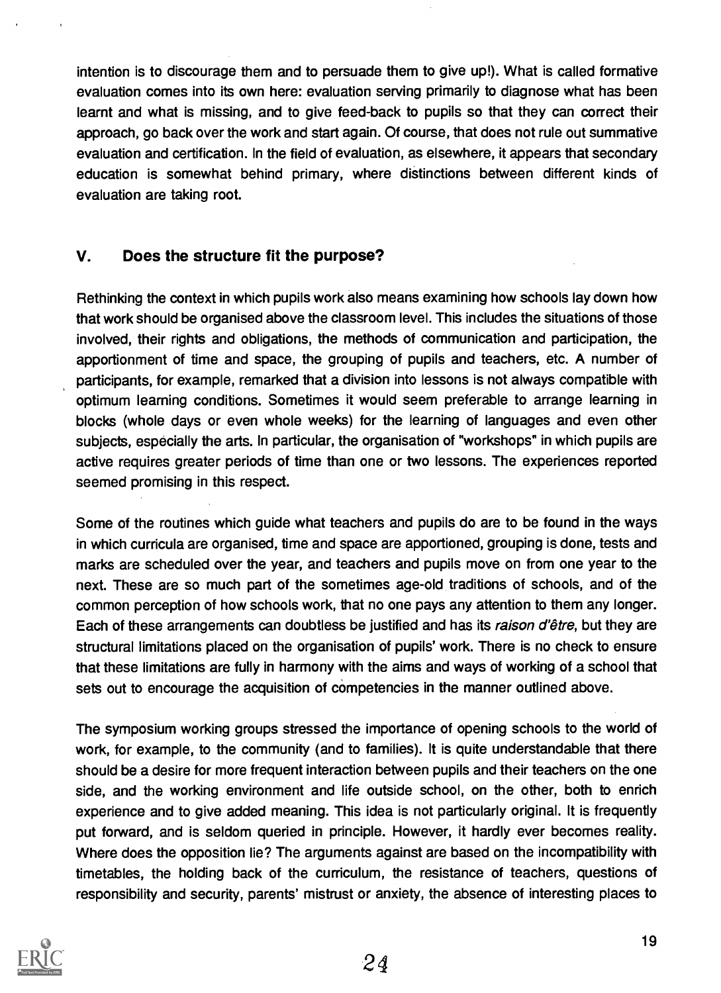intention is to discourage them and to persuade them to give up!). What is called formative evaluation comes into its own here: evaluation serving primarily to diagnose what has been learnt and what is missing, and to give feed-back to pupils so that they can correct their approach, go back over the work and start again. Of course, that does not rule out summative evaluation and certification. In the field of evaluation, as elsewhere, it appears that secondary education is somewhat behind primary, where distinctions between different kinds of evaluation are taking root.

## V. Does the structure fit the purpose?

Rethinking the context in which pupils work also means examining how schools lay down how that work should be organised above the classroom level. This includes the situations of those involved, their rights and obligations, the methods of communication and participation, the apportionment of time and space, the grouping of pupils and teachers, etc. A number of participants, for example, remarked that a division into lessons is not always compatible with optimum learning conditions. Sometimes it would seem preferable to arrange learning in blocks (whole days or even whole weeks) for the learning of languages and even other subjects, especially the arts. In particular, the organisation of "workshops" in which pupils are active requires greater periods of time than one or two lessons. The experiences reported seemed promising in this respect.

Some of the routines which guide what teachers and pupils do are to be found in the ways in which curricula are organised, time and space are apportioned, grouping is done, tests and marks are scheduled over the year, and teachers and pupils move on from one year to the next. These are so much part of the sometimes age-old traditions of schools, and of the common perception of how schools work, that no one pays any attention to them any longer. Each of these arrangements can doubtless be justified and has its raison d'être, but they are structural limitations placed on the organisation of pupils' work. There is no check to ensure that these limitations are fully in harmony with the aims and ways of working of a school that sets out to encourage the acquisition of competencies in the manner outlined above.

The symposium working groups stressed the importance of opening schools to the world of work, for example, to the community (and to families). It is quite understandable that there should be a desire for more frequent interaction between pupils and their teachers on the one side, and the working environment and life outside school, on the other, both to enrich experience and to give added meaning. This idea is not particularly original. It is frequently put forward, and is seldom queried in principle. However, it hardly ever becomes reality. Where does the opposition lie? The arguments against are based on the incompatibility with timetables, the holding back of the curriculum, the resistance of teachers, questions of responsibility and security, parents' mistrust or anxiety, the absence of interesting places to

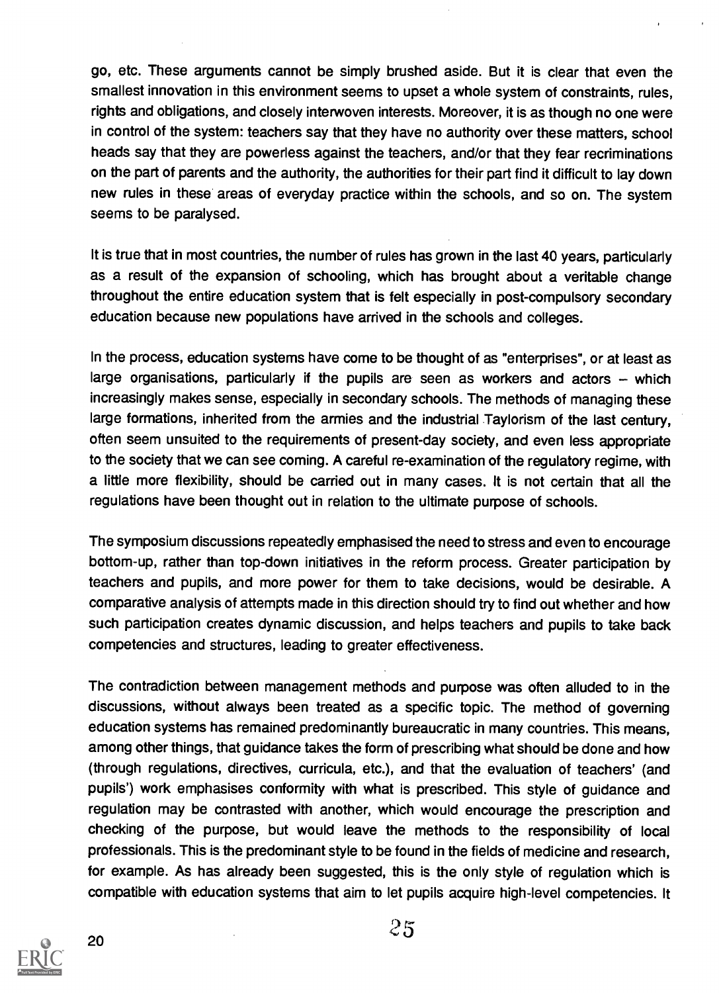go, etc. These arguments cannot be simply brushed aside. But it is clear that even the smallest innovation in this environment seems to upset a whole system of constraints, rules, rights and obligations, and closely interwoven interests. Moreover, it is as though no one were in control of the system: teachers say that they have no authority over these matters, school heads say that they are powerless against the teachers, and/or that they fear recriminations on the part of parents and the authority, the authorities for their part find it difficult to lay down new rules in these areas of everyday practice within the schools, and so on. The system seems to be paralysed.

It is true that in most countries, the number of rules has grown in the last 40 years, particularly as a result of the expansion of schooling, which has brought about a veritable change throughout the entire education system that is felt especially in post-compulsory secondary education because new populations have arrived in the schools and colleges.

In the process, education systems have come to be thought of as "enterprises", or at least as large organisations, particularly if the pupils are seen as workers and actors  $-$  which increasingly makes sense, especially in secondary schools. The methods of managing these large formations, inherited from the armies and the industrial Taylorism of the last century, often seem unsuited to the requirements of present-day society, and even less appropriate to the society that we can see coming. A careful re-examination of the regulatory regime, with a little more flexibility, should be carried out in many cases. It is not certain that all the regulations have been thought out in relation to the ultimate purpose of schools.

The symposium discussions repeatedly emphasised the need to stress and even to encourage bottom-up, rather than top-down initiatives in the reform process. Greater participation by teachers and pupils, and more power for them to take decisions, would be desirable. A comparative analysis of attempts made in this direction should try to find out whether and how such participation creates dynamic discussion, and helps teachers and pupils to take back competencies and structures, leading to greater effectiveness.

The contradiction between management methods and purpose was often alluded to in the discussions, without always been treated as a specific topic. The method of governing education systems has remained predominantly bureaucratic in many countries. This means, among other things, that guidance takes the form of prescribing what should be done and how (through regulations, directives, curricula, etc.), and that the evaluation of teachers' (and pupils') work emphasises conformity with what is prescribed. This style of guidance and regulation may be contrasted with another, which would encourage the prescription and checking of the purpose, but would leave the methods to the responsibility of local professionals. This is the predominant style to be found in the fields of medicine and research, for example. As has already been suggested, this is the only style of regulation which is compatible with education systems that aim to let pupils acquire high-level competencies. It



20

 $25$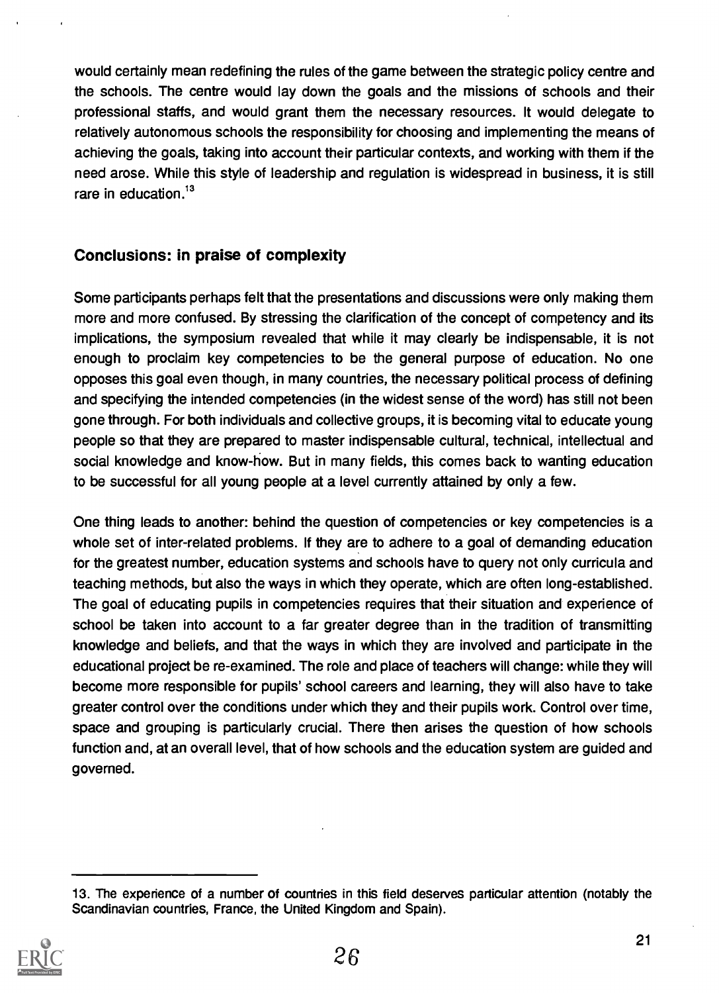would certainly mean redefining the rules of the game between the strategic policy centre and the schools. The centre would lay down the goals and the missions of schools and their professional staffs, and would grant them the necessary resources. It would delegate to relatively autonomous schools the responsibility for choosing and implementing the means of achieving the goals, taking into account their particular contexts, and working with them if the need arose. While this style of leadership and regulation is widespread in business, it is still rare in education.<sup>13</sup>

## Conclusions: in praise of complexity

Some participants perhaps felt that the presentations and discussions were only making them more and more confused. By stressing the clarification of the concept of competency and its implications, the symposium revealed that while it may clearly be indispensable, it is not enough to proclaim key competencies to be the general purpose of education. No one opposes this goal even though, in many countries, the necessary political process of defining and specifying the intended competencies (in the widest sense of the word) has still not been gone through. For both individuals and collective groups, it is becoming vital to educate young people so that they are prepared to master indispensable cultural, technical, intellectual and social knowledge and know-how. But in many fields, this comes back to wanting education to be successful for all young people at a level currently attained by only a few.

One thing leads to another: behind the question of competencies or key competencies is a whole set of inter-related problems. If they are to adhere to a goal of demanding education for the greatest number, education systems and schools have to query not only curricula and teaching methods, but also the ways in which they operate, which are often long-established. The goal of educating pupils in competencies requires that their situation and experience of school be taken into account to a far greater degree than in the tradition of transmitting knowledge and beliefs, and that the ways in which they are involved and participate in the educational project be re-examined. The role and place of teachers will change: while they will become more responsible for pupils' school careers and learning, they will also have to take greater control over the conditions under which they and their pupils work. Control over time, space and grouping is particularly crucial. There then arises the question of how schools function and, at an overall level, that of how schools and the education system are guided and governed.

<sup>13.</sup> The experience of a number of countries in this field deserves particular attention (notably the Scandinavian countries, France, the United Kingdom and Spain).

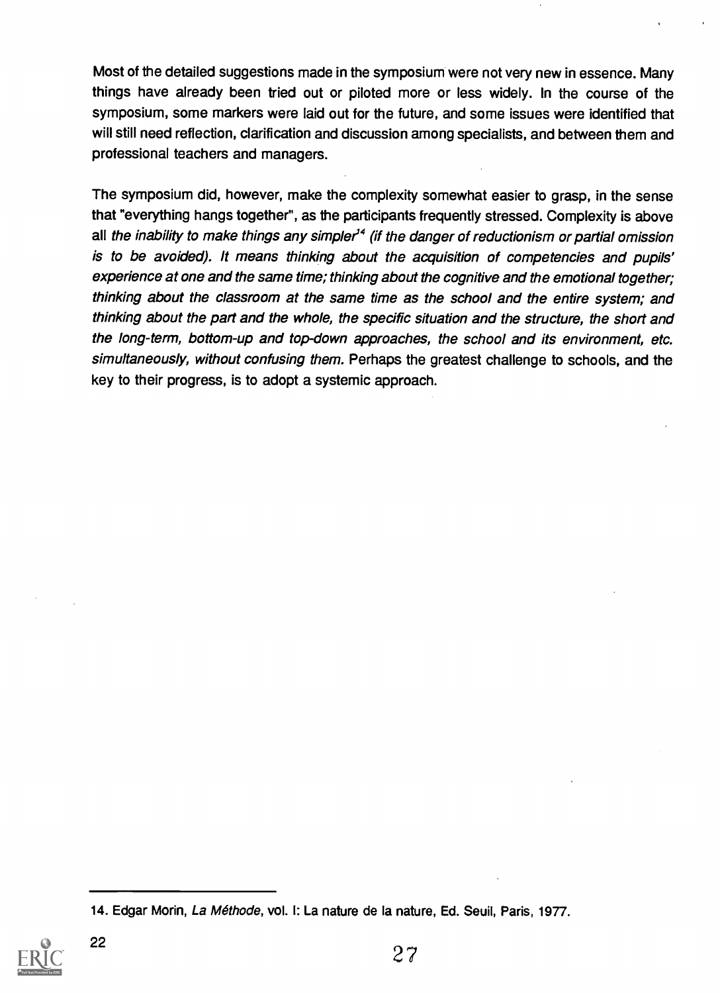Most of the detailed suggestions made in the symposium were not very new in essence. Many things have already been tried out or piloted more or less widely. In the course of the symposium, some markers were laid out for the future, and some issues were identified that will still need reflection, clarification and discussion among specialists, and between them and professional teachers and managers.

The symposium did, however, make the complexity somewhat easier to grasp, in the sense that "everything hangs together", as the participants frequently stressed. Complexity is above all the inability to make things any simpler<sup>14</sup> (if the danger of reductionism or partial omission is to be avoided). It means thinking about the acquisition of competencies and pupils' experience at one and the same time; thinking about the cognitive and the emotional together; thinking about the classroom at the same time as the school and the entire system; and thinking about the part and the whole, the specific situation and the structure, the short and the long-term, bottom-up and top-down approaches, the school and its environment, etc. simultaneously, without confusing them. Perhaps the greatest challenge to schools, and the key to their progress, is to adopt a systemic approach.

<sup>14.</sup> Edgar Morin, La Methode, vol. I: La nature de la nature, Ed. Seuil, Paris, 1977.

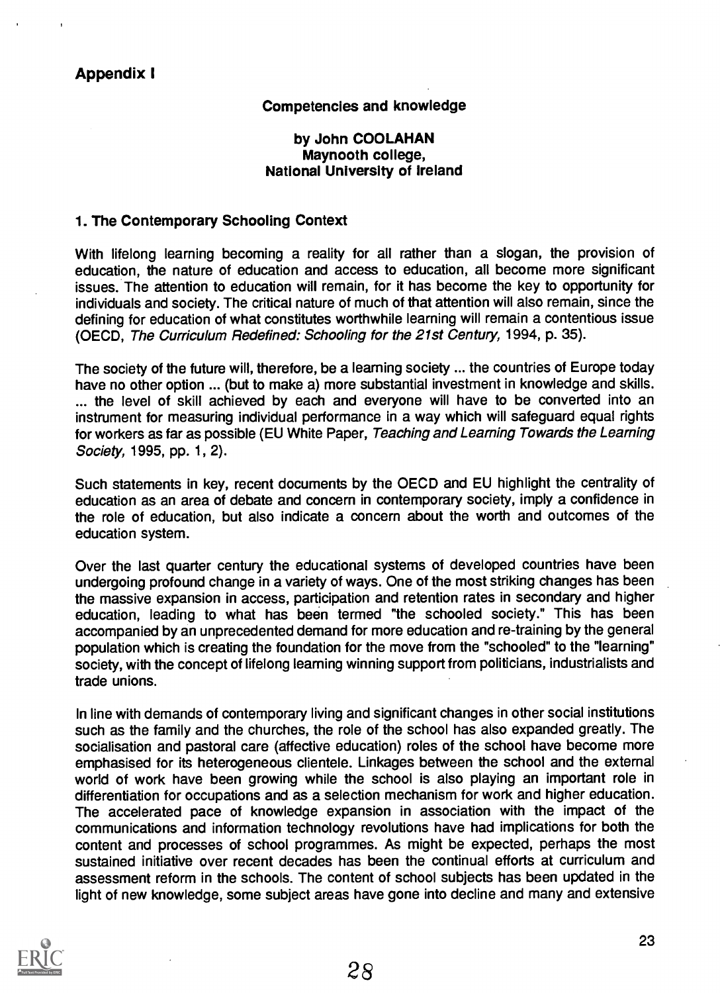### Appendix I

#### Competencies and knowledge

#### by John COOLAHAN Maynooth college, National University of Ireland

#### 1. The Contemporary Schooling Context

With lifelong learning becoming a reality for all rather than a slogan, the provision of education, the nature of education and access to education, all become more significant issues. The attention to education will remain, for it has become the key to opportunity for individuals and society. The critical nature of much of that attention will also remain, since the defining for education of what constitutes worthwhile learning will remain a contentious issue (OECD, The Curriculum Redefined: Schooling for the 21st Century, 1994, p. 35).

The society of the future will, therefore, be a learning society ... the countries of Europe today have no other option ... (but to make a) more substantial investment in knowledge and skills. ... the level of skill achieved by each and everyone will have to be converted into an instrument for measuring individual performance in a way which will safeguard equal rights for workers as far as possible (EU White Paper, Teaching and Learning Towards the Learning Society, 1995, pp. 1, 2).

Such statements in key, recent documents by the OECD and EU highlight the centrality of education as an area of debate and concern in contemporary society, imply a confidence in the role of education, but also indicate a concern about the worth and outcomes of the education system.

Over the last quarter century the educational systems of developed countries have been undergoing profound change in a variety of ways. One of the most striking changes has been the massive expansion in access, participation and retention rates in secondary and higher education, leading to what has been termed "the schooled society." This has been accompanied by an unprecedented demand for more education and re-training by the general population which is creating the foundation for the move from the "schooled" to the "learning" society, with the concept of lifelong learning winning support from politicians, industrialists and trade unions.

In line with demands of contemporary living and significant changes in other social institutions such as the family and the churches, the role of the school has also expanded greatly. The socialisation and pastoral care (affective education) roles of the school have become more emphasised for its heterogeneous clientele. Linkages between the school and the external world of work have been growing while the school is also playing an important role in differentiation for occupations and as a selection mechanism for work and higher education. The accelerated pace of knowledge expansion in association with the impact of the communications and information technology revolutions have had implications for both the content and processes of school programmes. As might be expected, perhaps the most sustained initiative over recent decades has been the continual efforts at curriculum and assessment reform in the schools. The content of school subjects has been updated in the light of new knowledge, some subject areas have gone into decline and many and extensive

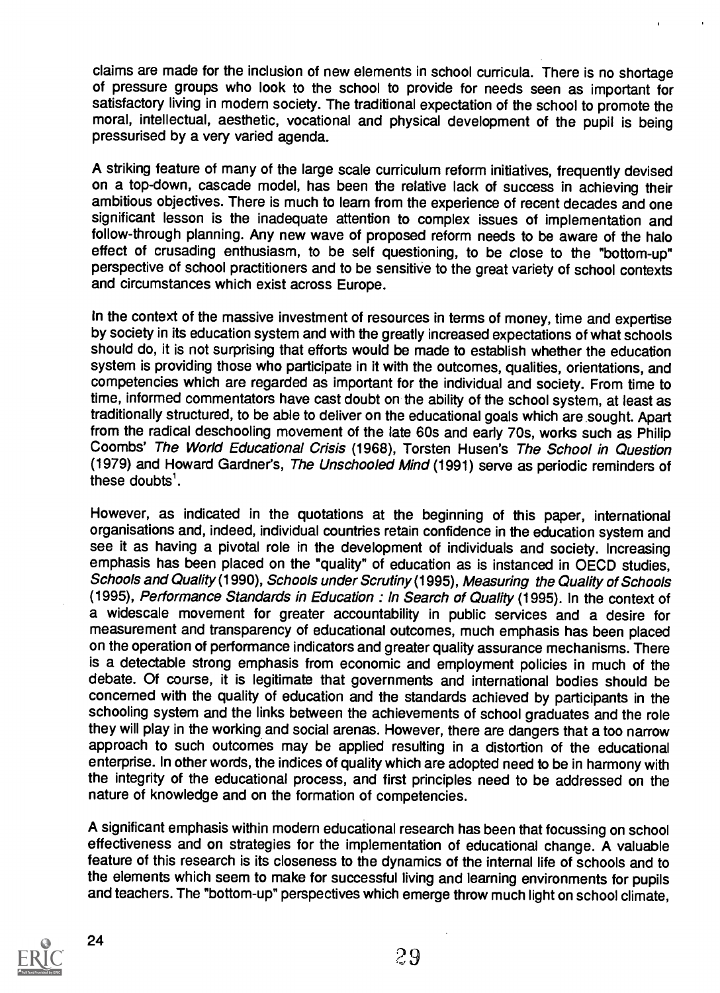claims are made for the inclusion of new elements in school curricula. There is no shortage of pressure groups who look to the school to provide for needs seen as important for satisfactory living in modem society. The traditional expectation of the school to promote the moral, intellectual, aesthetic, vocational and physical development of the pupil is being pressurised by a very varied agenda.

A striking feature of many of the large scale curriculum reform initiatives, frequently devised on a top-down, cascade model, has been the relative lack of success in achieving their ambitious objectives. There is much to learn from the experience of recent decades and one significant lesson is the inadequate attention to complex issues of implementation and follow-through planning. Any new wave of proposed reform needs to be aware of the halo effect of crusading enthusiasm, to be self questioning, to be close to the "bottom-up" perspective of school practitioners and to be sensitive to the great variety of school contexts and circumstances which exist across Europe.

In the context of the massive investment of resources in terms of money, time and expertise by society in its education system and with the greatly increased expectations of what schools should do, it is not surprising that efforts would be made to establish whether the education system is providing those who participate in it with the outcomes, qualities, orientations, and competencies which are regarded as important for the individual and society. From time to time, informed commentators have cast doubt on the ability of the school system, at least as traditionally structured, to be able to deliver on the educational goals which are sought. Apart from the radical deschooling movement of the late 60s and early 70s, works such as Philip Coombs' The World Educational Crisis (1968), Torsten Husen's The School in Question (1979) and Howard Gardner's, The Unschooled Mind (1991) serve as periodic reminders of these doubts'.

However, as indicated in the quotations at the beginning of this paper, international organisations and, indeed, individual countries retain confidence in the education system and see it as having a pivotal role in the development of individuals and society. Increasing emphasis has been placed on the "quality" of education as is instanced in OECD studies. Schools and Quality (1990), Schools under Scrutiny (1995), Measuring the Quality of Schools (1995), Performance Standards in Education : In Search of Quality (1995). In the context of a widescale movement for greater accountability in public services and a desire for measurement and transparency of educational outcomes, much emphasis has been placed on the operation of performance indicators and greater quality assurance mechanisms. There is a detectable strong emphasis from economic and employment policies in much of the debate. Of course, it is legitimate that governments and international bodies should be concerned with the quality of education and the standards achieved by participants in the schooling system and the links between the achievements of school graduates and the role they will play in the working and social arenas. However, there are dangers that a too narrow approach to such outcomes may be applied resulting in a distortion of the educational enterprise. In other words, the indices of quality which are adopted need to be in harmony with the integrity of the educational process, and first principles need to be addressed on the nature of knowledge and on the formation of competencies.

A significant emphasis within modern educational research has been that focussing on school effectiveness and on strategies for the implementation of educational change. A valuable feature of this research is its closeness to the dynamics of the internal life of schools and to the elements which seem to make for successful living and learning environments for pupils and teachers. The "bottom-up" perspectives which emerge throw much light on school climate,

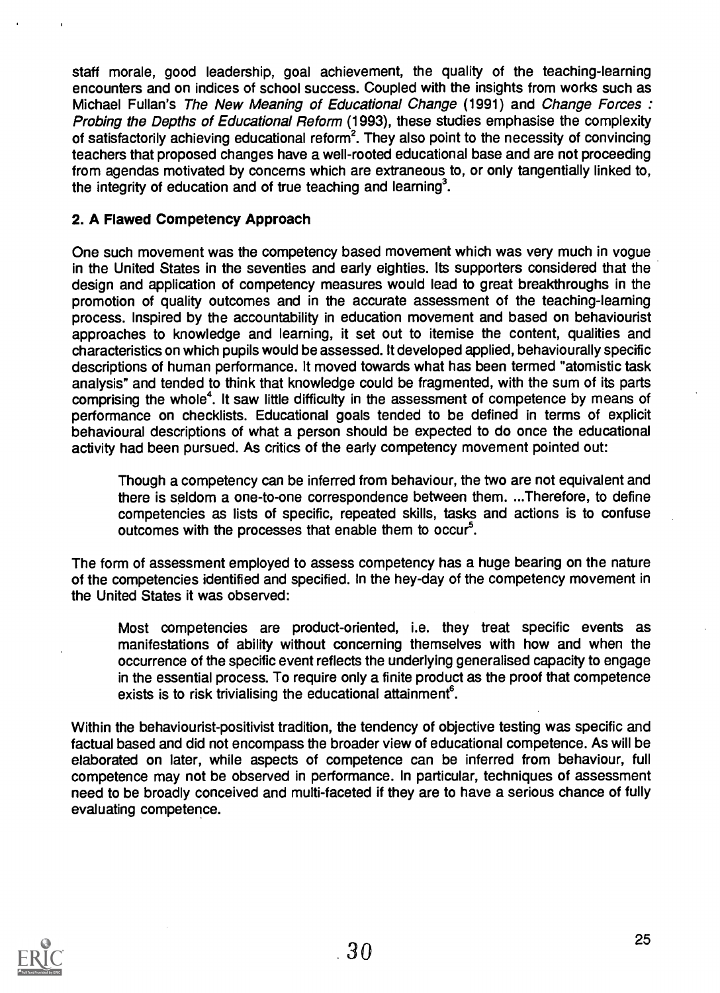staff morale, good leadership, goal achievement, the quality of the teaching-learning encounters and on indices of school success. Coupled with the insights from works such as Michael Fullan's The New Meaning of Educational Change (1991) and Change Forces : Probing the Depths of Educational Reform (1993), these studies emphasise the complexity of satisfactorily achieving educational reform<sup>2</sup>. They also point to the necessity of convincing teachers that proposed changes have a well-rooted educational base and are not proceeding from agendas motivated by concerns which are extraneous to, or only tangentially linked to, the integrity of education and of true teaching and learning<sup>3</sup>.

#### 2. A Flawed Competency Approach

One such movement was the competency based movement which was very much in vogue in the United States in the seventies and early eighties. Its supporters considered that the design and application of competency measures would lead to great breakthroughs in the promotion of quality outcomes and in the accurate assessment of the teaching-learning process. Inspired by the accountability in education movement and based on behaviourist approaches to knowledge and learning, it set out to itemise the content, qualities and characteristics on which pupils would be assessed. It developed applied, behaviourally specific descriptions of human performance. It moved towards what has been termed "atomistic task analysis" and tended to think that knowledge could be fragmented, with the sum of its parts comprising the whole<sup>4</sup>. It saw little difficulty in the assessment of competence by means of performance on checklists. Educational goals tended to be defined in terms of explicit behavioural descriptions of what a person should be expected to do once the educational activity had been pursued. As critics of the early competency movement pointed out:

Though a competency can be inferred from behaviour, the two are not equivalent and there is seldom a one-to-one correspondence between them. ...Therefore, to define competencies as lists of specific, repeated skills, tasks and actions is to confuse outcomes with the processes that enable them to occur<sup>5</sup>.

The form of assessment employed to assess competency has a huge bearing on the nature of the competencies identified and specified. In the hey-day of the competency movement in the United States it was observed:

Most competencies are product-oriented, i.e. they treat specific events as manifestations of ability without concerning themselves with how and when the occurrence of the specific event reflects the underlying generalised capacity to engage in the essential process. To require only a finite product as the proof that competence exists is to risk trivialising the educational attainment<sup> $s$ </sup>.

Within the behaviourist-positivist tradition, the tendency of objective testing was specific and factual based and did not encompass the broader view of educational competence. As will be elaborated on later, while aspects of competence can be inferred from behaviour, full competence may not be observed in performance. In particular, techniques of assessment need to be broadly conceived and multi-faceted if they are to have a serious chance of fully evaluating competence.

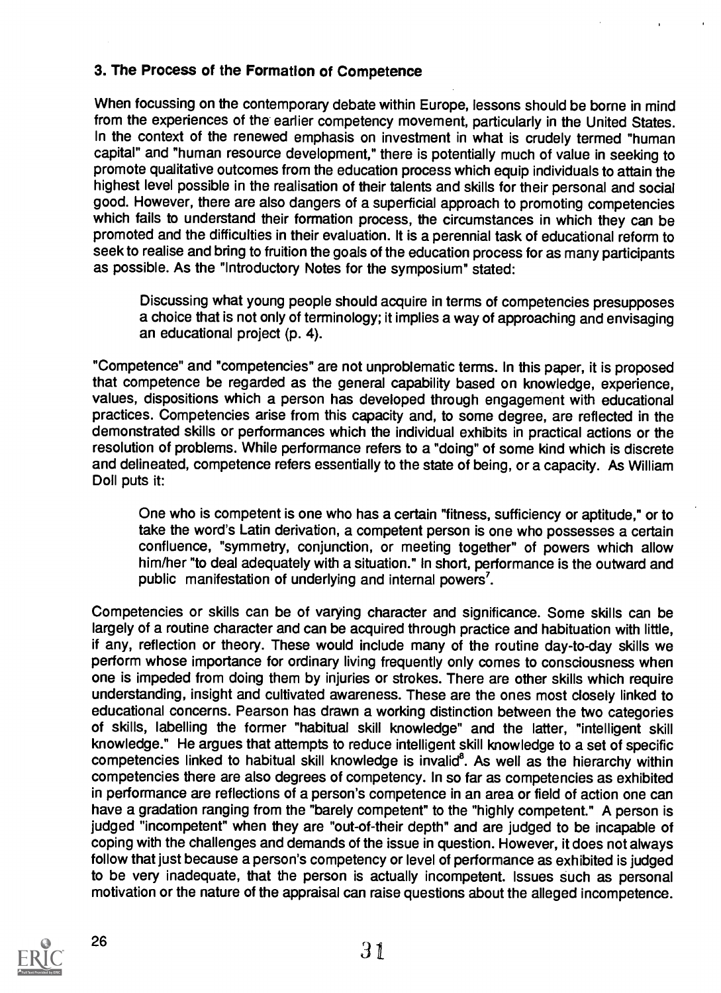#### 3. The Process of the Formation of Competence

When focussing on the contemporary debate within Europe, lessons should be borne in mind from the experiences of the earlier competency movement, particularly in the United States. In the context of the renewed emphasis on investment in what is crudely termed "human capital" and "human resource development," there is potentially much of value in seeking to promote qualitative outcomes from the education process which equip individuals to attain the highest level possible in the realisation of their talents and skills for their personal and social good. However, there are also dangers of a superficial approach to promoting competencies which fails to understand their formation process, the circumstances in which they can be promoted and the difficulties in their evaluation. It is a perennial task of educational reform to seek to realise and bring to fruition the goals of the education process for as many participants as possible. As the "Introductory Notes for the symposium" stated:

Discussing what young people should acquire in terms of competencies presupposes a choice that is not only of terminology; it implies a way of approaching and envisaging an educational project (p. 4).

"Competence" and "competencies" are not unproblematic terms. In this paper, it is proposed that competence be regarded as the general capability based on knowledge, experience, values, dispositions which a person has developed through engagement with educational practices. Competencies arise from this capacity and, to some degree, are reflected in the demonstrated skills or performances which the individual exhibits in practical actions or the resolution of problems. While performance refers to a "doing" of some kind which is discrete and delineated, competence refers essentially to the state of being, or a capacity. As William Doll puts it:

One who is competent is one who has a certain "fitness, sufficiency or aptitude," or to take the word's Latin derivation, a competent person is one who possesses a certain confluence, "symmetry, conjunction, or meeting together" of powers which allow him/her "to deal adequately with a situation." in short, performance is the outward and public manifestation of underlying and internal powers'.

Competencies or skills can be of varying character and significance. Some skills can be largely of a routine character and can be acquired through practice and habituation with little, if any, reflection or theory. These would include many of the routine day-to-day skills we perform whose importance for ordinary living frequently only comes to consciousness when one is impeded from doing them by injuries or strokes. There are other skills which require understanding, insight and cultivated awareness. These are the ones most closely linked to educational concerns. Pearson has drawn a working distinction between the two categories of skills, labelling the former "habitual skill knowledge" and the latter, "intelligent skill knowledge." He argues that attempts to reduce intelligent skill knowledge to a set of specific competencies linked to habitual skill knowledge is invalid<sup>8</sup>. As well as the hierarchy within competencies there are also degrees of competency. In so far as competencies as exhibited in performance are reflections of a person's competence in an area or field of action one can have a gradation ranging from the "barely competent" to the "highly competent." A person is judged "incompetent" when they are "out-of-their depth" and are judged to be incapable of coping with the challenges and demands of the issue in question. However, it does not always follow that just because a person's competency or level of performance as exhibited is judged to be very inadequate, that the person is actually incompetent. Issues such as personal motivation or the nature of the appraisal can raise questions about the alleged incompetence.

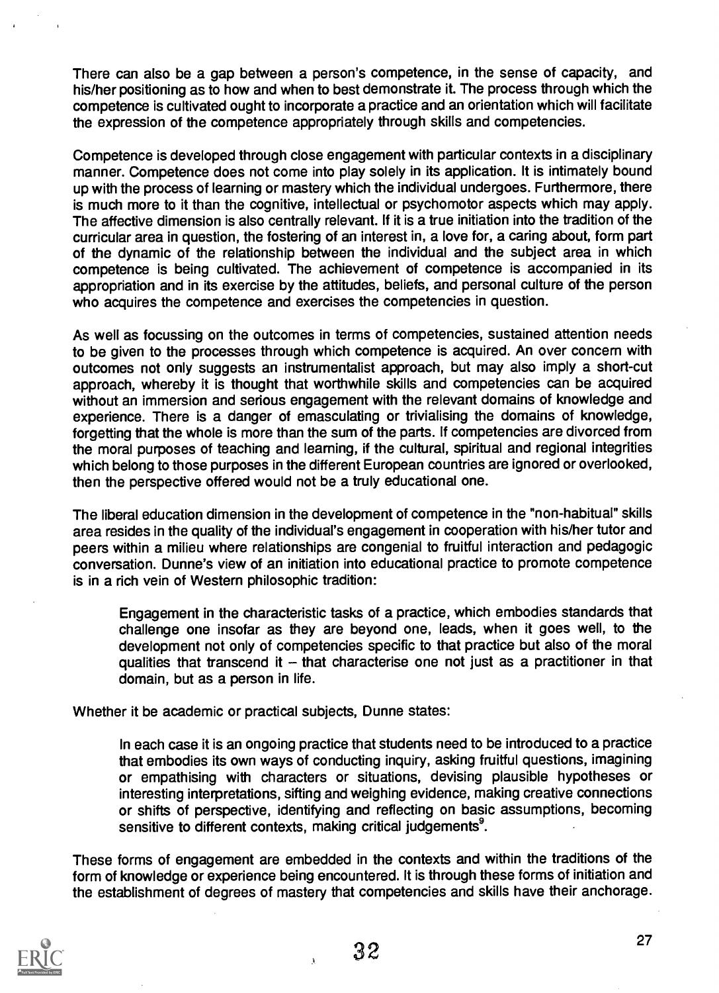There can also be a gap between a person's competence, in the sense of capacity, and his/her positioning as to how and when to best demonstrate it. The process through which the competence is cultivated ought to incorporate a practice and an orientation which will facilitate the expression of the competence appropriately through skills and competencies.

Competence is developed through close engagement with particular contexts in a disciplinary manner. Competence does not come into play solely in its application. It is intimately bound up with the process of learning or mastery which the individual undergoes. Furthermore, there is much more to it than the cognitive, intellectual or psychomotor aspects which may apply. The affective dimension is also centrally relevant. If it is a true initiation into the tradition of the curricular area in question, the fostering of an interest in, a love for, a caring about, form part of the dynamic of the relationship between the individual and the subject area in which competence is being cultivated. The achievement of competence is accompanied in its appropriation and in its exercise by the attitudes, beliefs, and personal culture of the person who acquires the competence and exercises the competencies in question.

As well as focussing on the outcomes in terms of competencies, sustained attention needs to be given to the processes through which competence is acquired. An over concern with outcomes not only suggests an instrumentalist approach, but may also imply a short-cut approach, whereby it is thought that worthwhile skills and competencies can be acquired without an immersion and serious engagement with the relevant domains of knowledge and experience. There is a danger of emasculating or trivialising the domains of knowledge, forgetting that the whole is more than the sum of the parts. If competencies are divorced from the moral purposes of teaching and learning, if the cultural, spiritual and regional integrities which belong to those purposes in the different European countries are ignored or overlooked, then the perspective offered would not be a truly educational one.

The liberal education dimension in the development of competence in the "non-habitual" skills area resides in the quality of the individual's engagement in cooperation with his/her tutor and peers within a milieu where relationships are congenial to fruitful interaction and pedagogic conversation. Dunne's view of an initiation into educational practice to promote competence is in a rich vein of Western philosophic tradition:

Engagement in the characteristic tasks of a practice, which embodies standards that challenge one insofar as they are beyond one, leads, when it goes well, to the development not only of competencies specific to that practice but also of the moral qualities that transcend it - that characterise one not just as a practitioner in that domain, but as a person in life.

Whether it be academic or practical subjects, Dunne states:

In each case it is an ongoing practice that students need to be introduced to a practice that embodies its own ways of conducting inquiry, asking fruitful questions, imagining or empathising with characters or situations, devising plausible hypotheses or interesting interpretations, sifting and weighing evidence, making creative connections or shifts of perspective, identifying and reflecting on basic assumptions, becoming sensitive to different contexts, making critical judgements<sup>9</sup>.

These forms of engagement are embedded in the contexts and within the traditions of the form of knowledge or experience being encountered. It is through these forms of initiation and the establishment of degrees of mastery that competencies and skills have their anchorage.

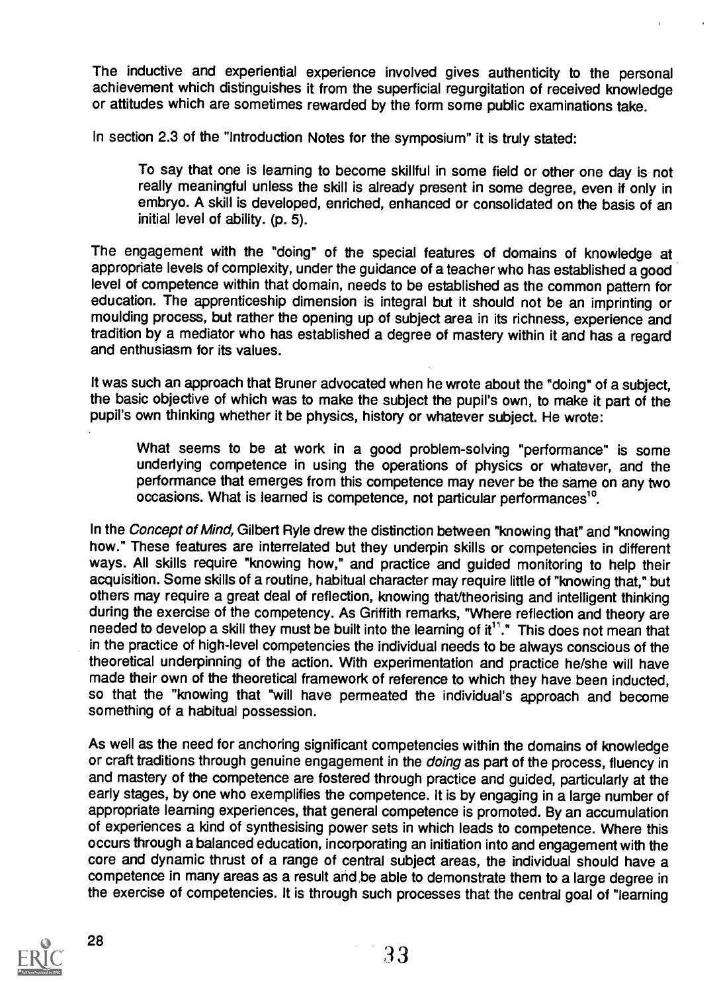The inductive and experiential experience involved gives authenticity to the personal achievement which distinguishes it from the superficial regurgitation of received knowledge or attitudes which are sometimes rewarded by the form some public examinations take.

In section 2.3 of the "Introduction Notes for the symposium" it is truly stated:

To say that one is learning to become skillful in some field or other one day is not really meaningful unless the skill is already present in some degree, even if only in embryo. A skill is developed, enriched, enhanced or consolidated on the basis of an initial level of ability. (p. 5).

The engagement with the "doing" of the special features of domains of knowledge at appropriate levels of complexity, under the guidance of a teacher who has established a good level of competence within that domain, needs to be established as the common pattern for education. The apprenticeship dimension is integral but it should not be an imprinting or moulding process, but rather the opening up of subject area in its richness, experience and tradition by a mediator who has established a degree of mastery within it and has a regard and enthusiasm for its values.

It was such an approach that Bruner advocated when he wrote about the "doing" of a subject, the basic objective of which was to make the subject the pupil's own, to make it part of the pupil's own thinking whether it be physics, history or whatever subject. He wrote:

What seems to be at work in a good problem-solving "performance" is some underlying competence in using the operations of physics or whatever, and the performance that emerges from this competence may never be the same on any two occasions. What is learned is competence, not particular performances'°.

In the Concept of Mind, Gilbert Ryle drew the distinction between "knowing that" and "knowing how." These features are interrelated but they underpin skills or competencies in different ways. All skills require "knowing how," and practice and guided monitoring to help their acquisition. Some skills of a routine, habitual character may require little of "knowing that," but others may require a great deal of reflection, knowing that/theorising and intelligent thinking during the exercise of the competency. As Griffith remarks, "Where reflection and theory are needed to develop a skill they must be built into the learning of it<sup>11</sup>." This does not mean that in the practice of high-level competencies the individual needs to be always conscious of the theoretical underpinning of the action. With experimentation and practice he/she will have made their own of the theoretical framework of reference to which they have been inducted, so that the "knowing that "will have permeated the individual's approach and become something of a habitual possession.

As well as the need for anchoring significant competencies within the domains of knowledge or craft traditions through genuine engagement in the *doing* as part of the process, fluency in and mastery of the competence are fostered through practice and guided, particularly at the early stages, by one who exemplifies the competence. It is by engaging in a large number of appropriate learning experiences, that general competence is promoted. By an accumulation of experiences a kind of synthesising power sets in which leads to competence. Where this occurs through a balanced education, incorporating an initiation into and engagement with the core and dynamic thrust of a range of central subject areas, the individual should have a competence in many areas as a result and be able to demonstrate them to a large degree in the exercise of competencies. It is through such processes that the central goal of "learning

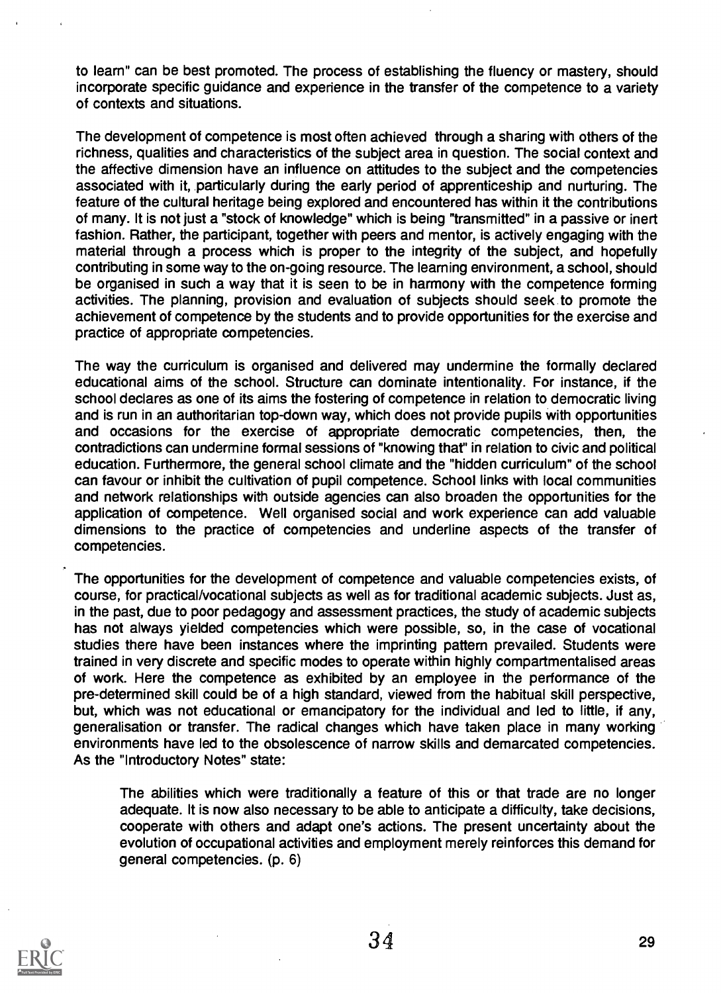to learn" can be best promoted. The process of establishing the fluency or mastery, should incorporate specific guidance and experience in the transfer of the competence to a variety of contexts and situations.

The development of competence is most often achieved through a sharing with others of the richness, qualities and characteristics of the subject area in question. The social context and the affective dimension have an influence on attitudes to the subject and the competencies associated with it, particularly during the early period of apprenticeship and nurturing. The feature of the cultural heritage being explored and encountered has within it the contributions of many. It is not just a "stock of knowledge" which is being "transmitted" in a passive or inert fashion. Rather, the participant, together with peers and mentor, is actively engaging with the material through a process which is proper to the integrity of the subject, and hopefully contributing in some way to the on-going resource. The learning environment, a school, should be organised in such a way that it is seen to be in harmony with the competence forming activities. The planning, provision and evaluation of subjects should seek to promote the achievement of competence by the students and to provide opportunities for the exercise and practice of appropriate competencies.

The way the curriculum is organised and delivered may undermine the formally declared educational aims of the school. Structure can dominate intentionality. For instance, if the school declares as one of its aims the fostering of competence in relation to democratic living and is run in an authoritarian top-down way, which does not provide pupils with opportunities and occasions for the exercise of appropriate democratic competencies, then, the contradictions can undermine formal sessions of "knowing that" in relation to civic and political education. Furthermore, the general school climate and the "hidden curriculum" of the school can favour or inhibit the cultivation of pupil competence. School links with local communities and network relationships with outside agencies can also broaden the opportunities for the application of competence. Well organised social and work experience can add valuable dimensions to the practice of competencies and underline aspects of the transfer of competencies.

The opportunities for the development of competence and valuable competencies exists, of course, for practical/vocational subjects as well as for traditional academic subjects. Just as, in the past, due to poor pedagogy and assessment practices, the study of academic subjects has not always yielded competencies which were possible, so, in the case of vocational studies there have been instances where the imprinting pattern prevailed. Students were trained in very discrete and specific modes to operate within highly compartmentalised areas of work. Here the competence as exhibited by an employee in the performance of the pre-determined skill could be of a high standard, viewed from the habitual skill perspective, but, which was not educational or emancipatory for the individual and led to little, if any, generalisation or transfer. The radical changes which have taken place in many working environments have led to the obsolescence of narrow skills and demarcated competencies. As the "Introductory Notes" state:

The abilities which were traditionally a feature of this or that trade are no longer adequate. It is now also necessary to be able to anticipate a difficulty, take decisions, cooperate with others and adapt one's actions. The present uncertainty about the evolution of occupational activities and employment merely reinforces this demand for general competencies. (p. 6)

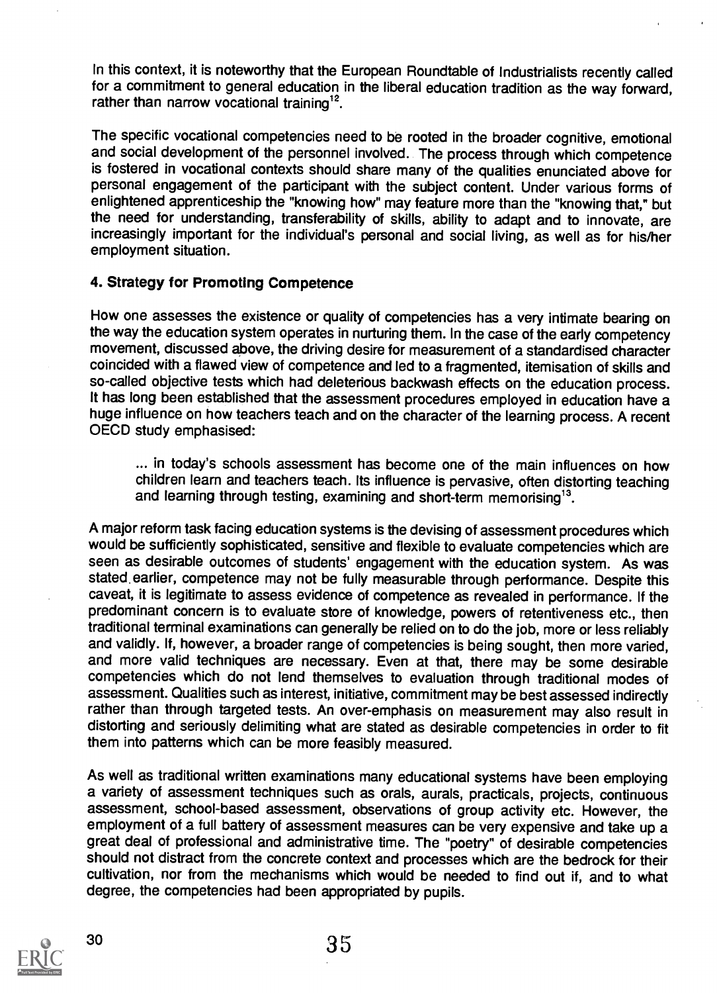In this context, it is noteworthy that the European Roundtable of Industrialists recently called for a commitment to general education in the liberal education tradition as the way forward, rather than narrow vocational training<sup>12</sup>.

The specific vocational competencies need to be rooted in the broader cognitive, emotional and social development of the personnel involved. The process through which competence is fostered in vocational contexts should share many of the qualities enunciated above for personal engagement of the participant with the subject content. Under various forms of enlightened apprenticeship the "knowing how" may feature more than the "knowing that," but the need for understanding, transferability of skills, ability to adapt and to innovate, are increasingly important for the individual's personal and social living, as well as for his/her employment situation.

#### 4. Strategy for Promoting Competence

How one assesses the existence or quality of competencies has a very intimate bearing on the way the education system operates in nurturing them. In the case of the early competency movement, discussed above, the driving desire for measurement of a standardised character coincided with a flawed view of competence and led to a fragmented, itemisation of skills and so-called objective tests which had deleterious backwash effects on the education process. It has long been established that the assessment procedures employed in education have a huge influence on how teachers teach and on the character of the learning process. A recent OECD study emphasised:

... in today's schools assessment has become one of the main influences on how children learn and teachers teach. Its influence is pervasive, often distorting teaching and learning through testing, examining and short-term memorising<sup>13</sup>.

A major reform task facing education systems is the devising of assessment procedures which would be sufficiently sophisticated, sensitive and flexible to evaluate competencies which are seen as desirable outcomes of students' engagement with the education system. As was stated. earlier, competence may not be fully measurable through performance. Despite this caveat, it is legitimate to assess evidence of competence as revealed in performance. If the predominant concern is to evaluate store of knowledge, powers of retentiveness etc., then traditional terminal examinations can generally be relied on to do the job, more or less reliably and validly. If, however, a broader range of competencies is being sought, then more varied, and more valid techniques are necessary. Even at that, there may be some desirable competencies which do not lend themselves to evaluation through traditional modes of assessment. Qualities such as interest, initiative, commitment may be best assessed indirectly rather than through targeted tests. An over-emphasis on measurement may also result in distorting and seriously delimiting what are stated as desirable competencies in order to fit them into patterns which can be more feasibly measured.

As well as traditional written examinations many educational systems have been employing a variety of assessment techniques such as orals, aurals, practicals, projects, continuous assessment, school-based assessment, observations of group activity etc. However, the employment of a full battery of assessment measures can be very expensive and take up a great deal of professional and administrative time. The "poetry" of desirable competencies should not distract from the concrete context and processes which are the bedrock for their cultivation, nor from the mechanisms which would be needed to find out if, and to what degree, the competencies had been appropriated by pupils.

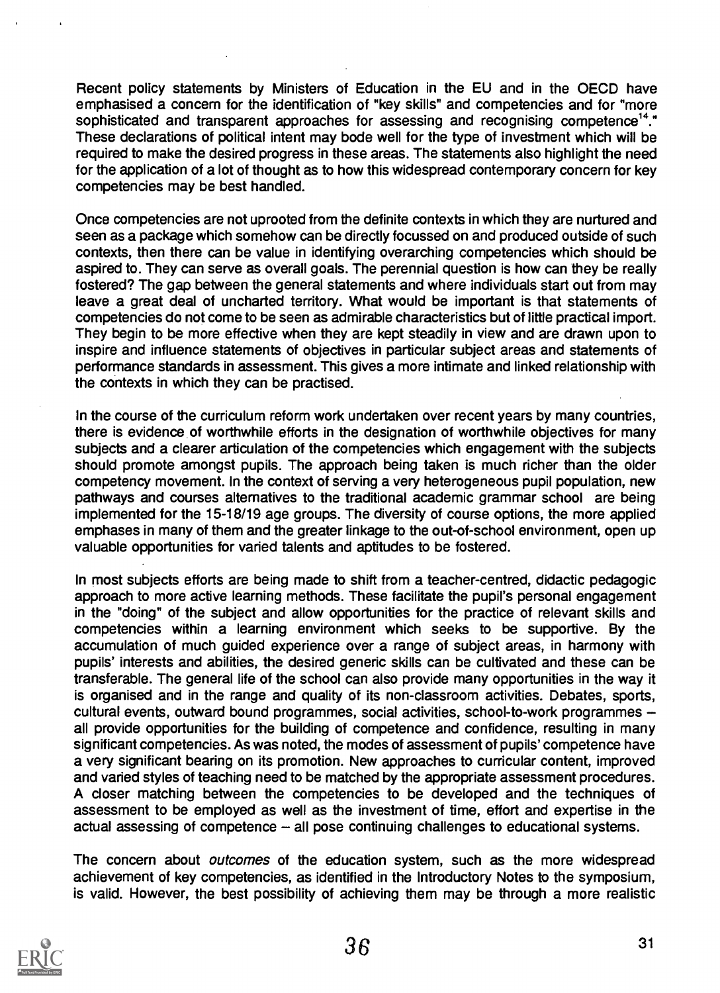Recent policy statements by Ministers of Education in the EU and in the OECD have emphasised a concern for the identification of "key skills" and competencies and for "more sophisticated and transparent approaches for assessing and recognising competence<sup>14</sup>." These declarations of political intent may bode well for the type of investment which will be required to make the desired progress in these areas. The statements also highlight the need for the application of a lot of thought as to how this widespread contemporary concern for key competencies may be best handled.

Once competencies are not uprooted from the definite contexts in which they are nurtured and seen as a package which somehow can be directly focussed on and produced outside of such contexts, then there can be value in identifying overarching competencies which should be aspired to. They can serve as overall goals. The perennial question is how can they be really fostered? The gap between the general statements and where individuals start out from may leave a great deal of uncharted territory. What would be important is that statements of competencies do not come to be seen as admirable characteristics but of little practical import. They begin to be more effective when they are kept steadily in view and are drawn upon to inspire and influence statements of objectives in particular subject areas and statements of performance standards in assessment. This gives a more intimate and linked relationship with the contexts in which they can be practised.

In the course of the curriculum reform work undertaken over recent years by many countries, there is evidence of worthwhile efforts in the designation of worthwhile objectives for many subjects and a clearer articulation of the competencies which engagement with the subjects should promote amongst pupils. The approach being taken is much richer than the older competency movement. In the context of serving a very heterogeneous pupil population, new pathways and courses alternatives to the traditional academic grammar school are being implemented for the 15-18/19 age groups. The diversity of course options, the more applied emphases in many of them and the greater linkage to the out-of-school environment, open up valuable opportunities for varied talents and aptitudes to be fostered.

In most subjects efforts are being made to shift from a teacher-centred, didactic pedagogic approach to more active learning methods. These facilitate the pupil's personal engagement in the "doing" of the subject and allow opportunities for the practice of relevant skills and competencies within a learning environment which seeks to be supportive. By the accumulation of much guided experience over a range of subject areas, in harmony with pupils' interests and abilities, the desired generic skills can be cultivated and these can be transferable. The general life of the school can also provide many opportunities in the way it is organised and in the range and quality of its non-classroom activities. Debates, sports, cultural events, outward bound programmes, social activities, school-to-work programmes all provide opportunities for the building of competence and confidence, resulting in many significant competencies. As was noted, the modes of assessment of pupils' competence have a very significant bearing on its promotion. New approaches to curricular content, improved and varied styles of teaching need to be matched by the appropriate assessment procedures. A closer matching between the competencies to be developed and the techniques of assessment to be employed as well as the investment of time, effort and expertise in the actual assessing of competence  $-$  all pose continuing challenges to educational systems.

The concern about *outcomes* of the education system, such as the more widespread achievement of key competencies, as identified in the Introductory Notes to the symposium, is valid. However, the best possibility of achieving them may be through a more realistic

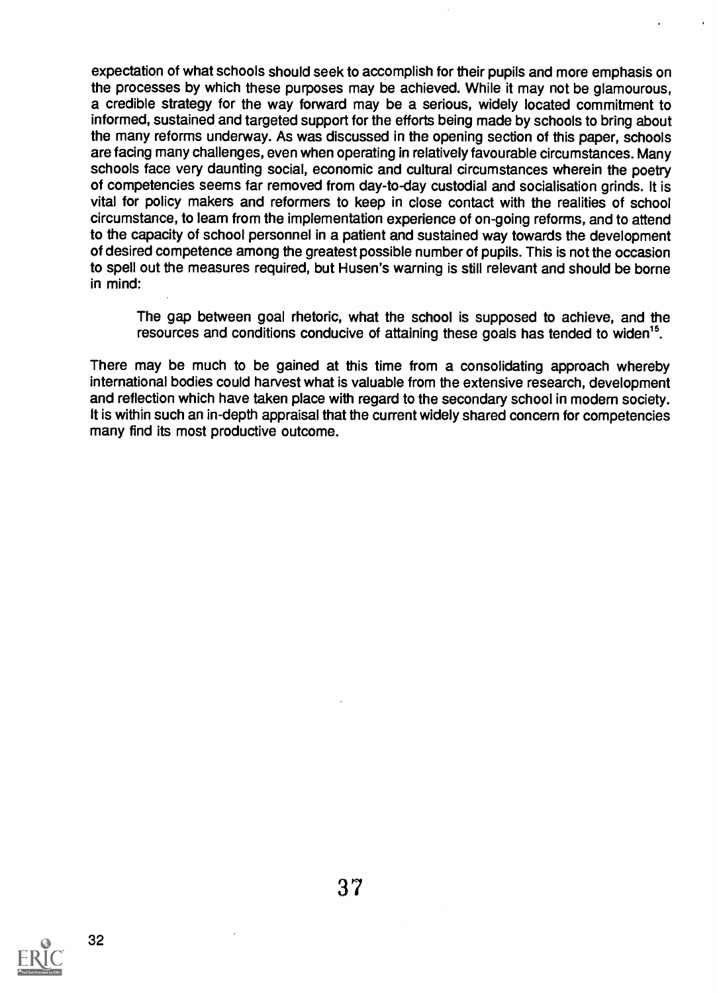expectation of what schools should seek to accomplish for their pupils and more emphasis on the processes by which these purposes may be achieved. While it may not be glamourous, a credible strategy for the way forward may be a serious, widely located commitment to informed, sustained and targeted support for the efforts being made by schools to bring about the many reforms underway. As was discussed in the opening section of this paper, schools are facing many challenges, even when operating in relatively favourable circumstances. Many schools face very daunting social, economic and cultural circumstances wherein the poetry of competencies seems far removed from day-to-day custodial and socialisation grinds. It is vital for policy makers and reformers to keep in close contact with the realities of school circumstance, to learn from the implementation experience of on-going reforms, and to attend to the capacity of school personnel in a patient and sustained way towards the development of desired competence among the greatest possible number of pupils. This is not the occasion to spell out the measures required, but Husen's warning is still relevant and should be borne in mind:

The gap between goal rhetoric, what the school is supposed to achieve, and the resources and conditions conducive of attaining these goals has tended to widen<sup>15</sup>.

There may be much to be gained at this time from a consolidating approach whereby international bodies could harvest what is valuable from the extensive research, development and reflection which have taken place with regard to the secondary school in modern society. It is within such an in-depth appraisal that the current widely shared concern for competencies many find its most productive outcome.

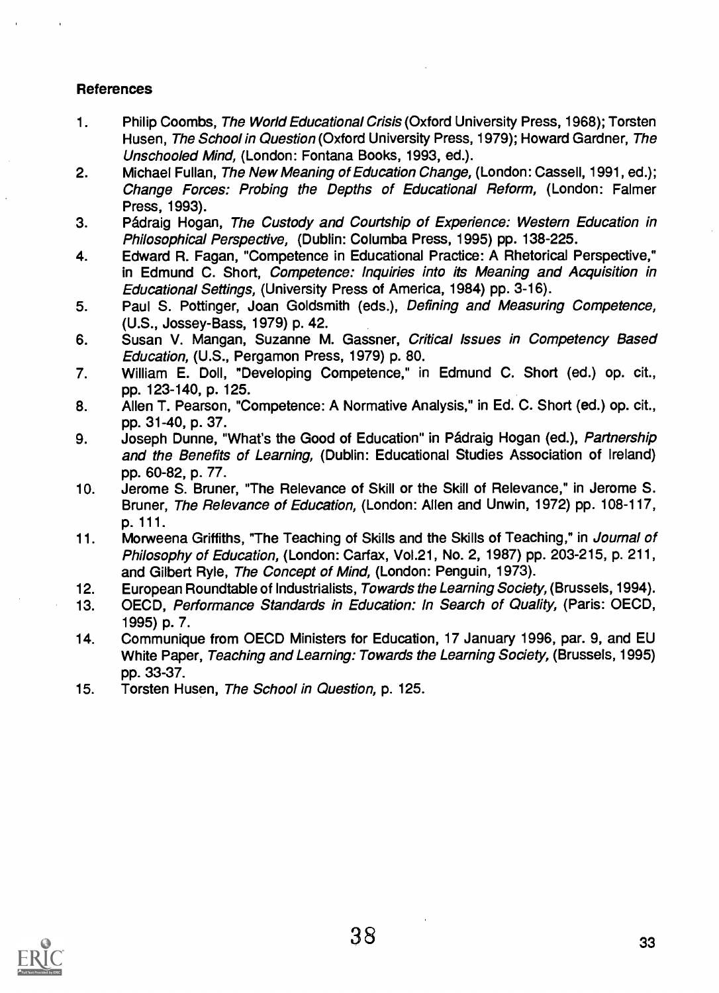# References

- 1. Philip Coombs, The World Educational Crisis (Oxford University Press, 1968); Torsten Husen, The School in Question (Oxford University Press, 1979); Howard Gardner, The Unschooled Mind, (London: Fontana Books, 1993, ed.).
- 2. Michael Fullan, The New Meaning of Education Change, (London: Cassell, 1991, ed.); Change Forces: Probing the Depths of Educational Reform, (London: Falmer Press, 1993).
- 3. Padraig Hogan, The Custody and Courtship of Experience: Western Education in Philosophical Perspective, (Dublin: Columba Press, 1995) pp. 138-225.
- 4. Edward R. Fagan, "Competence in Educational Practice: A Rhetorical Perspective," in Edmund C. Short, Competence: Inquiries into its Meaning and Acquisition in Educational Settings, (University Press of America, 1984) pp. 3-16).
- 5. Paul S. Pottinger, Joan Goldsmith (eds.), Defining and Measuring Competence, (U.S., Jossey-Bass, 1979) p. 42.
- 6. Susan V. Mangan, Suzanne M. Gassner, Critical Issues in Competency Based Education, (U.S., Pergamon Press, 1979) p. 80.
- 7. William E. Doll, "Developing Competence," in Edmund C. Short (ed.) op. cit., pp. 123-140, p. 125.
- 8. Allen T. Pearson, "Competence: A Normative Analysis," in Ed. C. Short (ed.) op. cit., pp. 31-40, p. 37.
- 9. Joseph Dunne, "What's the Good of Education" in Pádraig Hogan (ed.), Partnership and the Benefits of Learning, (Dublin: Educational Studies Association of Ireland) pp. 60-82, p. 77.
- 10. Jerome S. Bruner, "The Relevance of Skill or the Skill of Relevance," in Jerome S. Bruner, The Relevance of Education, (London: Allen and Unwin, 1972) pp. 108-117, p. 111
- 11. Morweena Griffiths, "The Teaching of Skills and the Skills of Teaching," in Journal of Philosophy of Education, (London: Carfax, Vol.21, No. 2, 1987) pp. 203-215, p. 211, and Gilbert Ryle, The Concept of Mind, (London: Penguin, 1973).
- 12. European Roundtable of Industrialists, Towards the Learning Society, (Brussels, 1994).
- 13. OECD, Performance Standards in Education: In Search of Quality, (Paris: OECD, 1995) p. 7.
- 14. Communique from OECD Ministers for Education, 17 January 1996, par. 9, and EU White Paper, Teaching and Learning: Towards the Learning Society, (Brussels, 1995) pp. 33-37.
- 15. Torsten Husen, The School in Question, p. 125.

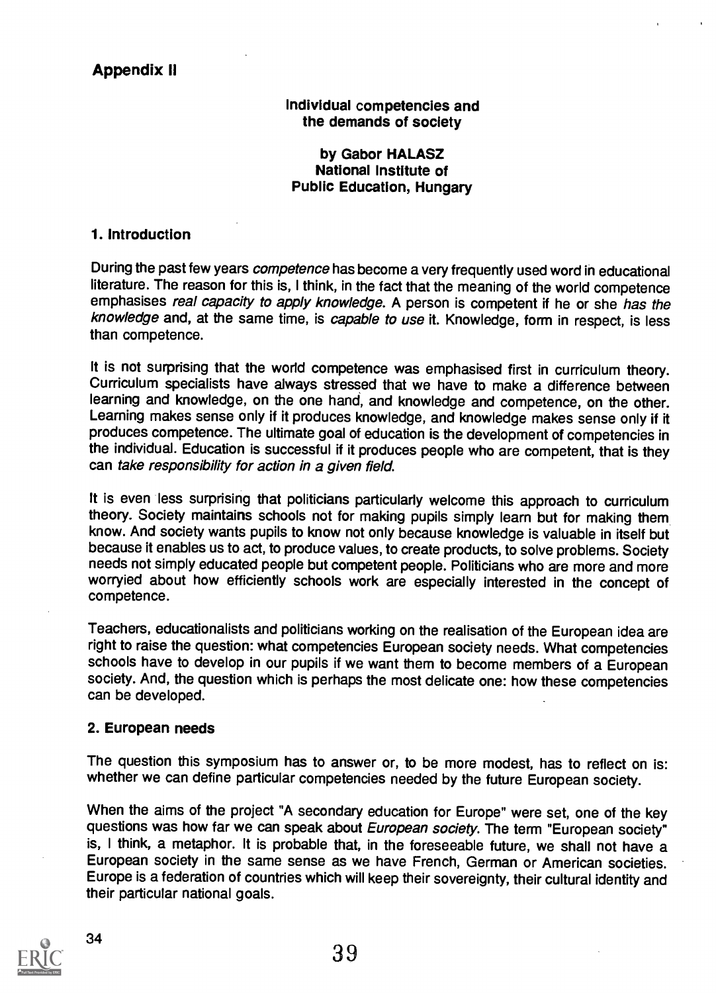# Appendix II

Individual competencies and the demands of society

by Gabor HALASZ National Institute of Public Education, Hungary

### 1. Introduction

During the past few years competence has become a very frequently used word in educational literature. The reason for this is, I think, in the fact that the meaning of the world competence emphasises real capacity to apply knowledge. A person is competent if he or she has the knowledge and, at the same time, is capable to use it. Knowledge, form in respect, is less than competence.

It is not surprising that the world competence was emphasised first in curriculum theory. Curriculum specialists have always stressed that we have to make a difference between learning and knowledge, on the one hand, and knowledge and competence, on the other. Learning makes sense only if it produces knowledge, and knowledge makes sense only if it produces competence. The ultimate goal of education is the development of competencies in the individual. Education is successful if it produces people who are competent, that is they can take responsibility for action in a given field.

It is even less surprising that politicians particularly welcome this approach to curriculum theory. Society maintains schools not for making pupils simply learn but for making them know. And society wants pupils to know not only because knowledge is valuable in itself but because it enables us to act, to produce values, to create products, to solve problems. Society needs not simply educated people but competent people. Politicians who are more and more worryied about how efficiently schools work are especially interested in the concept of competence.

Teachers, educationalists and politicians working on the realisation of the European idea are right to raise the question: what competencies European society needs. What competencies schools have to develop in our pupils if we want them to become members of a European society. And, the question which is perhaps the most delicate one: how these competencies can be developed.

#### 2. European needs

The question this symposium has to answer or, to be more modest, has to reflect on is: whether we can define particular competencies needed by the future European society.

When the aims of the project "A secondary education for Europe" were set, one of the key questions was how far we can speak about European society. The term "European society" is, I think, a metaphor. It is probable that, in the foreseeable future, we shall not have a European society in the same sense as we have French, German or American societies. Europe is a federation of countries which will keep their sovereignty, their cultural identity and their particular national goals.

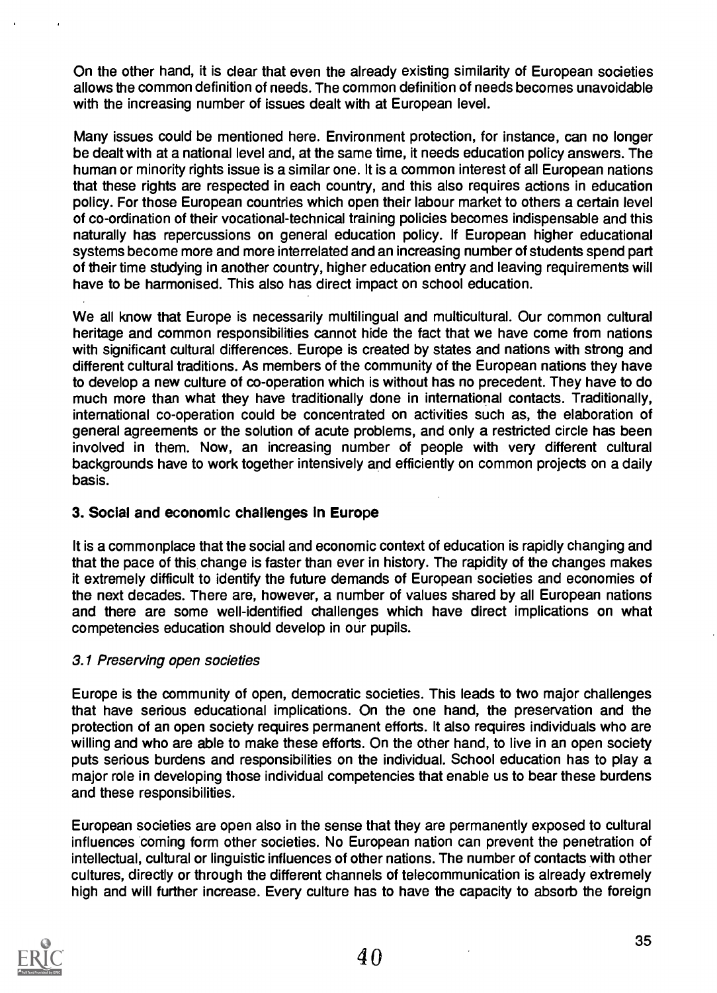On the other hand, it is clear that even the already existing similarity of European societies allows the common definition of needs. The common definition of needs becomes unavoidable with the increasing number of issues dealt with at European level.

Many issues could be mentioned here. Environment protection, for instance, can no longer be dealt with at a national level and, at the same time, it needs education policy answers. The human or minority rights issue is a similar one. It is a common interest of all European nations that these rights are respected in each country, and this also requires actions in education policy. For those European countries which open their labour market to others a certain level of co-ordination of their vocational-technical training policies becomes indispensable and this naturally has repercussions on general education policy. If European higher educational systems become more and more interrelated and an increasing number of students spend part of their time studying in another country, higher education entry and leaving requirements will have to be harmonised. This also has direct impact on school education.

We all know that Europe is necessarily multilingual and multicultural. Our common cultural heritage and common responsibilities cannot hide the fact that we have come from nations with significant cultural differences. Europe is created by states and nations with strong and different cultural traditions. As members of the community of the European nations they have to develop a new culture of co-operation which is without has no precedent. They have to do much more than what they have traditionally done in international contacts. Traditionally, international co-operation could be concentrated on activities such as, the elaboration of general agreements or the solution of acute problems, and only a restricted circle has been involved in them. Now, an increasing number of people with very different cultural backgrounds have to work together intensively and efficiently on common projects on a daily basis.

# 3. Social and economic challenges in Europe

It is a commonplace that the social and economic context of education is rapidly changing and that the pace of this change is faster than ever in history. The rapidity of the changes makes it extremely difficult to identify the future demands of European societies and economies of the next decades. There are, however, a number of values shared by all European nations and there are some well-identified challenges which have direct implications on what competencies education should develop in our pupils.

# 3.1 Preserving open societies

Europe is the community of open, democratic societies. This leads to two major challenges that have serious educational implications. On the one hand, the preservation and the protection of an open society requires permanent efforts. It also requires individuals who are willing and who are able to make these efforts. On the other hand, to live in an open society puts serious burdens and responsibilities on the individual. School education has to play a major role in developing those individual competencies that enable us to bear these burdens and these responsibilities.

European societies are open also in the sense that they are permanently exposed to cultural influences coming form other societies. No European nation can prevent the penetration of intellectual, cultural or linguistic influences of other nations. The number of contacts with other cultures, directly or through the different channels of telecommunication is already extremely high and will further increase. Every culture has to have the capacity to absorb the foreign

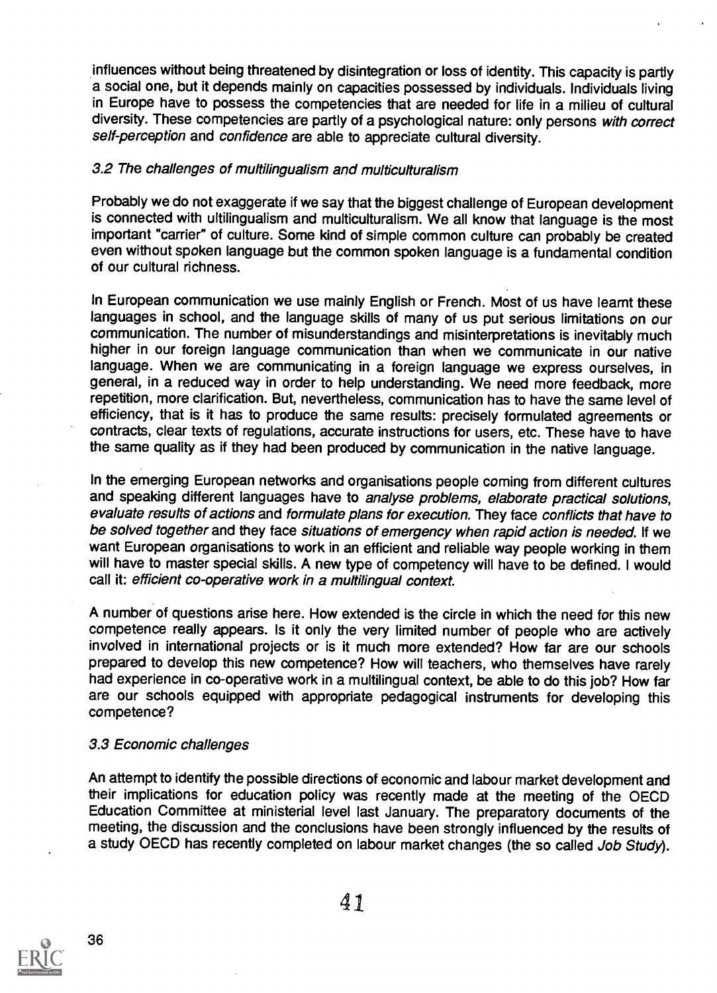influences without being threatened by disintegration or loss of identity. This capacity is partly a social one, but it depends mainly on capacities possessed by individuals. Individuals living in Europe have to possess the competencies that are needed for life in a milieu of cultural diversity. These competencies are partly of a psychological nature: only persons with correct self-perception and confidence are able to appreciate cultural diversity.

# 3.2 The challenges of multilingualism and multiculturalism

Probably we do not exaggerate if we say that the biggest challenge of European development is connected with ultilingualism and multiculturalism. We all know that language is the most important "carrier" of culture. Some kind of simple common culture can probably be created even without spoken language but the common spoken language is a fundamental condition of our cultural richness.

In European communication we use mainly English or French. Most of us have learnt these languages in school, and the language skills of many of us put serious limitations on our communication. The number of misunderstandings and misinterpretations is inevitably much higher in our foreign language communication than when we communicate in our native language. When we are communicating in a foreign language we express ourselves, in general, in a reduced way in order to help understanding. We need more feedback, more repetition, more clarification. But, nevertheless, communication has to have the same level of efficiency, that is it has to produce the same results: precisely formulated agreements or contracts, clear texts of regulations, accurate instructions for users, etc. These have to have the same quality as if they had been produced by communication in the native language.

In the emerging European networks and organisations people coming from different cultures and speaking different languages have to analyse problems, elaborate practical solutions, evaluate results of actions and formulate plans for execution. They face conflicts that have to be solved together and they face situations of emergency when rapid action is needed. If we want European organisations to work in an efficient and reliable way people working in them will have to master special skills. A new type of competency will have to be defined. I would call it: efficient co-operative work in a multilingual context.

A number of questions arise here. How extended is the circle in which the need for this new competence really appears. Is it only the very limited number of people who are actively involved in international projects or is it much more extended? How far are our schools prepared to develop this new competence? How will teachers, who themselves have rarely had experience in co-operative work in a multilingual context, be able to do this job? How far are our schools equipped with appropriate pedagogical instruments for developing this competence?

#### 3.3 Economic challenges

An attempt to identify the possible directions of economic and labour market development and their implications for education policy was recently made at the meeting of the OECD Education Committee at ministerial level last January. The preparatory documents of the meeting, the discussion and the conclusions have been strongly influenced by the results of a study OECD has recently completed on labour market changes (the so called Job Study).

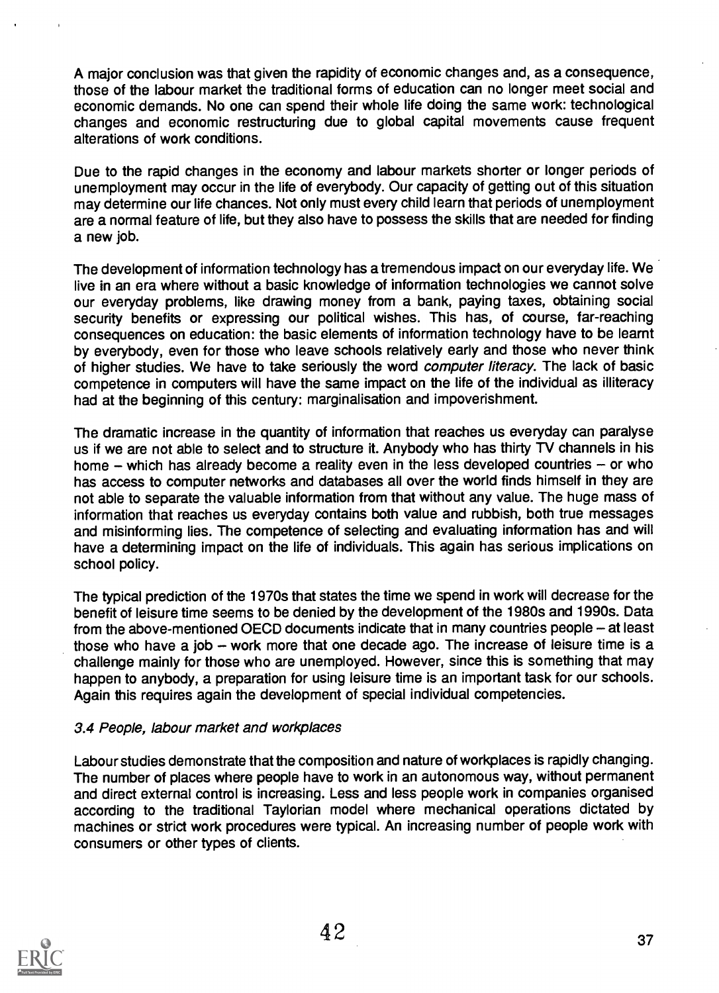A major conclusion was that given the rapidity of economic changes and, as a consequence, those of the labour market the traditional forms of education can no longer meet social and economic demands. No one can spend their whole life doing the same work: technological changes and economic restructuring due to global capital movements cause frequent alterations of work conditions.

Due to the rapid changes in the economy and labour markets shorter or longer periods of unemployment may occur in the life of everybody. Our capacity of getting out of this situation may determine our life chances. Not only must every child learn that periods of unemployment are a normal feature of life, but they also have to possess the skills that are needed for finding a new job.

The development of information technology has a tremendous impact on our everyday life. We live in an era where without a basic knowledge of information technologies we cannot solve our everyday problems, like drawing money from a bank, paying taxes, obtaining social security benefits or expressing our political wishes. This has, of course, far-reaching consequences on education: the basic elements of information technology have to be learnt by everybody, even for those who leave schools relatively early and those who never think of higher studies. We have to take seriously the word *computer literacy*. The lack of basic competence in computers will have the same impact on the life of the individual as illiteracy had at the beginning of this century: marginalisation and impoverishment.

The dramatic increase in the quantity of information that reaches us everyday can paralyse us if we are not able to select and to structure it. Anybody who has thirty TV channels in his home  $-$  which has already become a reality even in the less developed countries  $-$  or who has access to computer networks and databases all over the world finds himself in they are not able to separate the valuable information from that without any value. The huge mass of information that reaches us everyday contains both value and rubbish, both true messages and misinforming lies. The competence of selecting and evaluating information has and will have a determining impact on the life of individuals. This again has serious implications on school policy.

The typical prediction of the 1970s that states the time we spend in work will decrease for the benefit of leisure time seems to be denied by the development of the 1980s and 1990s. Data from the above-mentioned OECD documents indicate that in many countries people – at least those who have a job  $-$  work more that one decade ago. The increase of leisure time is a challenge mainly for those who are unemployed. However, since this is something that may happen to anybody, a preparation for using leisure time is an important task for our schools. Again this requires again the development of special individual competencies.

# 3.4 People, labour market and workplaces

Labour studies demonstrate that the composition and nature of workplaces is rapidly changing. The number of places where people have to work in an autonomous way, without permanent and direct external control is increasing. Less and less people work in companies organised according to the traditional Taylorian model where mechanical operations dictated by machines or strict work procedures were typical. An increasing number of people work with consumers or other types of clients.

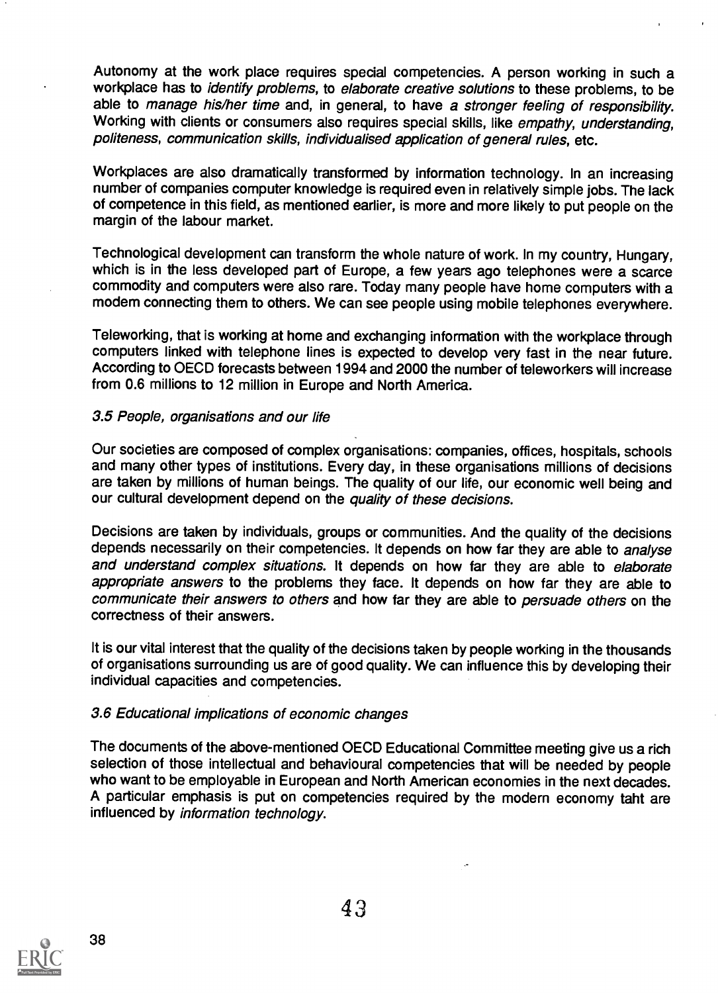Autonomy at the work place requires special competencies. A person working in such a workplace has to identify problems, to elaborate creative solutions to these problems, to be able to manage his/her time and, in general, to have a stronger feeling of responsibility. Working with clients or consumers also requires special skills, like empathy, understanding, politeness, communication skills, individualised application of general rules, etc.

Workplaces are also dramatically transformed by information technology. In an increasing number of companies computer knowledge is required even in relatively simple jobs. The lack of competence in this field, as mentioned earlier, is more and more likely to put people on the margin of the labour market.

Technological development can transform the whole nature of work. In my country, Hungary, which is in the less developed part of Europe, a few years ago telephones were a scarce commodity and computers were also rare. Today many people have home computers with a modem connecting them to others. We can see people using mobile telephones everywhere.

Teleworking, that is working at home and exchanging information with the workplace through computers linked with telephone lines is expected to develop very fast in the near future. According to OECD forecasts between 1994 and 2000 the number of teleworkers will increase from 0.6 millions to 12 million in Europe and North America.

#### 3.5 People, organisations and our life

Our societies are composed of complex organisations: companies, offices, hospitals, schools and many other types of institutions. Every day, in these organisations millions of decisions are taken by millions of human beings. The quality of our life, our economic well being and our cultural development depend on the quality of these decisions.

Decisions are taken by individuals, groups or communities. And the quality of the decisions depends necessarily on their competencies. It depends on how far they are able to analyse and understand complex situations. It depends on how far they are able to elaborate appropriate answers to the problems they face. It depends on how far they are able to communicate their answers to others and how far they are able to persuade others on the correctness of their answers.

It is our vital interest that the quality of the decisions taken by people working in the thousands of organisations surrounding us are of good quality. We can influence this by developing their individual capacities and competencies.

# 3.6 Educational implications of economic changes

The documents of the above-mentioned OECD Educational Committee meeting give us a rich selection of those intellectual and behavioural competencies that will be needed by people who want to be employable in European and North American economies in the next decades. A particular emphasis is put on competencies required by the modern economy taht are influenced by information technology.

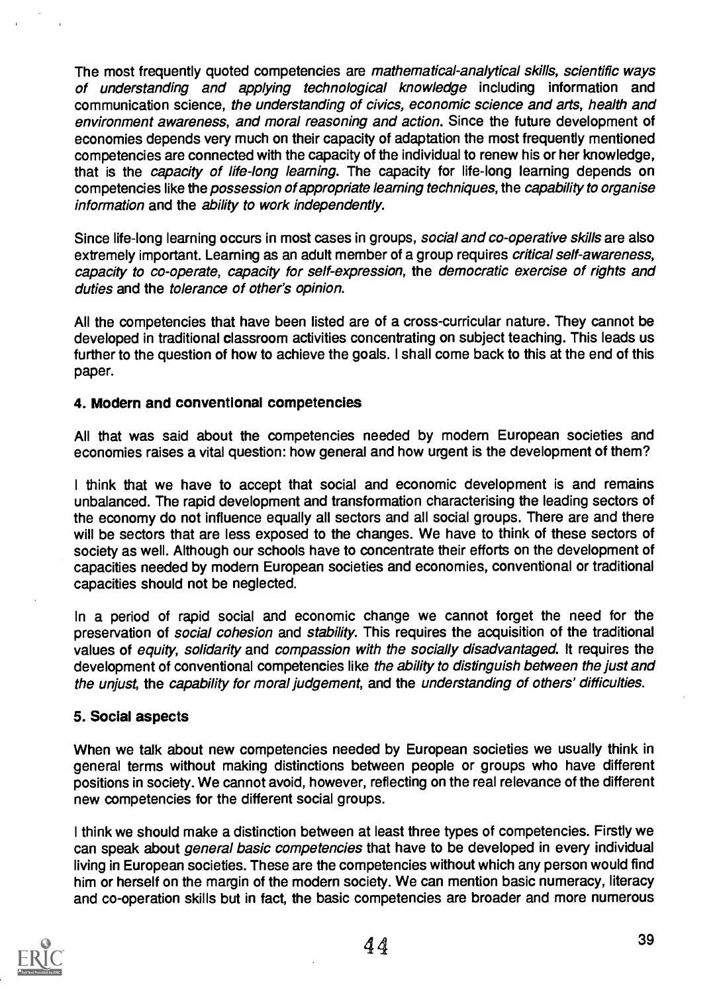The most frequently quoted competencies are mathematical-analytical skills, scientific ways of understanding and applying technological knowledge including information and communication science, the understanding of civics, economic science and arts, health and environment awareness, and moral reasoning and action. Since the future development of economies depends very much on their capacity of adaptation the most frequently mentioned competencies are connected with the capacity of the individual to renew his or her knowledge, that is the *capacity of life-long learning*. The capacity for life-long learning depends on competencies like the *possession of appropriate learning techniques*, the *capability to organise* information and the ability to work independently.

Since life-long learning occurs in most cases in groups, social and co-operative skills are also extremely important. Learning as an adult member of a group requires *critical self-awareness*, capacity to co-operate, capacity for self-expression, the democratic exercise of rights and duties and the tolerance of other's opinion.

All the competencies that have been listed are of a cross-curricular nature. They cannot be developed in traditional classroom activities concentrating on subject teaching. This leads us further to the question of how to achieve the goals. I shall come back to this at the end of this paper.

# 4. Modern and conventional competencies

All that was said about the competencies needed by modem European societies and economies raises a vital question: how general and how urgent is the development of them?

<sup>I</sup> think that we have to accept that social and economic development is and remains unbalanced. The rapid development and transformation characterising the leading sectors of the economy do not influence equally all sectors and all social groups. There are and there will be sectors that are less exposed to the changes. We have to think of these sectors of society as well. Although our schools have to concentrate their efforts on the development of capacities needed by modern European societies and economies, conventional or traditional capacities should not be neglected.

In a period of rapid social and economic change we cannot forget the need for the preservation of *social cohesion* and *stability*. This requires the acquisition of the traditional values of equity, solidarity and compassion with the socially disadvantaged. It requires the development of conventional competencies like the ability to distinguish between the just and the unjust, the capability for moral judgement, and the understanding of others' difficulties.

# 5. Social aspects

When we talk about new competencies needed by European societies we usually think in general terms without making distinctions between people or groups who have different positions in society. We cannot avoid, however, reflecting on the real relevance of the different new competencies for the different social groups.

I think we should make a distinction between at least three types of competencies. Firstly we can speak about *general basic competencies* that have to be developed in every individual living in European societies. These are the competencies without which any person would find him or herself on the margin of the modern society. We can mention basic numeracy, literacy and co-operation skills but in fact, the basic competencies are broader and more numerous

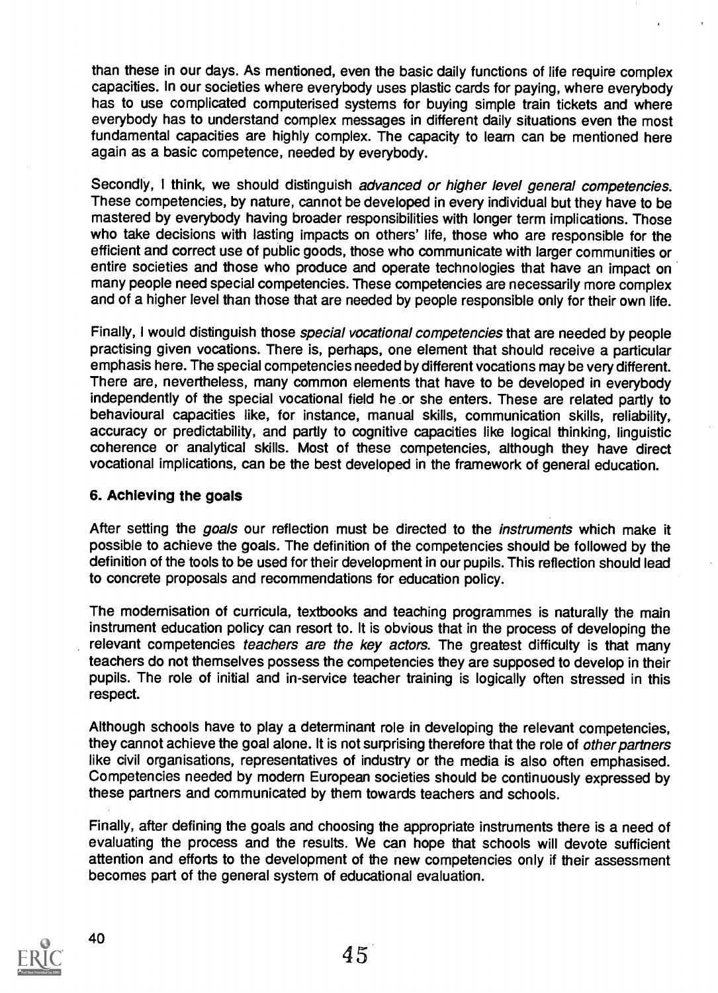than these in our days. As mentioned, even the basic daily functions of life require complex capacities. In our societies where everybody uses plastic cards for paying, where everybody has to use complicated computerised systems for buying simple train tickets and where everybody has to understand complex messages in different daily situations even the most fundamental capacities are highly complex. The capacity to learn can be mentioned here again as a basic competence, needed by everybody.

Secondly, I think, we should distinguish advanced or higher level general competencies. These competencies, by nature, cannot be developed in every individual but they have to be mastered by everybody having broader responsibilities with longer term implications. Those who take decisions with lasting impacts on others' life, those who are responsible for the efficient and correct use of public goods, those who communicate with larger communities or entire societies and those who produce and operate technologies that have an impact on many people need special competencies. These competencies are necessarily more complex and of a higher level than those that are needed by people responsible only for their own life.

Finally, I would distinguish those *special vocational competencies* that are needed by people practising given vocations. There is, perhaps, one element that should receive a particular emphasis here. The special competencies needed by different vocations may be very different. There are, nevertheless, many common elements that have to be developed in everybody independently of the special vocational field he or she enters. These are related partly to behavioural capacities like, for instance, manual skills, communication skills, reliability, accuracy or predictability, and partly to cognitive capacities like logical thinking, linguistic coherence or analytical skills. Most of these competencies, although they have direct vocational implications, can be the best developed in the framework of general education.

# 6. Achieving the goals

After setting the goals our reflection must be directed to the *instruments* which make it possible to achieve the goals. The definition of the competencies should be followed by the definition of the tools to be used for their development in our pupils. This reflection should lead to concrete proposals and recommendations for education policy.

The modernisation of curricula, textbooks and teaching programmes is naturally the main instrument education policy can resort to. It is obvious that in the process of developing the relevant competencies *teachers are the key actors*. The greatest difficulty is that many teachers do not themselves possess the competencies they are supposed to develop in their pupils. The role of initial and in-service teacher training is logically often stressed in this respect.

Although schools have to play a determinant role in developing the relevant competencies, they cannot achieve the goal alone. It is not surprising therefore that the role of other partners like civil organisations, representatives of industry or the media is also often emphasised. Competencies needed by modern European societies should be continuously expressed by these partners and communicated by them towards teachers and schools.

Finally, after defining the goals and choosing the appropriate instruments there is a need of evaluating the process and the results. We can hope that schools will devote sufficient attention and efforts to the development of the new competencies only if their assessment becomes part of the general system of educational evaluation.

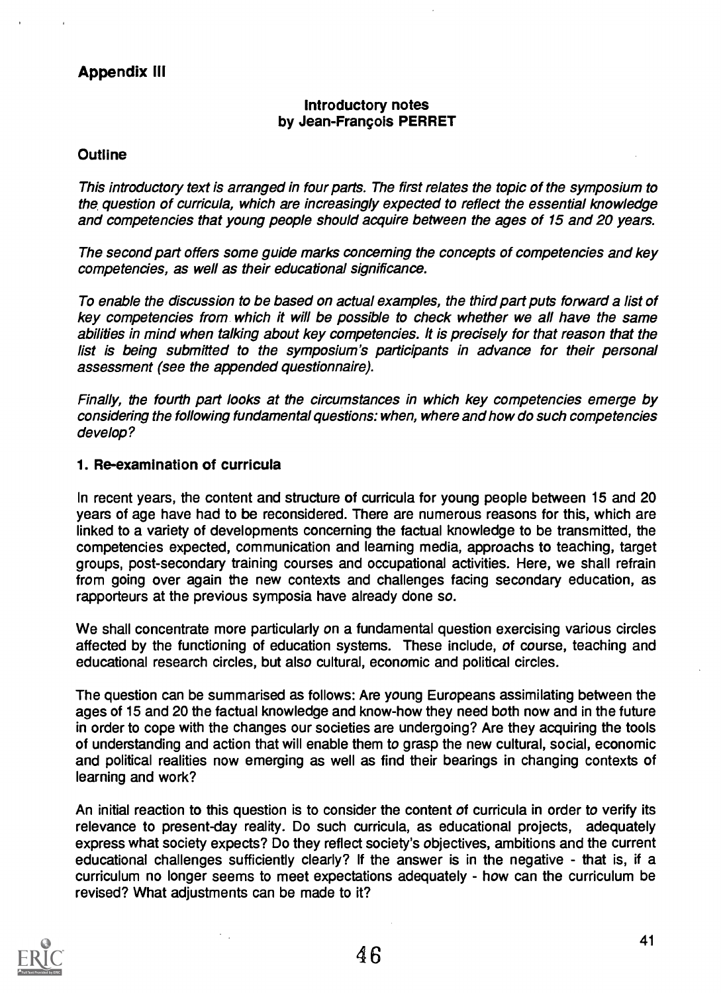# Appendix Ill

# Introductory notes by Jean-Francois PERRET

#### **Outline**

This introductory text is arranged in four parts. The first relates the topic of the symposium to the question of curricula, which are increasingly expected to reflect the essential knowledge and competencies that young people should acquire between the ages of 15 and 20 years.

The second part offers some guide marks concerning the concepts of competencies and key competencies, as well as their educational significance.

To enable the discussion to be based on actual examples, the third part puts forward a list of key competencies from which it will be possible to check whether we all have the same abilities in mind when talking about key competencies. It is precisely for that reason that the list is being submitted to the symposium's participants in advance for their personal assessment (see the appended questionnaire).

Finally, the fourth part looks at the circumstances in which key competencies emerge by considering the following fundamental questions: when, where and how do such competencies develop?

### 1. Re-examination of curricula

In recent years, the content and structure of curricula for young people between 15 and 20 years of age have had to be reconsidered. There are numerous reasons for this, which are linked to a variety of developments concerning the factual knowledge to be transmitted, the competencies expected, communication and learning media, approachs to teaching, target groups, post-secondary training courses and occupational activities. Here, we shall refrain from going over again the new contexts and challenges facing secondary education, as rapporteurs at the previous symposia have already done so.

We shall concentrate more particularly on a fundamental question exercising various circles affected by the functioning of education systems. These include, of course, teaching and educational research circles, but also cultural, economic and political circles.

The question can be summarised as follows: Are young Europeans assimilating between the ages of 15 and 20 the factual knowledge and know-how they need both now and in the future in order to cope with the changes our societies are undergoing? Are they acquiring the tools of understanding and action that will enable them to grasp the new cultural, social, economic and political realities now emerging as well as find their bearings in changing contexts of learning and work?

An initial reaction to this question is to consider the content of curricula in order to verify its relevance to present-day reality. Do such curricula, as educational projects, adequately express what society expects? Do they reflect society's objectives, ambitions and the current educational challenges sufficiently clearly? If the answer is in the negative - that is, if a curriculum no longer seems to meet expectations adequately - how can the curriculum be revised? What adjustments can be made to it?

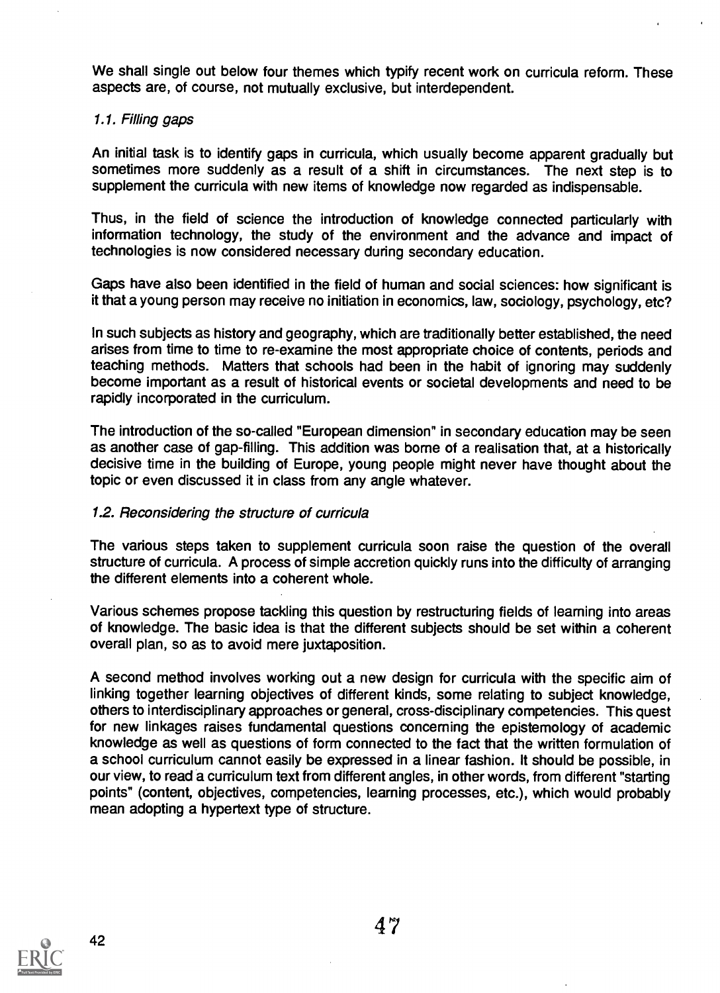We shall single out below four themes which typify recent work on curricula reform. These aspects are, of course, not mutually exclusive, but interdependent.

#### 1.1. Filling gaps

An initial task is to identify gaps in curricula, which usually become apparent gradually but sometimes more suddenly as a result of a shift in circumstances. The next step is to supplement the curricula with new items of knowledge now regarded as indispensable.

Thus, in the field of science the introduction of knowledge connected particularly with information technology, the study of the environment and the advance and impact of technologies is now considered necessary during secondary education.

Gaps have also been identified in the field of human and social sciences: how significant is it that a young person may receive no initiation in economics, law, sociology, psychology, etc?

In such subjects as history and geography, which are traditionally better established, the need arises from time to time to re-examine the most appropriate choice of contents, periods and teaching methods. Matters that schools had been in the habit of ignoring may suddenly become important as a result of historical events or societal developments and need to be rapidly incorporated in the curriculum.

The introduction of the so-called "European dimension" in secondary education may be seen as another case of gap-filling. This addition was borne of a realisation that, at a historically decisive time in the building of Europe, young people might never have thought about the topic or even discussed it in class from any angle whatever.

#### 1.2. Reconsidering the structure of curricula

The various steps taken to supplement curricula soon raise the question of the overall structure of curricula. A process of simple accretion quickly runs into the difficulty of arranging the different elements into a coherent whole.

Various schemes propose tackling this question by restructuring fields of learning into areas of knowledge. The basic idea is that the different subjects should be set within a coherent overall plan, so as to avoid mere juxtaposition.

A second method involves working out a new design for curricula with the specific aim of linking together learning objectives of different kinds, some relating to subject knowledge, others to interdisciplinary approaches or general, cross-disciplinary competencies. This quest for new linkages raises fundamental questions concerning the epistemology of academic knowledge as well as questions of form connected to the fact that the written formulation of a school curriculum cannot easily be expressed in a linear fashion. It should be possible, in our view, to read a curriculum text from different angles, in other words, from different "starting points" (content, objectives, competencies, learning processes, etc.), which would probably mean adopting a hypertext type of structure.

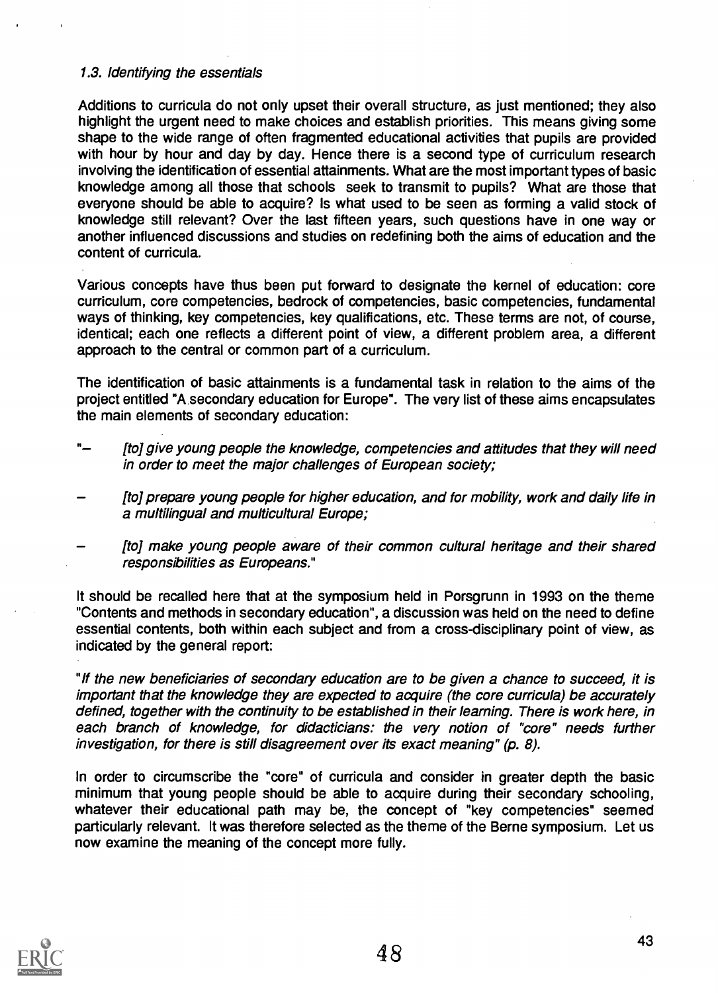# 1.3. Identifying the essentials

Additions to curricula do not only upset their overall structure, as just mentioned; they also highlight the urgent need to make choices and establish priorities. This means giving some shape to the wide range of often fragmented educational activities that pupils are provided with hour by hour and day by day. Hence there is a second type of curriculum research involving the identification of essential attainments. What are the most important types of basic knowledge among all those that schools seek to transmit to pupils? What are those that everyone should be able to acquire? Is what used to be seen as forming a valid stock of knowledge still relevant? Over the last fifteen years, such questions have in one way or another influenced discussions and studies on redefining both the aims of education and the content of curricula.

Various concepts have thus been put forward to designate the kernel of education: core curriculum, core competencies, bedrock of competencies, basic competencies, fundamental ways of thinking, key competencies, key qualifications, etc. These terms are not, of course, identical; each one reflects a different point of view, a different problem area, a different approach to the central or common part of a curriculum.

The identification of basic attainments is a fundamental task in relation to the aims of the project entitled "A secondary education for Europe". The very list of these aims encapsulates the main elements of secondary education:

- " [to] give young people the knowledge, competencies and attitudes that they will need in order to meet the major challenges of European society;
- [to] prepare young people for higher education, and for mobility, work and daily life in a multilingual and multicultural Europe;
- [to] make young people aware of their common cultural heritage and their shared responsibilities as Europeans."

It should be recalled here that at the symposium held in Porsgrunn in 1993 on the theme "Contents and methods in secondary education", a discussion was held on the need to define essential contents, both within each subject and from a cross-disciplinary point of view, as indicated by the general report:

"If the new beneficiaries of secondary education are to be given a chance to succeed, it is important that the knowledge they are expected to acquire (the core curricula) be accurately defined, together with the continuity to be established in their learning. There is work here, in each branch of knowledge, for didacticians: the very notion of "core" needs further investigation, for there is still disagreement over its exact meaning" (p. 8).

In order to circumscribe the "core" of curricula and consider in greater depth the basic minimum that young people should be able to acquire during their secondary schooling, whatever their educational path may be, the concept of "key competencies" seemed particularly relevant. It was therefore selected as the theme of the Berne symposium. Let us now examine the meaning of the concept more fully.

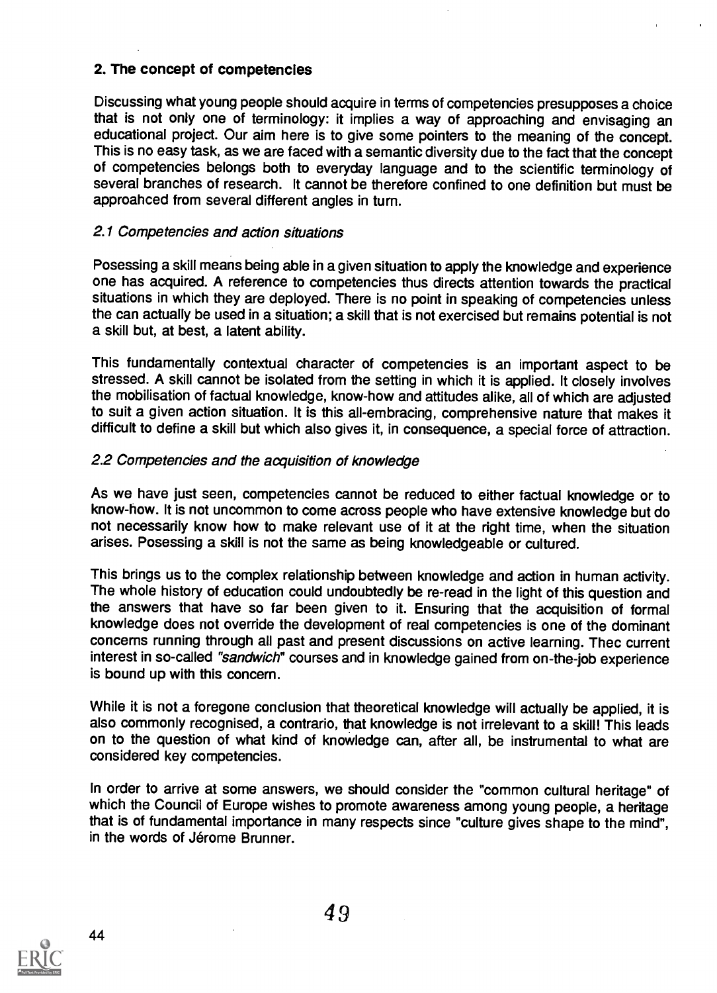# 2. The concept of competencies

Discussing what young people should acquire in terms of competencies presupposes a choice that is not only one of terminology: it implies a way of approaching and envisaging an educational project. Our aim here is to give some pointers to the meaning of the concept. This is no easy task, as we are faced with a semantic diversity due to the fact that the concept of competencies belongs both to everyday language and to the scientific terminology of several branches of research. It cannot be therefore confined to one definition but must be approahced from several different angles in turn.

# 2.1 Competencies and action situations

Posessing a skill means being able in a given situation to apply the knowledge and experience one has acquired. A reference to competencies thus directs attention towards the practical situations in which they are deployed. There is no point in speaking of competencies unless the can actually be used in a situation; a skill that is not exercised but remains potential is not a skill but, at best, a latent ability.

This fundamentally contextual character of competencies is an important aspect to be stressed. A skill cannot be isolated from the setting in which it is applied. It closely involves the mobilisation of factual knowledge, know-how and attitudes alike, all of which are adjusted to suit a given action situation. It is this all-embracing, comprehensive nature that makes it difficult to define a skill but which also gives it, in consequence, a special force of attraction.

# 2.2 Competencies and the acquisition of knowledge

As we have just seen, competencies cannot be reduced to either factual knowledge or to know-how. It is not uncommon to come across people who have extensive knowledge but do not necessarily know how to make relevant use of it at the right time, when the situation arises. Posessing a skill is not the same as being knowledgeable or cultured.

This brings us to the complex relationship between knowledge and action in human activity. The whole history of education could undoubtedly be re-read in the light of this question and the answers that have so far been given to it. Ensuring that the acquisition of formal knowledge does not override the development of real competencies is one of the dominant concerns running through all past and present discussions on active learning. Thec current interest in so-called "sandwich" courses and in knowledge gained from on-the-job experience is bound up with this concern.

While it is not a foregone conclusion that theoretical knowledge will actually be applied, it is also commonly recognised, a contrario, that knowledge is not irrelevant to a skill! This leads on to the question of what kind of knowledge can, after all, be instrumental to what are considered key competencies.

In order to arrive at some answers, we should consider the "common cultural heritage" of which the Council of Europe wishes to promote awareness among young people, a heritage that is of fundamental importance in many respects since "culture gives shape to the mind", in the words of Jérome Brunner.

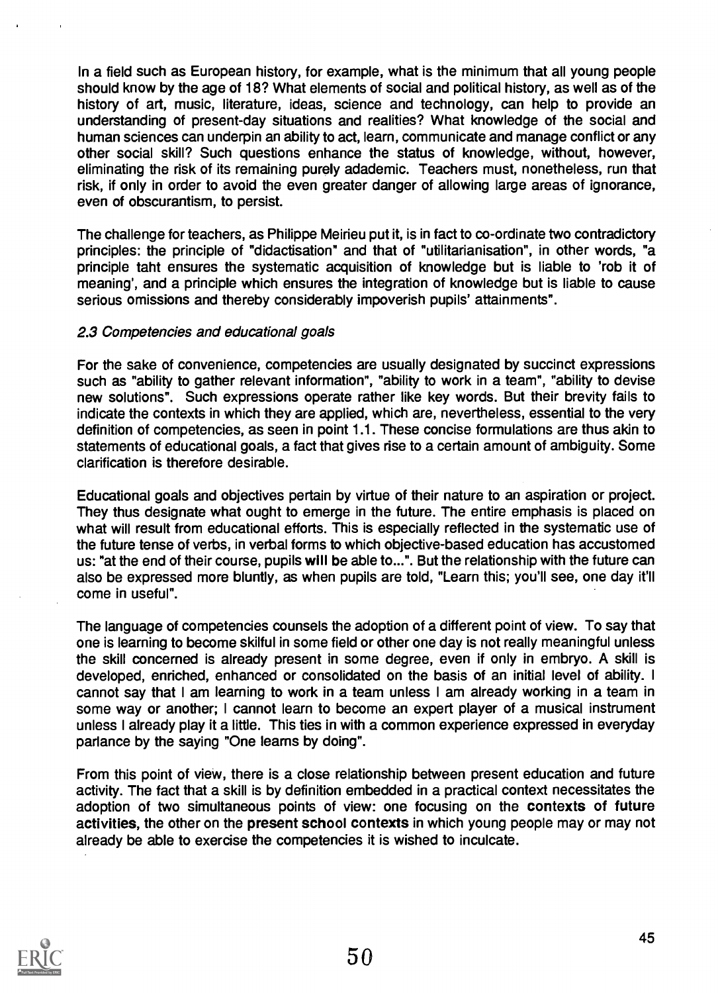In a field such as European history, for example, what is the minimum that all young people should know by the age of 18? What elements of social and political history, as well as of the history of art, music, literature, ideas, science and technology, can help to provide an understanding of present-day situations and realities? What knowledge of the social and human sciences can underpin an ability to act, learn, communicate and manage conflict or any other social skill? Such questions enhance the status of knowledge, without, however, eliminating the risk of its remaining purely adademic. Teachers must, nonetheless, run that risk, if only in order to avoid the even greater danger of allowing large areas of ignorance, even of obscurantism, to persist.

The challenge for teachers, as Philippe Meirieu put it, is in fact to co-ordinate two contradictory principles: the principle of "didactisation" and that of "utilitarianisation", in other words, "a principle taht ensures the systematic acquisition of knowledge but is liable to 'rob it of meaning', and a principle which ensures the integration of knowledge but is liable to cause serious omissions and thereby considerably impoverish pupils' attainments".

### 2.3 Competencies and educational goals

For the sake of convenience, competencies are usually designated by succinct expressions such as "ability to gather relevant information", "ability to work in a team", "ability to devise new solutions". Such expressions operate rather like key words. But their brevity fails to indicate the contexts in which they are applied, which are, nevertheless, essential to the very definition of competencies, as seen in point 1.1. These concise formulations are thus akin to statements of educational goals, a fact that gives rise to a certain amount of ambiguity. Some clarification is therefore desirable.

Educational goals and objectives pertain by virtue of their nature to an aspiration or project. They thus designate what ought to emerge in the future. The entire emphasis is placed on what will result from educational efforts. This is especially reflected in the systematic use of the future tense of verbs, in verbal forms to which objective-based education has accustomed us: "at the end of their course, pupils will be able to...". But the relationship with the future can also be expressed more bluntly, as when pupils are told, "Learn this; you'll see, one day it'll come in useful".

The language of competencies counsels the adoption of a different point of view. To say that one is learning to become skilful in some field or other one day is not really meaningful unless the skill concerned is already present in some degree, even if only in embryo. A skill is developed, enriched, enhanced or consolidated on the basis of an initial level of ability. <sup>I</sup> cannot say that I am learning to work in a team unless I am already working in a team in some way or another; I cannot learn to become an expert player of a musical instrument unless I already play it a little. This ties in with a common experience expressed in everyday parlance by the saying "One learns by doing".

From this point of view, there is a close relationship between present education and future activity. The fact that a skill is by definition embedded in a practical context necessitates the adoption of two simultaneous points of view: one focusing on the contexts of future activities, the other on the present school contexts in which young people may or may not already be able to exercise the competencies it is wished to inculcate.

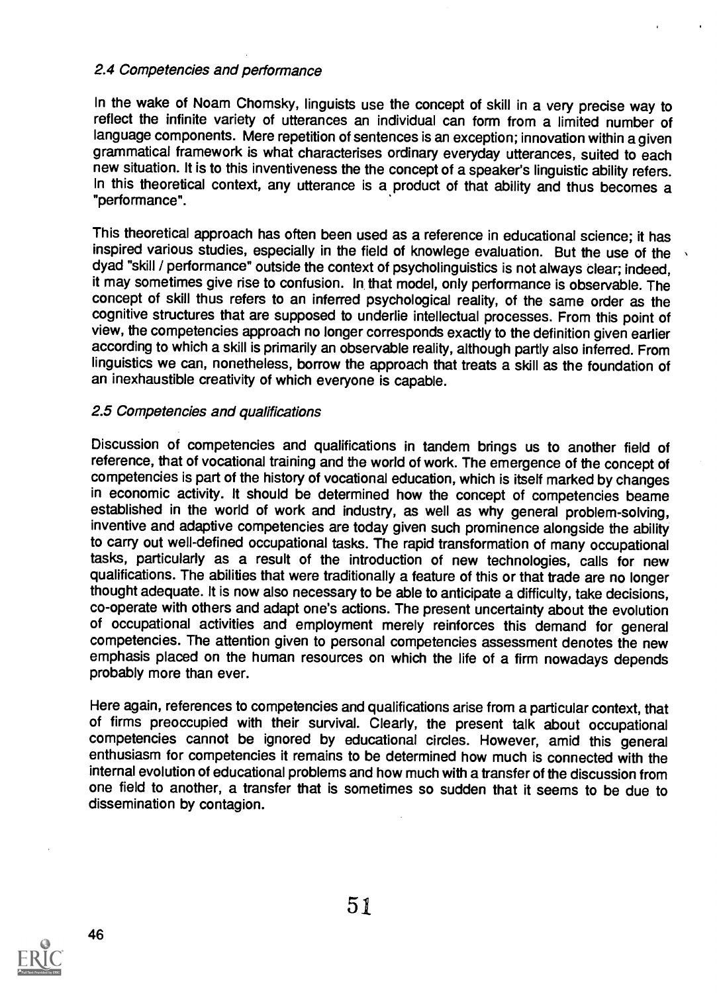# 2.4 Competencies and performance

In the wake of Noam Chomsky, linguists use the concept of skill in a very precise way to reflect the infinite variety of utterances an individual can form from a limited number of language components. Mere repetition of sentences is an exception; innovation within a given grammatical framework is what characterises ordinary everyday utterances, suited to each new situation. It is to this inventiveness the the concept of a speaker's linguistic ability refers. In this theoretical context, any utterance is a product of that ability and thus becomes a "performance".

This theoretical approach has often been used as a reference in educational science; it has inspired various studies, especially in the field of knowlege evaluation. But the use of the dyad "skill / performance" outside the context of psycholinguistics is not always clear; indeed, it may sometimes give rise to confusion. In that model, only performance is observable. The concept of skill thus refers to an inferred psychological reality, of the same order as the cognitive structures that are supposed to underlie intellectual processes. From this point of view, the competencies approach no longer corresponds exactly to the definition given earlier according to which a skill is primarily an observable reality, although partly also inferred. From linguistics we can, nonetheless, borrow the approach that treats a skill as the foundation of an inexhaustible creativity of which everyone is capable.

### 2.5 Competencies and qualifications

Discussion of competencies and qualifications in tandem brings us to another field of reference, that of vocational training and the world of work. The emergence of the concept of competencies is part of the history of vocational education, which is itself marked by changes in economic activity. It should be determined how the concept of competencies beame established in the world of work and industry, as well as why general problem-solving, inventive and adaptive competencies are today given such prominence alongside the ability to carry out well-defined occupational tasks. The rapid transformation of many occupational tasks, particularly as a result of the introduction of new technologies, calls for new qualifications. The abilities that were traditionally a feature of this or that trade are no longer thought adequate. It is now also necessary to be able to anticipate a difficulty, take decisions, co-operate with others and adapt one's actions. The present uncertainty about the evolution of occupational activities and employment merely reinforces this demand for general competencies. The attention given to personal competencies assessment denotes the new emphasis placed on the human resources on which the life of a firm nowadays depends probably more than ever.

Here again, references to competencies and qualifications arise from a particular context, that of firms preoccupied with their survival. Clearly, the present talk about occupational competencies cannot be ignored by educational circles. However, amid this general enthusiasm for competencies it remains to be determined how much is connected with the internal evolution of educational problems and how much with a transfer of the discussion from one field to another, a transfer that is sometimes so sudden that it seems to be due to dissemination by contagion.

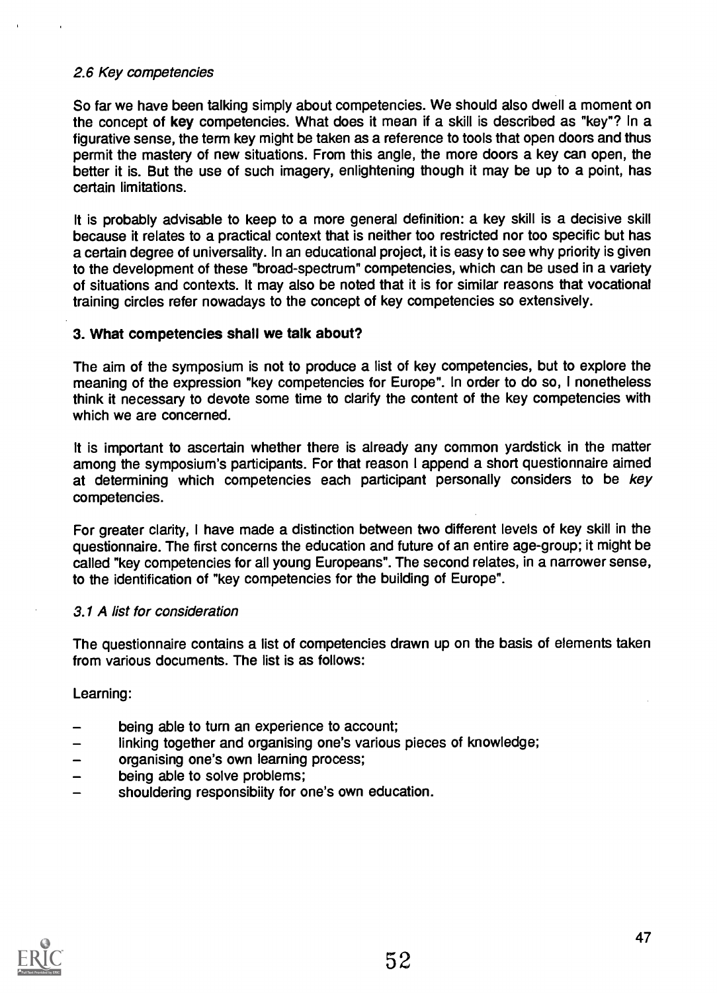# 2.6 Key competencies

So far we have been talking simply about competencies. We should also dwell a moment on the concept of key competencies. What does it mean if a skill is described as "key"? In a figurative sense, the term key might be taken as a reference to tools that open doors and thus permit the mastery of new situations. From this angle, the more doors a key can open, the better it is. But the use of such imagery, enlightening though it may be up to a point, has certain limitations.

It is probably advisable to keep to a more general definition: a key skill is a decisive skill because it relates to a practical context that is neither too restricted nor too specific but has a certain degree of universality. In an educational project, it is easy to see why priority is given to the development of these "broad-spectrum" competencies, which can be used in a variety of situations and contexts. It may also be noted that it is for similar reasons that vocational training circles refer nowadays to the concept of key competencies so extensively.

### 3. What competencies shall we talk about?

The aim of the symposium is not to produce a list of key competencies, but to explore the meaning of the expression "key competencies for Europe". In order to do so, I nonetheless think it necessary to devote some time to clarify the content of the key competencies with which we are concerned.

It is important to ascertain whether there is already any common yardstick in the matter among the symposium's participants. For that reason I append a short questionnaire aimed at determining which competencies each participant personally considers to be key competencies.

For greater clarity, I have made a distinction between two different levels of key skill in the questionnaire. The first concerns the education and future of an entire age-group; it might be called "key competencies for all young Europeans". The second relates, in a narrower sense, to the identification of "key competencies for the building of Europe".

#### 3.1 A list for consideration

The questionnaire contains a list of competencies drawn up on the basis of elements taken from various documents. The list is as follows:

Learning:

- being able to turn an experience to account;
- linking together and organising one's various pieces of knowledge;
- organising one's own learning process;
- being able to solve problems;
- shouldering responsibiity for one's own education.

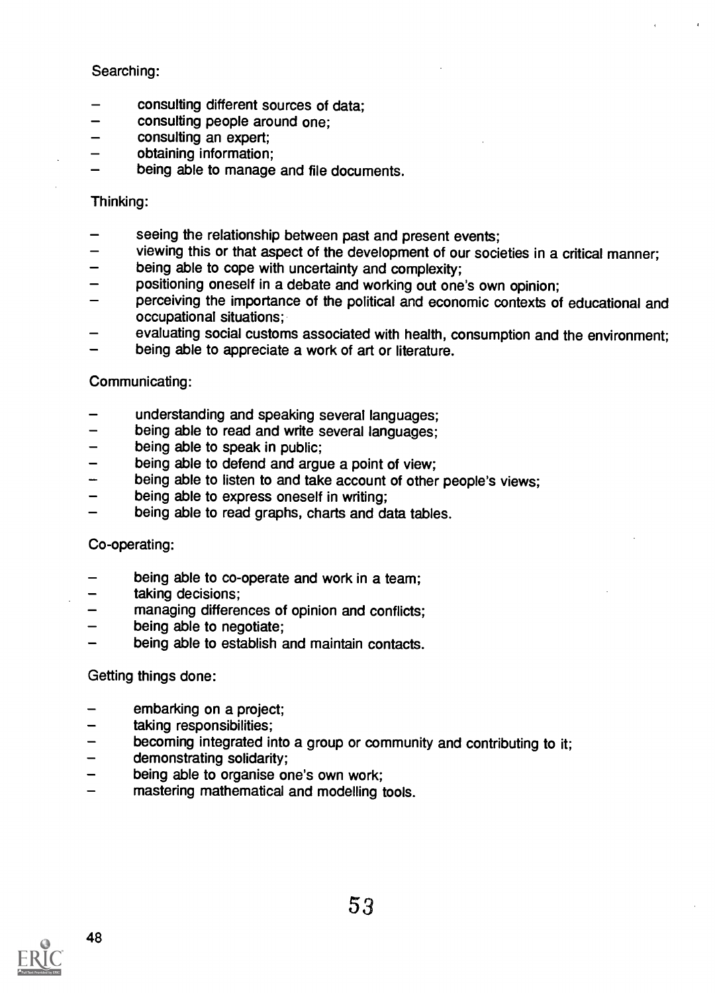# Searching:

- consulting different sources of data;
- consulting people around one;
- consulting an expert;  $\overline{\phantom{0}}$
- obtaining information;
- being able to manage and file documents.

### Thinking:

- seeing the relationship between past and present events;
- viewing this or that aspect of the development of our societies in a critical manner;
- being able to cope with uncertainty and complexity;
- positioning oneself in a debate and working out one's own opinion;  $\overline{\phantom{0}}$
- perceiving the importance of the political and economic contexts of educational and occupational situations;
- evaluating social customs associated with health, consumption and the environment;
- being able to appreciate a work of art or literature.

### Communicating:

- understanding and speaking several languages;
- being able to read and write several languages;  $\overline{\phantom{0}}$
- being able to speak in public;  $\qquad \qquad -$
- being able to defend and argue a point of view;
- being able to listen to and take account of other people's views;
- being able to express oneself in writing;
- being able to read graphs, charts and data tables.

# Co-operating:

- being able to co-operate and work in a team;
- taking decisions;
- managing differences of opinion and conflicts;
- being able to negotiate;
- being able to establish and maintain contacts.

# Getting things done:

- embarking on a project;
- taking responsibilities;
- becoming integrated into a group or community and contributing to it;
- demonstrating solidarity;
- being able to organise one's own work;
- mastering mathematical and modelling tools.

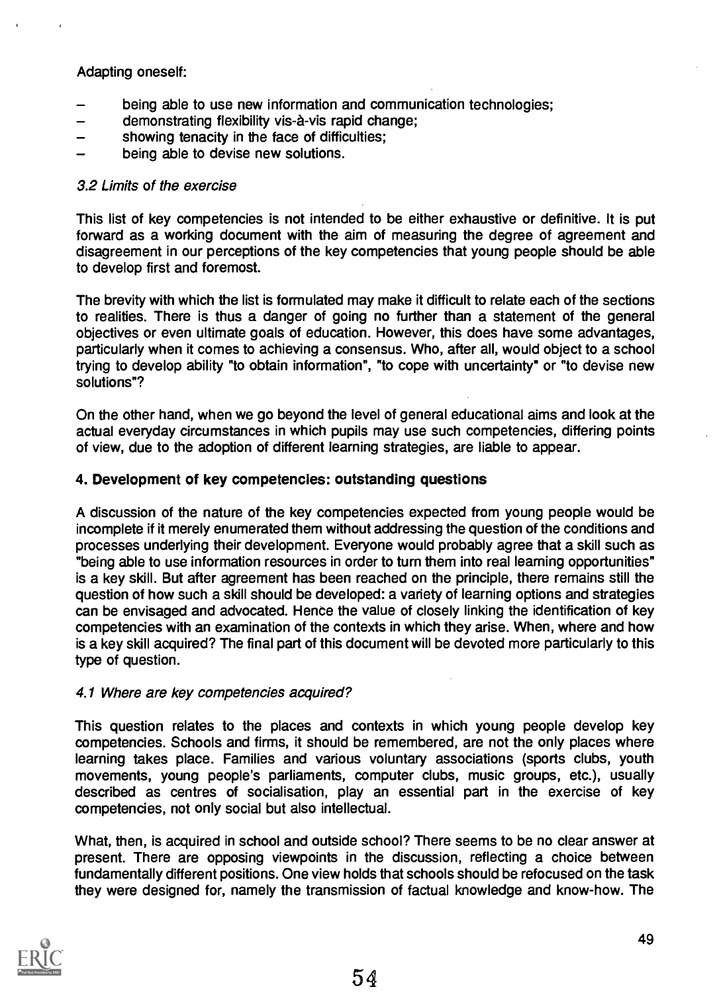# Adapting oneself:

- being able to use new information and communication technologies;
- demonstrating flexibility vis-à-vis rapid change;
- showing tenacity in the face of difficulties;
- being able to devise new solutions.

### 3.2 Limits of the exercise

This list of key competencies is not intended to be either exhaustive or definitive. It is put forward as a working document with the aim of measuring the degree of agreement and disagreement in our perceptions of the key competencies that young people should be able to develop first and foremost.

The brevity with which the list is formulated may make it difficult to relate each of the sections to realities. There is thus a danger of going no further than a statement of the general objectives or even ultimate goals of education. However, this does have some advantages, particularly when it comes to achieving a consensus. Who, after all, would object to a school trying to develop ability "to obtain information", "to cope with uncertainty" or "to devise new solutions"?

On the other hand, when we go beyond the level of general educational aims and look at the actual everyday circumstances in which pupils may use such competencies, differing points of view, due to the adoption of different learning strategies, are liable to appear.

### 4. Development of key competencies: outstanding questions

A discussion of the nature of the key competencies expected from young people would be incomplete if it merely enumerated them without addressing the question of the conditions and processes underlying their development. Everyone would probably agree that a skill such as "being able to use information resources in order to turn them into real learning opportunities" is a key skill. But after agreement has been reached on the principle, there remains still the question of how such a skill should be developed: a variety of learning options and strategies can be envisaged and advocated. Hence the value of closely linking the identification of key competencies with an examination of the contexts in which they arise. When, where and how is a key skill acquired? The final part of this document will be devoted more particularly to this type of question.

#### 4.1 Where are key competencies acquired?

This question relates to the places and contexts in which young people develop key competencies. Schools and firms, it should be remembered, are not the only places where learning takes place. Families and various voluntary associations (sports clubs, youth movements, young people's parliaments, computer clubs, music groups, etc.), usually described as centres of socialisation, play an essential part in the exercise of key competencies, not only social but also intellectual.

What, then, is acquired in school and outside school? There seems to be no clear answer at present. There are opposing viewpoints in the discussion, reflecting a choice between fundamentally different positions. One view holds that schools should be refocused on the task they were designed for, namely the transmission of factual knowledge and know-how. The

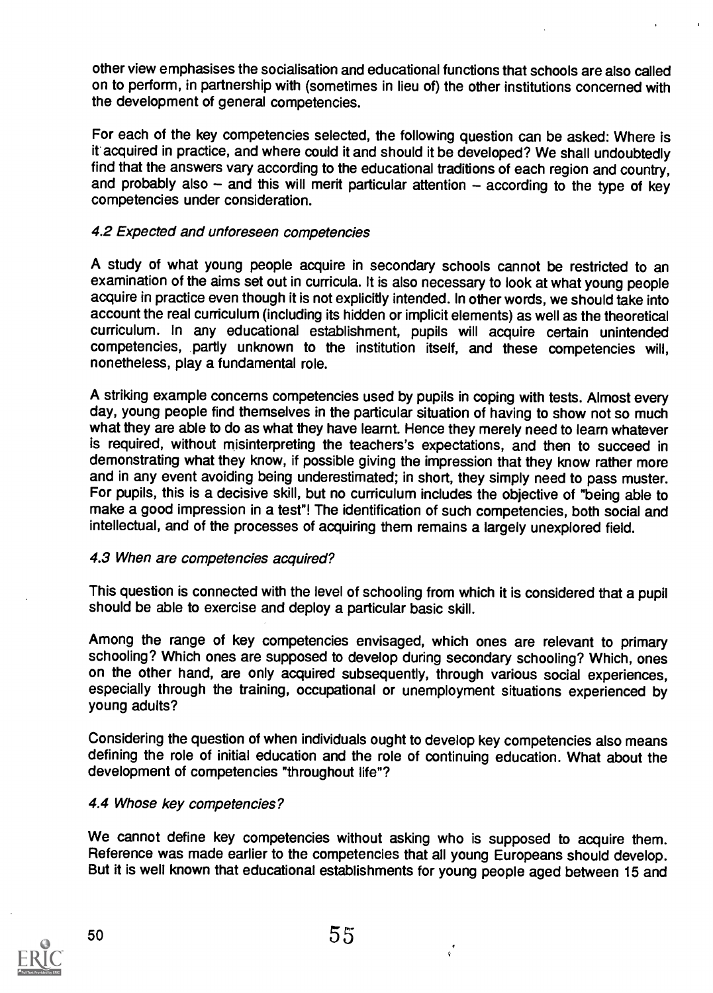other view emphasises the socialisation and educational functions that schools are also called on to perform, in partnership with (sometimes in lieu of) the other institutions concerned with the development of general competencies.

For each of the key competencies selected, the following question can be asked: Where is it acquired in practice, and where could it and should it be developed? We shall undoubtedly find that the answers vary according to the educational traditions of each region and country, and probably also  $-$  and this will merit particular attention  $-$  according to the type of key competencies under consideration.

# 4.2 Expected and unforeseen competencies

A study of what young people acquire in secondary schools cannot be restricted to an examination of the aims set out in curricula. It is also necessary to look at what young people acquire in practice even though it is not explicitly intended. In other words, we should take into account the real curriculum (including its hidden or implicit elements) as well as the theoretical curriculum. In any educational establishment, pupils will acquire certain unintended competencies, partly unknown to the institution itself, and these competencies will, nonetheless, play a fundamental role.

A striking example concerns competencies used by pupils in coping with tests. Almost every day, young people find themselves in the particular situation of having to show not so much what they are able to do as what they have learnt. Hence they merely need to learn whatever is required, without misinterpreting the teachers's expectations, and then to succeed in demonstrating what they know, if possible giving the impression that they know rather more and in any event avoiding being underestimated; in short, they simply need to pass muster. For pupils, this is a decisive skill, but no curriculum includes the objective of "being able to make a good impression in a test"! The identification of such competencies, both social and intellectual, and of the processes of acquiring them remains a largely unexplored field.

# 4.3 When are competencies acquired?

This question is connected with the level of schooling from which it is considered that a pupil should be able to exercise and deploy a particular basic skill.

Among the range of key competencies envisaged, which ones are relevant to primary schooling? Which ones are supposed to develop during secondary schooling? Which, ones on the other hand, are only acquired subsequently, through various social experiences, especially through the training, occupational or unemployment situations experienced by young adults?

Considering the question of when individuals ought to develop key competencies also means defining the role of initial education and the role of continuing education. What about the development of competencies "throughout life"?

# 4.4 Whose key competencies?

We cannot define key competencies without asking who is supposed to acquire them. Reference was made earlier to the competencies that all young Europeans should develop. But it is well known that educational establishments for young people aged between 15 and

 $\mathbf{r}$ 

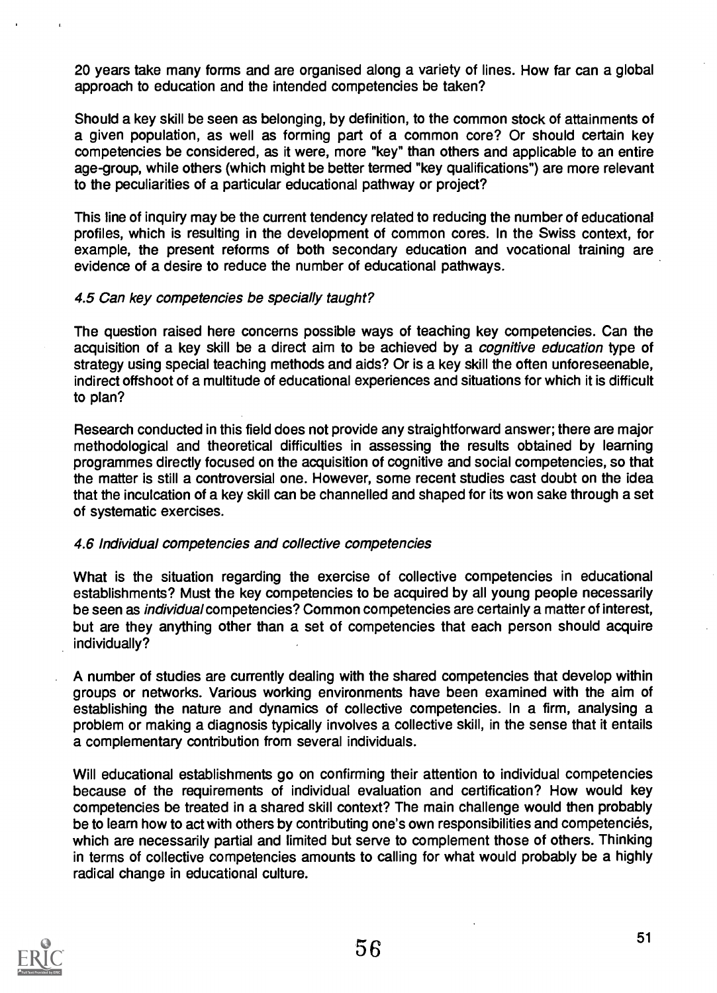20 years take many forms and are organised along a variety of lines. How far can a global approach to education and the intended competencies be taken?

Should a key skill be seen as belonging, by definition, to the common stock of attainments of a given population, as well as forming part of a common core? Or should certain key competencies be considered, as it were, more "key" than others and applicable to an entire age-group, while others (which might be better termed "key qualifications") are more relevant to the peculiarities of a particular educational pathway or project?

This line of inquiry may be the current tendency related to reducing the number of educational profiles, which is resulting in the development of common cores. In the Swiss context, for example, the present reforms of both secondary education and vocational training are evidence of a desire to reduce the number of educational pathways.

# 4.5 Can key competencies be specially taught?

The question raised here concerns possible ways of teaching key competencies. Can the acquisition of a key skill be a direct aim to be achieved by a *cognitive education* type of strategy using special teaching methods and aids? Or is a key skill the often unforeseenable, indirect offshoot of a multitude of educational experiences and situations for which it is difficult to plan?

Research conducted in this field does not provide any straightforward answer; there are major methodological and theoretical difficulties in assessing the results obtained by learning programmes directly focused on the acquisition of cognitive and social competencies, so that the matter is still a controversial one. However, some recent studies cast doubt on the idea that the inculcation of a key skill can be channelled and shaped for its won sake through a set of systematic exercises.

# 4.6 Individual competencies and collective competencies

What is the situation regarding the exercise of collective competencies in educational establishments? Must the key competencies to be acquired by all young people necessarily be seen as individual competencies? Common competencies are certainly a matter of interest, but are they anything other than a set of competencies that each person should acquire individually?

A number of studies are currently dealing with the shared competencies that develop within groups or networks. Various working environments have been examined with the aim of establishing the nature and dynamics of collective competencies. In a firm, analysing a problem or making a diagnosis typically involves a collective skill, in the sense that it entails a complementary contribution from several individuals.

Will educational establishments go on confirming their attention to individual competencies because of the requirements of individual evaluation and certification? How would key competencies be treated in a shared skill context? The main challenge would then probably be to learn how to act with others by contributing one's own responsibilities and competencies, which are necessarily partial and limited but serve to complement those of others. Thinking in terms of collective competencies amounts to calling for what would probably be a highly radical change in educational culture.

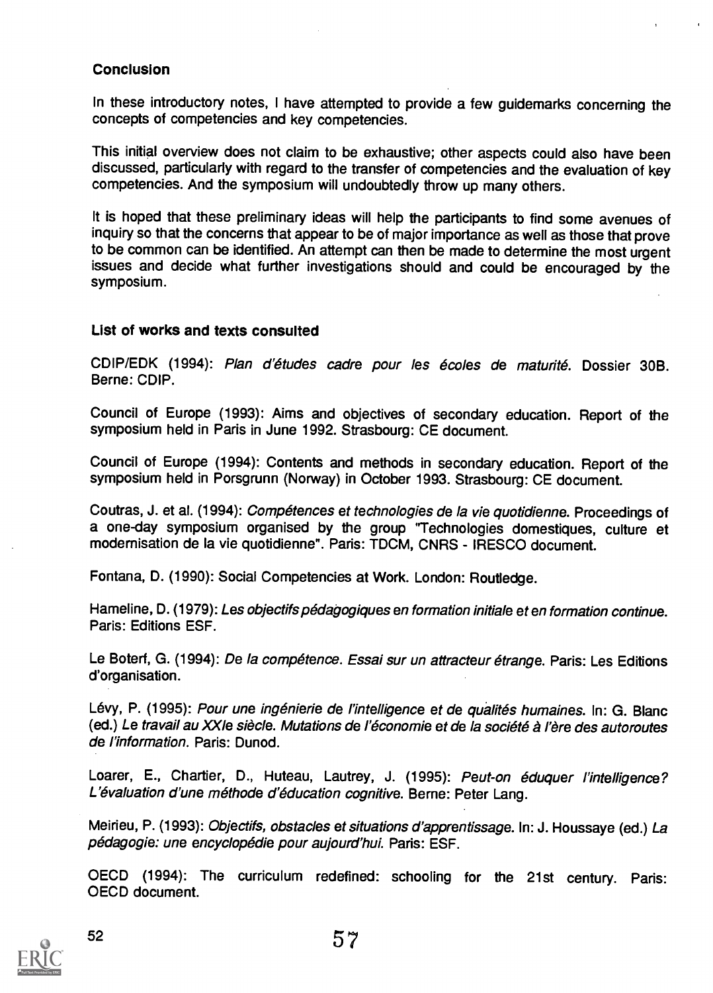# **Conclusion**

In these introductory notes, I have attempted to provide a few guidemarks concerning the concepts of competencies and key competencies.

This initial overview does not claim to be exhaustive; other aspects could also have been discussed, particularly with regard to the transfer of competencies and the evaluation of key competencies. And the symposium will undoubtedly throw up many others.

It is hoped that these preliminary ideas will help the participants to find some avenues of inquiry so that the concerns that appear to be of major importance as well as those that prove to be common can be identified. An attempt can then be made to determine the most urgent issues and decide what further investigations should and could be encouraged by the symposium.

# List of works and texts consulted

CDIP/EDK (1994): Plan d'etudes cadre pour les ecoles de maturite. Dossier 30B. Berne: CDIP.

Council of Europe (1993): Aims and objectives of secondary education. Report of the symposium held in Paris in June 1992. Strasbourg: CE document.

Council of Europe (1994): Contents and methods in secondary education. Report of the symposium held in Porsgrunn (Norway) in October 1993. Strasbourg: CE document.

Coutras, J. et al. (1994): *Compétences et technologies de la vie quotidienne*. Proceedings of a one-day symposium organised by the group "Technologies domestiques, culture et modernisation de la vie quotidienne". Paris: TDCM, CNRS - IRESCO document.

Fontana, D. (1990): Social Competencies at Work. London: Routledge.

Hameline, D. (1979): Les objectifs pédagogiques en formation initiale et en formation continue. Paris: Editions ESF.

Le Boterf, G. (1994): De la compétence. Essai sur un attracteur étrange. Paris: Les Editions d'organisation.

Lévy, P. (1995): Pour une ingénierie de l'intelligence et de qualités humaines. In: G. Blanc (ed.) Le travail au XXIe siècle. Mutations de l'économie et de la société à l'ère des autoroutes de l'information. Paris: Dunod.

Loarer, E., Chartier, D., Huteau, Lautrey, J. (1995): Peut-on éduquer l'intelligence? L'évaluation d'une méthode d'éducation cognitive. Berne: Peter Lang.

Meirieu, P. (1993): Objectifs, obstacles et situations d'apprentissage. In: J. Houssaye (ed.) La pédagogie: une encyclopédie pour aujourd'hui. Paris: ESF.

OECD (1994): The curriculum redefined: schooling for the 21st century. Paris: OECD document.

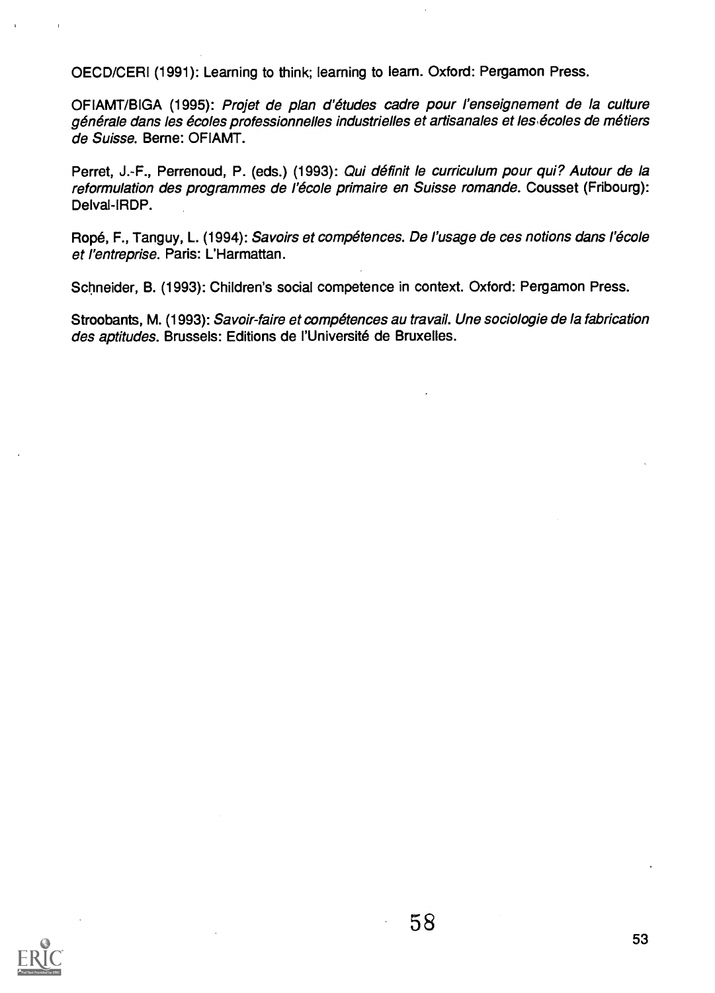OECD/CERI (1991): Learning to think; learning to learn. Oxford: Pergamon Press.

OFIAMT/BIGA (1995): Projet de plan d'etudes cadre pour l'enseignement de la culture générale dans les écoles professionnelles industrielles et artisanales et les écoles de métiers de Suisse. Beme: OFIAMT.

Perret, J.-F., Perrenoud, P. (eds.) (1993): Qui définit le curriculum pour qui? Autour de la reformulation des programmes de l'école primaire en Suisse romande. Cousset (Fribourg): Delval-IRDP.

Ropé, F., Tanguy, L. (1994): Savoirs et compétences. De l'usage de ces notions dans l'école et l'entreprise. Paris: L'Harmattan.

Schneider, B. (1993): Children's social competence in context. Oxford: Pergamon Press.

Stroobants, M. (1993): Savoir-faire et compétences au travail. Une sociologie de la fabrication des aptitudes. Brussels: Editions de l'Université de Bruxelles.

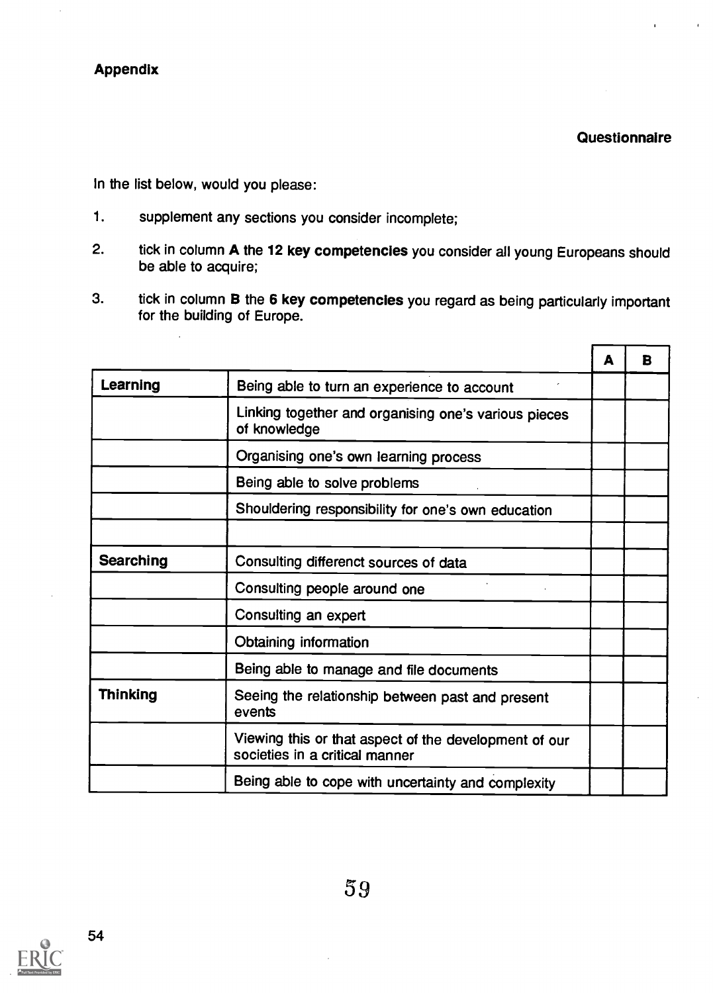Questionnaire

In the list below, would you please:

- 1. supplement any sections you consider incomplete;
- 2. tick in column A the 12 key competencies you consider all young Europeans should be able to acquire;
- 3. tick in column B the 6 key competencies you regard as being particularly important for the building of Europe.

|                 |                                                                                         | А | в |
|-----------------|-----------------------------------------------------------------------------------------|---|---|
| Learning        | Being able to turn an experience to account                                             |   |   |
|                 | Linking together and organising one's various pieces<br>of knowledge                    |   |   |
|                 | Organising one's own learning process                                                   |   |   |
|                 | Being able to solve problems                                                            |   |   |
|                 | Shouldering responsibility for one's own education                                      |   |   |
|                 |                                                                                         |   |   |
| Searching       | Consulting differenct sources of data                                                   |   |   |
|                 | Consulting people around one                                                            |   |   |
|                 | Consulting an expert                                                                    |   |   |
|                 | Obtaining information                                                                   |   |   |
|                 | Being able to manage and file documents                                                 |   |   |
| <b>Thinking</b> | Seeing the relationship between past and present<br>events                              |   |   |
|                 | Viewing this or that aspect of the development of our<br>societies in a critical manner |   |   |
|                 | Being able to cope with uncertainty and complexity                                      |   |   |

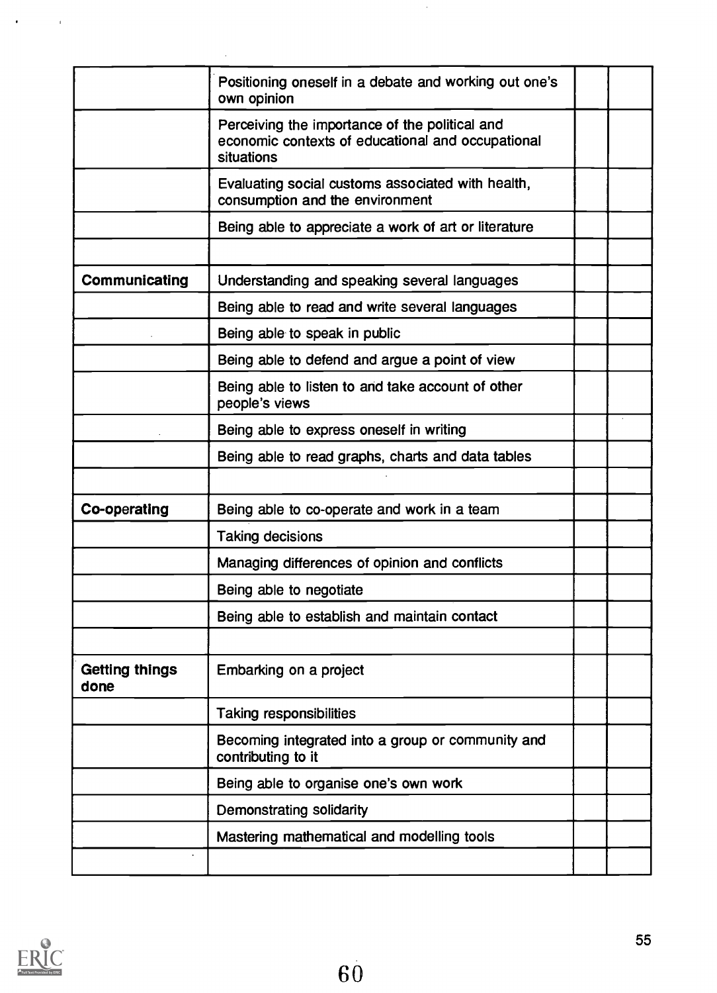|                               | Positioning oneself in a debate and working out one's<br>own opinion                                              |  |
|-------------------------------|-------------------------------------------------------------------------------------------------------------------|--|
|                               | Perceiving the importance of the political and<br>economic contexts of educational and occupational<br>situations |  |
|                               | Evaluating social customs associated with health,<br>consumption and the environment                              |  |
|                               | Being able to appreciate a work of art or literature                                                              |  |
|                               |                                                                                                                   |  |
| Communicating                 | Understanding and speaking several languages                                                                      |  |
|                               | Being able to read and write several languages                                                                    |  |
|                               | Being able to speak in public                                                                                     |  |
|                               | Being able to defend and argue a point of view                                                                    |  |
|                               | Being able to listen to and take account of other<br>people's views                                               |  |
|                               | Being able to express oneself in writing                                                                          |  |
|                               | Being able to read graphs, charts and data tables                                                                 |  |
|                               |                                                                                                                   |  |
| Co-operating                  | Being able to co-operate and work in a team                                                                       |  |
|                               | Taking decisions                                                                                                  |  |
|                               | Managing differences of opinion and conflicts                                                                     |  |
|                               | Being able to negotiate                                                                                           |  |
|                               | Being able to establish and maintain contact                                                                      |  |
|                               |                                                                                                                   |  |
| <b>Getting things</b><br>done | Embarking on a project                                                                                            |  |
|                               | <b>Taking responsibilities</b>                                                                                    |  |
|                               | Becoming integrated into a group or community and<br>contributing to it                                           |  |
|                               | Being able to organise one's own work                                                                             |  |
|                               | <b>Demonstrating solidarity</b>                                                                                   |  |
|                               | Mastering mathematical and modelling tools                                                                        |  |
|                               |                                                                                                                   |  |
|                               |                                                                                                                   |  |

 $\hat{\boldsymbol{\beta}}$ 



 $\ddot{\phantom{0}}$ 

 $\bar{1}$ 

 $\ddot{\phantom{a}}$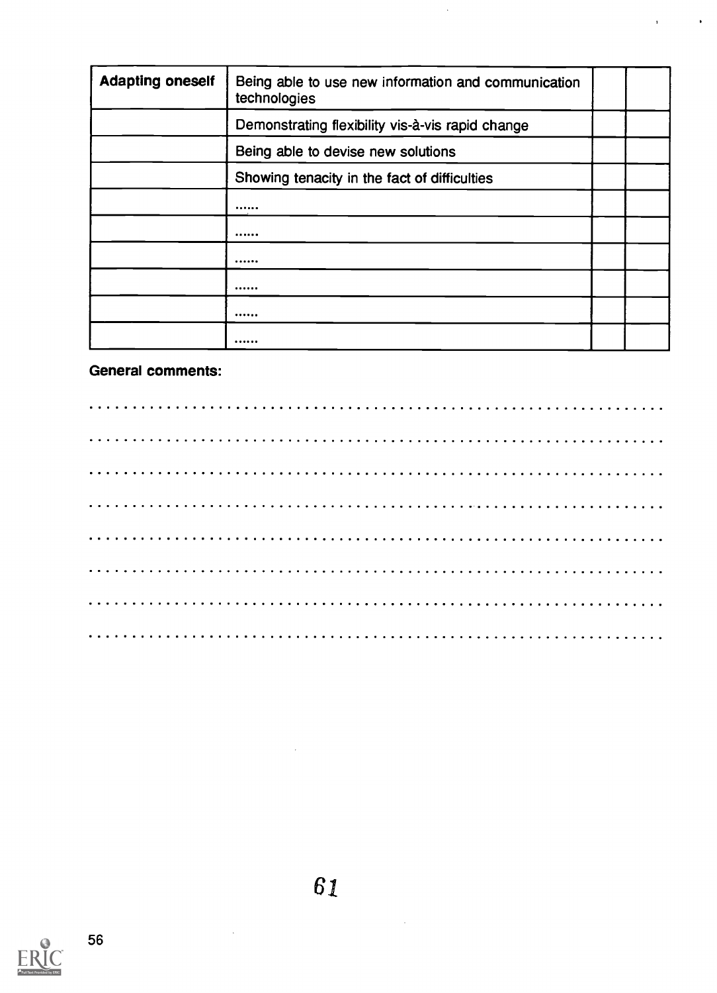| <b>Adapting oneself</b> | Being able to use new information and communication<br>technologies |  |
|-------------------------|---------------------------------------------------------------------|--|
|                         | Demonstrating flexibility vis-à-vis rapid change                    |  |
|                         | Being able to devise new solutions                                  |  |
|                         | Showing tenacity in the fact of difficulties                        |  |
|                         |                                                                     |  |
|                         |                                                                     |  |
|                         |                                                                     |  |
|                         |                                                                     |  |
|                         |                                                                     |  |
|                         |                                                                     |  |

 $\hat{\mathcal{A}}$ 

 $\ddot{\phantom{1}}$ 

 $\mathbf{r}$ 

# General comments:



 $\mathcal{L}_{\mathcal{A}}$ 

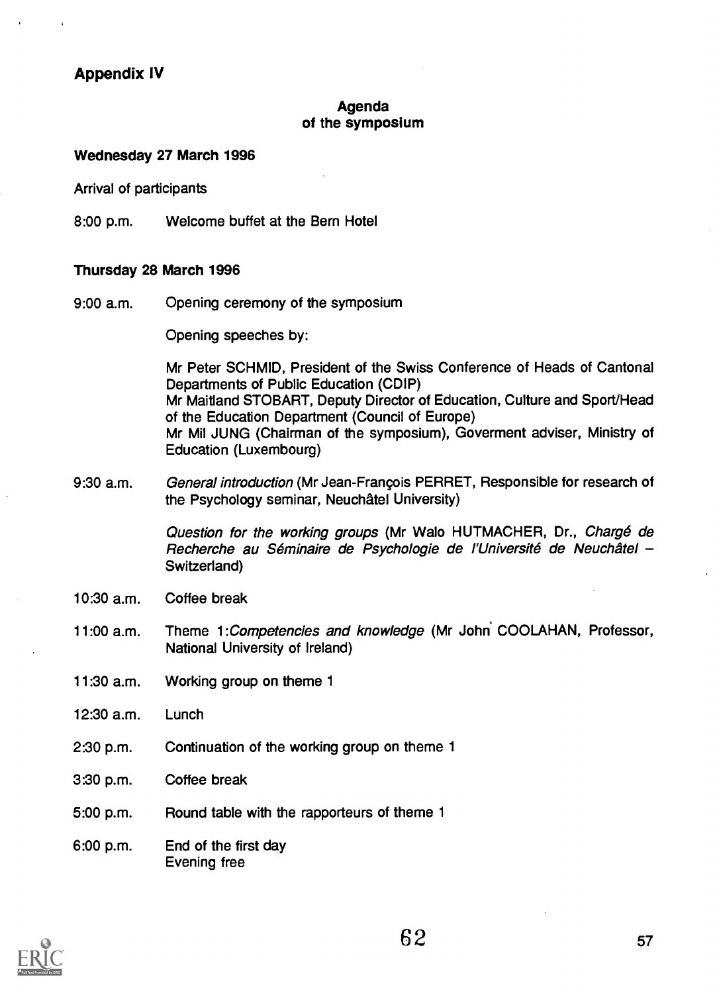Appendix IV

### Agenda of the symposium

#### Wednesday 27 March 1996

Arrival of participants

8:00 p.m. Welcome buffet at the Bern Hotel

### Thursday 28 March 1996

9:00 a.m. Opening ceremony of the symposium

Opening speeches by:

Mr Peter SCHMID, President of the Swiss Conference of Heads of Cantonal Departments of Public Education (CDIP) Mr Maitland STOBART, Deputy Director of Education, Culture and Sport/Head of the Education Department (Council of Europe) Mr Mil JUNG (Chairman of the symposium), Goverment adviser, Ministry of Education (Luxembourg)

9:30 a.m. General introduction (Mr Jean-Frangois PERRET, Responsible for research of the Psychology seminar, Neuchatel University)

> Question for the working groups (Mr Walo HUTMACHER, Dr., Chargé de Recherche au Séminaire de Psychologie de l'Université de Neuchâtel -Switzerland)

- 10:30 a.m. Coffee break
- 11:00 a.m. Theme 1:Competencies and knowledge (Mr John COOLAHAN, Professor, National University of Ireland)
- 11:30 a.m. Working group on theme 1
- 12:30 a.m. Lunch
- 2:30 p.m. Continuation of the working group on theme 1
- 3:30 p.m. Coffee break
- 5:00 p.m. Round table with the rapporteurs of theme 1

6:00 p.m. End of the first day Evening free

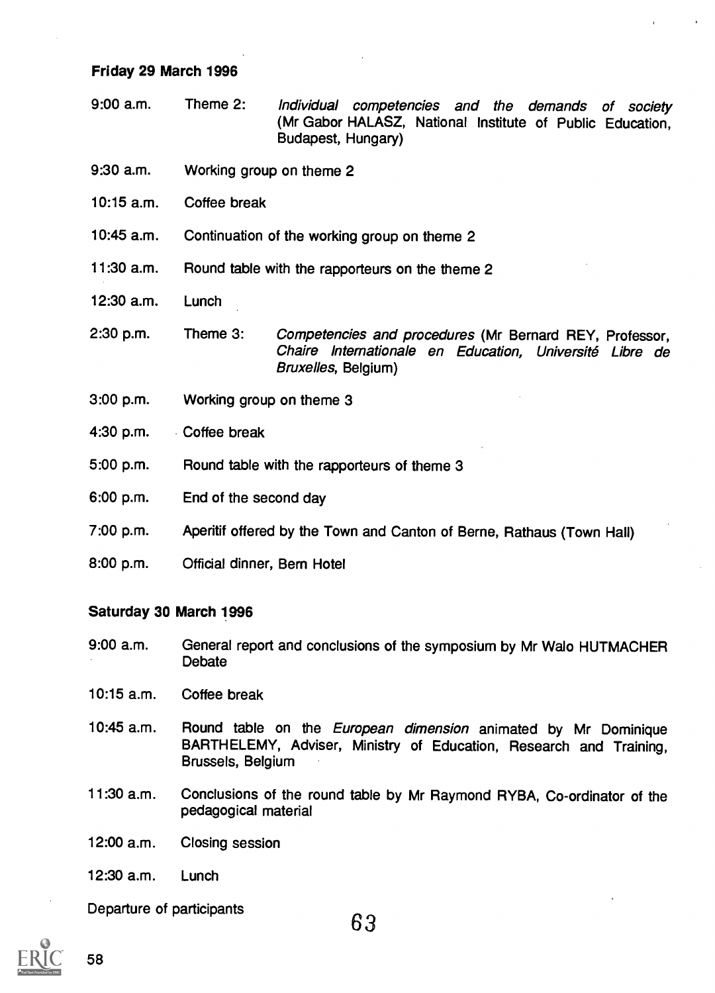# Friday 29 March 1996

- 9:00 a.m. Theme 2: Individual competencies and the demands of society (Mr Gabor HALASZ, National Institute of Public Education, Budapest, Hungary)
- 9:30 a.m. Working group on theme 2
- 10:15 a.m. Coffee break
- 10:45 a.m. Continuation of the working group on theme 2
- 11:30 a.m. Round table with the rapporteurs on the theme 2
- 12:30 a.m. Lunch
- 2:30 p.m. Theme 3: Competencies and procedures (Mr Bernard REY, Professor, Chaire Internationale en Education, Universite Libre de Bruxelles, Belgium)
- 3:00 p.m. Working group on theme 3
- 4:30 p.m. Coffee break
- 5:00 p.m. Round table with the rapporteurs of theme 3
- 6:00 p.m. End of the second day
- 7:00 p.m. Aperitif offered by the Town and Canton of Berne, Rathaus (Town Hall)
- 8:00 p.m. Official dinner, Bern Hotel

# Saturday 30 March 1996

- 9:00 a.m. General report and conclusions of the symposium by Mr Walo HUTMACHER Debate
- 10:15 a.m. Coffee break
- 10:45 a.m. Round table on the European dimension animated by Mr Dominique BARTHELEMY, Adviser, Ministry of Education, Research and Training, Brussels, Belgium
- 11:30 a.m. Conclusions of the round table by Mr Raymond RYBA, Co-ordinator of the pedagogical material
- 12:00 a.m. Closing session
- 12:30 a.m. Lunch

Departure of participants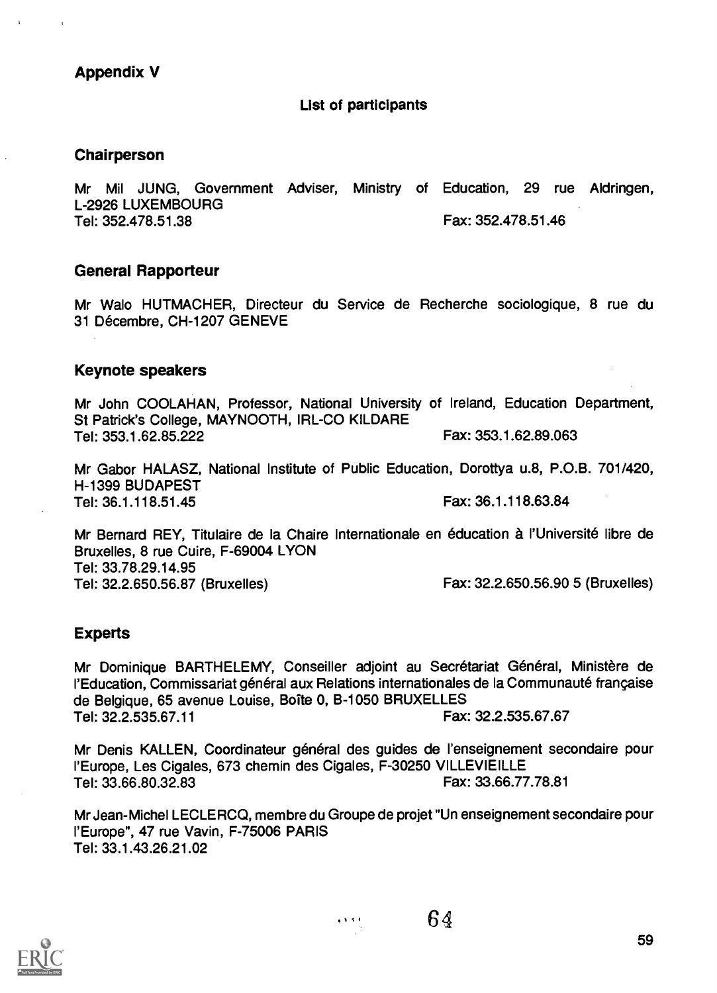# Appendix V

#### List of participants

#### Chairperson

Mr Mil JUNG, Government Adviser, Ministry of Education, 29 rue Aldringen, L-2926 LUXEMBOURG Tel: 352.478.51.38 Fax: 352.478.51.46

### General Rapporteur

Mr Walo HUTMACHER, Directeur du Service de Recherche sociologique, 8 rue du 31 Décembre, CH-1207 GENEVE

### Keynote speakers

Mr John COOLAHAN, Professor, National University of Ireland, Education Department, St Patrick's College, MAYNOOTH, IRL-CO KILDARE<br>Tel: 353.1.62.85.222<br>Fax: 353.1.62.89.063 Tel: 353.1.62.85.222

Mr Gabor HALASZ, National Institute of Public Education, Dorottya u.8, P.O.B. 701/420, H-1399 BUDAPEST Tel: 36.1.118.51.45 Fax: 36.1.118.63.84

Mr Bernard REY, Titulaire de la Chaire Internationale en education a l'Universite libre de Bruxelles, 8 rue Cuire, F-69004 LYON Tel: 33.78.29.14.95 Tel: 32.2.650.56.87 (Bruxelles) Fax: 32.2.650.56.90 5 (Bruxelles)

# Experts

Mr Dominique BARTHELEMY, Conseiller adjoint au Secrétariat Général, Ministère de l'Education, Commissariat général aux Relations internationales de la Communauté française de Belgique, 65 avenue Louise, Boite 0, B-1050 BRUXELLES Tel: 32.2.535.67.11 Fax: 32.2.535.67.67

Mr Denis KALLEN, Coordinateur général des guides de l'enseignement secondaire pour ('Europe, Les Cigales, 673 chemin des Cigales, F-30250 VILLEVIEILLE Tel: 33.66.80.32.83 Fax: 33.66.77.78.81

Mr Jean-Michel LECLERCQ, membre du Groupe de projet "Un enseignement secondaire pour l'Europe", 47 rue Vavin, F-75006 PARIS Tel: 33.1.43.26.21.02

6 N.S.F

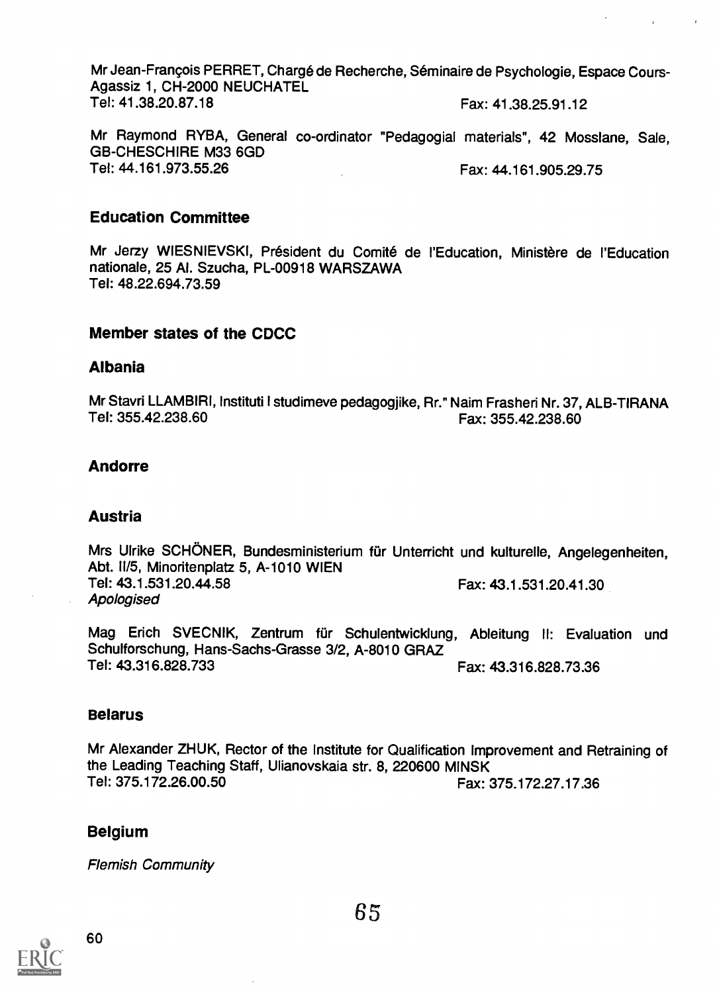Mr Jean-François PERRET, Chargé de Recherche, Séminaire de Psychologie, Espace Cours-Agassiz 1, CH-2000 NEUCHATEL<br>Tel: 41.38.20.87.18 Fax: 41.38.25.91.12

**Contractor** 

 $\sim$  4

Mr Raymond RYBA, General co-ordinator "Pedagogial materials", 42 Mosslane, Sale, GB-CHESCHIRE M33 6GD<br>Tel: 44.161.973.55.26 Fax: 44.161.905.29.75

# Education Committee

Mr Jerzy WIESNIEVSKI, Président du Comité de l'Education, Ministère de l'Education nationale, 25 Al. Szucha, PL-00918 WARSZAWA Tel: 48.22.694.73.59

#### Member states of the CDCC

### Albania

Mr Stavri LLAMBIRI, Instituti I studimeve pedagogjike, Rr." Naim Frasheri Nr. 37, ALB-TIRANA<br>Tel: 355.42.238.60<br>Fax: 355.42.238.60 Tel: 355.42.238.60 Fax: 355.42.238.60

# Andorre

#### Austria

Mrs Ulrike SCHONER, Bundesministerium fur Unterricht und kulturelle, Angelegenheiten, Abt. 11/5, Minoritenplatz 5, A-1010 WIEN<br>Tel: 43.1.531.20.44.58 Fax: 43.1.531.20.41.30 Apologised

Mag Erich SVECNIK, Zentrum für Schulentwicklung, Ableitung II: Evaluation und Schulforschung, Hans-Sachs-Grasse 3/2, A-8010 GRAZ<br>Tel: 43.316.828.733 Fax: 43.316.828.73.36

# Belarus

Mr Alexander ZHUK, Rector of the Institute for Qualification Improvement and Retraining of the Leading Teaching Staff, Ulianovskaia str. 8, 220600 MINSK Tel: 375.172.26.00.50 Fax: 375.172.27.17.36

# Belgium

Flemish Community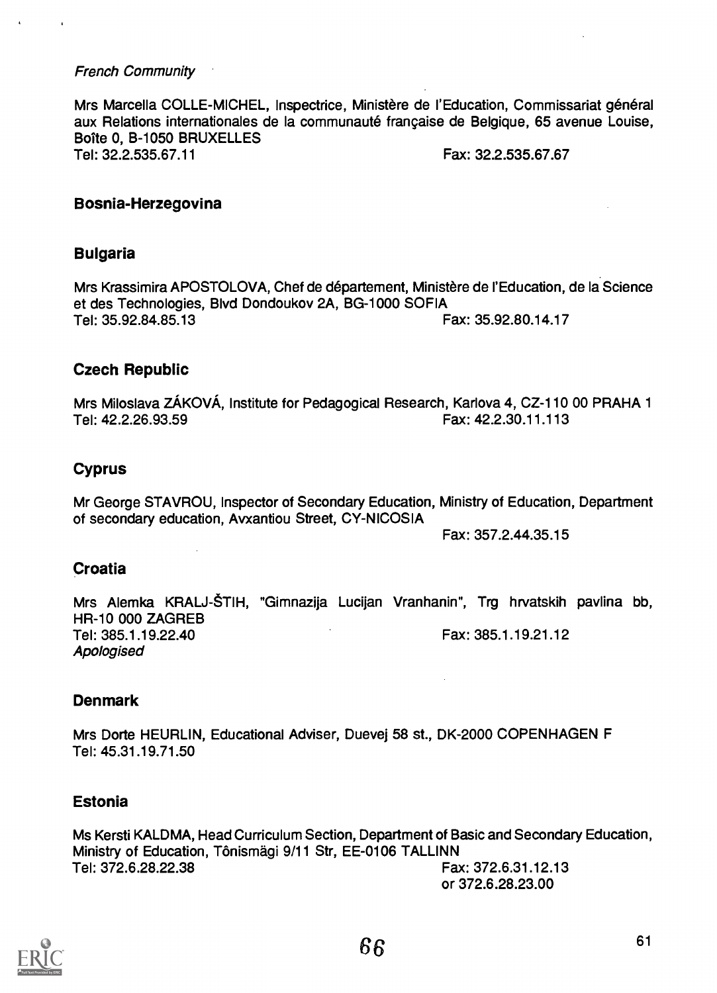# French Community

Mrs Marcella COLLE-MICHEL, Inspectrice, Ministère de l'Education, Commissariat général aux Relations internationales de la communaute frangaise de Belgique, 65 avenue Louise, Boîte 0, B-1050 BRUXELLES<br>Tel: 32.2.535.67.11 Fax: 32.2.535.67.67

#### Bosnia-Herzegovina

# Bulgaria

Mrs Krassimira APOSTOLOVA, Chef de departement, Ministere de ['Education, de la Science et des Technologies, Blvd Dondoukov 2A, BG-1000 SOFIA<br>Tel: 35.92.84.85.13 Fax: 35.92.80.14.17

# Czech Republic

Mrs Miloslava ZÁKOVÁ, Institute for Pedagogical Research, Karlova 4, CZ-110 00 PRAHA 1 Tel: 42.2.26.93.59 Fax: 42.2.30.11.113

# Cyprus

Mr George STAVROU, Inspector of Secondary Education, Ministry of Education, Department of secondary education, Avxantiou Street, CY-NICOSIA

Fax: 357.2.44.35.15

# **Croatia**

Mrs Alemka KRALJ-ŠTIH, "Gimnazija Lucijan Vranhanin", Trg hrvatskih pavlina bb, HR-10 000 ZAGREB Tel: 385.1.19.22.40 Fax: 385.1.19.21.12 Apologised

# Denmark

Mrs Dorte HEURLIN, Educational Adviser, Duevej 58 st., DK-2000 COPENHAGEN F Tel: 45.31.19.71.50

# Estonia

Ms Kersti KALDMA, Head Curriculum Section, Department of Basic and Secondary Education, Ministry of Education, Tonismagi 9/11 Str, EE-0106 TALLINN Fax: 372.6.31.12.13

or 372.6.28.23.00

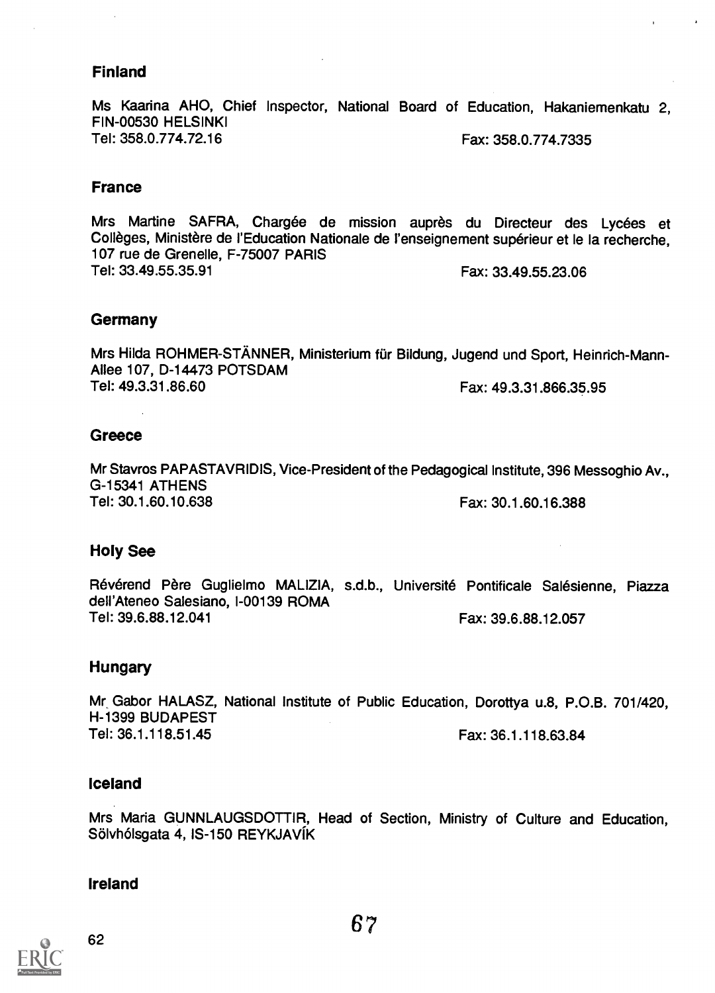# Finland

Ms Kaarina AHO, Chief Inspector, National Board of Education, Hakaniemenkatu 2, FIN-00530 HELSINKI Tel: 358.0.774.72.16 Fax: 358.0.774.7335

#### France

Mrs Martine SAFRA, Chargée de mission auprès du Directeur des Lycées et Collèges, Ministère de l'Education Nationale de l'enseignement supérieur et le la recherche, 107 rue de Grenelle, F-75007 PARIS Tel: 33.49.55.35.91 Fax: 33.49.55.23.06

### **Germany**

Mrs Hilda ROHMER-STÄNNER, Ministerium für Bildung, Jugend und Sport, Heinrich-Mann-Allee 107, D-14473 POTSDAM Tel: 49.3.31.86.60 Fax: 49.3.31.866.35.95

# **Greece**

Mr Stavros PAPASTAVRIDIS, Vice-President of the Pedagogical Institute, 396 Messoghio Av., G-15341 ATHENS Tel: 30.1.60.10.638 Fax: 30.1.60.16.388

# Holy See

Révérend Père Guglielmo MALIZIA, s.d.b., Université Pontificale Salésienne, Piazza dell'Ateneo Salesiano, 1-00139 ROMA Tel: 39.6.88.12.041 Fax: 39.6.88.12.057

# Hungary

Mr Gabor HALASZ, National Institute of Public Education, Dorottya u.8, P.O.B. 701/420, H-1399 BUDAPEST Tel: 36.1.118.51.45 Fax: 36.1.118.63.84

#### Iceland

Mrs Maria GUNNLAUGSDOTTIR, Head of Section, Ministry of Culture and Education, Sölvhólsgata 4, IS-150 REYKJAVÍK

# Ireland

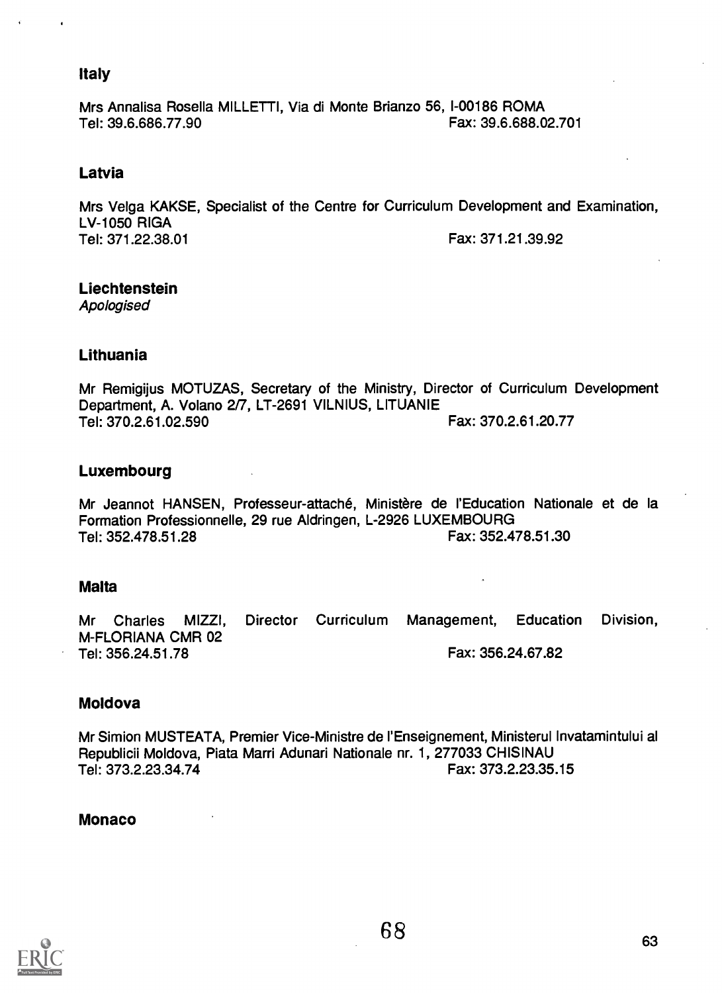# Italy

Mrs Annalisa Rosella MILLETTI, Via di Monte Brianzo 56, 1-00186 ROMA Tel: 39.6.686.77.90 **Fax: 39.6.688.02.701** 

# Latvia

Mrs Velga KAKSE, Specialist of the Centre for Curriculum Development and Examination, LV-1050 RIGA<br>Tel: 371.22.38.01 Fax: 371.21.39.92

# Liechtenstein

Apologised

# Lithuania

Mr Remigijus MOTUZAS, Secretary of the Ministry, Director of Curriculum Development Department, A. Volano 2/7, LT-2691 VILNIUS, LITUANIE Tel: 370.2.61.02.590 Fax: 370.2.61.20.77

# Luxembourg

Mr Jeannot HANSEN, Professeur-attaché, Ministère de l'Education Nationale et de la Formation Professionnelle, 29 rue Aldringen, L-2926 LUXEMBOURG Tel: 352.478.51.28 Fax: 352.478.51.30

# Malta

Mr Charles MIZZI, Director Curriculum Management, Education Division, M-FLORIANA CMR 02 Tel: 356.24.51.78 Fax: 356.24.67.82

# Moldova

Mr Simion MUSTEATA, Premier Vice-Ministre de l'Enseignement, Ministerul Invatamintului al Republicii Moldova, Piata Marri Adunari Nationale nr. 1, 277033 CHISINAU Tel: 373.2.23.34.74

# Monaco

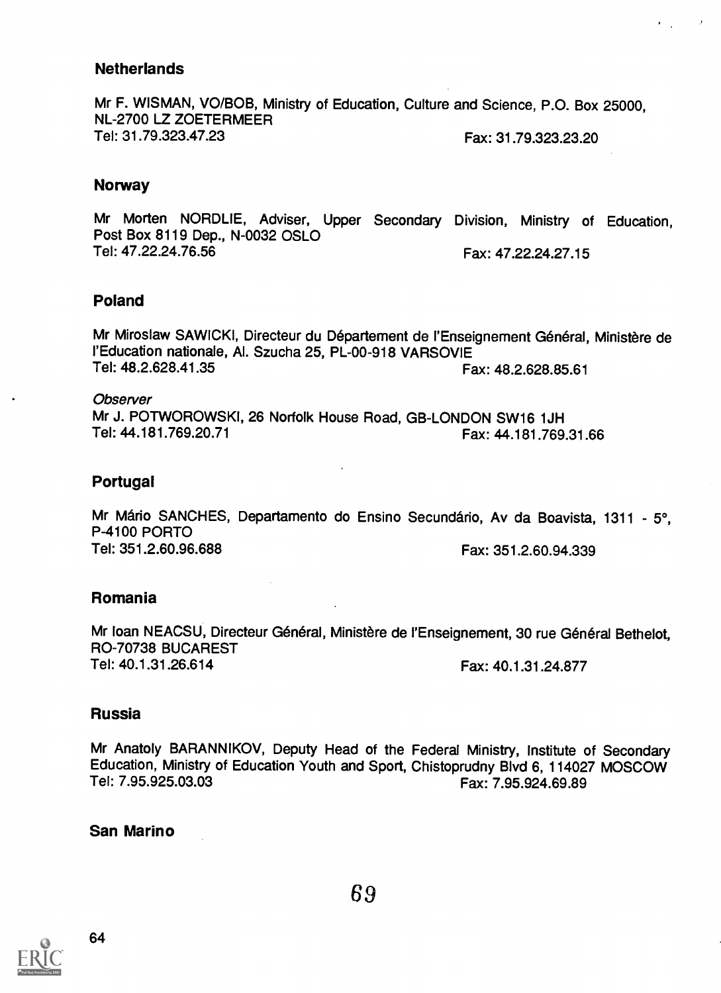# **Netherlands**

Mr F. WISMAN, VO/BOB, Ministry of Education, Culture and Science, P.O. Box 25000, NL-2700 LZ ZOETERMEER<br>Tel: 31.79.323.47.23 Fax: 31.79.323.23.20

# Norway

Mr Morten NORDLIE, Adviser, Upper Secondary Division, Ministry of Education, Post Box 8119 Dep., N-0032 OSLO Fax: 47.22.24.27.15

# Poland

Mr Miroslaw SAWICKI, Directeur du Département de l'Enseignement Général, Ministère de ('Education nationale, Al. Szucha 25, PL-00-918 VARSOVIE Fax: 48.2.628.85.61

**Observer** Mr J. POTWOROWSKI, 26 Norfolk House Road, GB-LONDON SW16 1JH<br>Tel: 44.181.769.20.71 Fax: 44 181 769 Fax: 44.181.769.31.66

# Portugal

Mr Mário SANCHES, Departamento do Ensino Secundário, Av da Boavista, 1311 - 5°, P-4100 PORTO<br>Tel: 351.2.60.96.688 Fax: 351.2.60.94.339

# Romania

Mr Ioan NEACSU, Directeur Général, Ministère de l'Enseignement, 30 rue Général Bethelot, RO-70738 BUCAREST

#### Fax: 40.1.31.24.877

 $\sim$  10  $\mu$ 

 $\mathbf{E} = \mathbf{E} \mathbf{E}$ 

# Russia

Mr Anatoly BARANNIKOV, Deputy Head of the Federal Ministry, Institute of Secondary Education, Ministry of Education Youth and Sport, Chistoprudny Blvd 6, 114027 MOSCOW<br>Tel: 7.95.925.03.03 Fax: 7.95.924.69.89

# San Marino

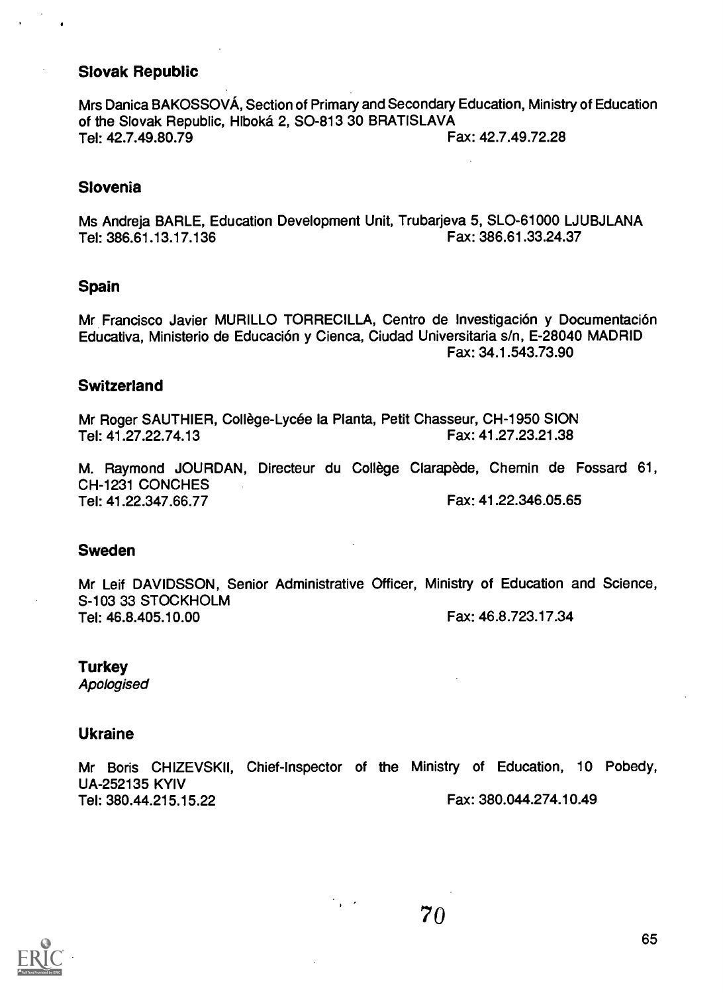### Slovak Republic

Mrs Danica BAKOSSOVA, Section of Primary and Secondary Education, Ministry of Education of the Slovak Republic, Hlboka 2, SO-813 30 BRATISLAVA Tel: 42.7.49.80.79 Fax: 42.7.49.72.28

#### Slovenia

Ms Andreja BARLE, Education Development Unit, Trubarjeva 5, SLO-61000 LJUBJLANA Tel: 386.61.13.17.136 Fax: 386.61.33.24.37

#### Spain

Mr Francisco Javier MURILLO TORRECILLA, Centro de Investigación y Documentación Educativa, Ministerio de Educacion y Cienca, Ciudad Universitaria s/n, E-28040 MADRID Fax: 34.1.543.73.90

#### **Switzerland**

Mr Roger SAUTHIER, College-Lycee la Planta, Petit Chasseur, CH-1950 SION Tel: 41.27.22.74.13 Fax: 41.27.23.21.38

M. Raymond JOURDAN, Directeur du College Clarapede, Chemin de Fossard 61, CH-1231 CONCHES Tel: 41.22.347.66.77 Fax: 41.22.346.05.65

#### Sweden

Mr Leif DAVIDSSON, Senior Administrative Officer, Ministry of Education and Science, S-103 33 STOCKHOLM Tel: 46.8.405.10.00 Fax: 46.8.723.17.34

**Turkey** 

Apologised

#### Ukraine

Mr Boris CHIZEVSKII, Chief-Inspector of the Ministry of Education, 10 Pobedy, UA-252135 KYIV Tel: 380.44.215.15.22 Fax: 380.044.274.10.49

 $\mathcal{O}_{\mathbf{p}}$  ,  $\mathcal{O}_{\mathbf{p}}$ 



7o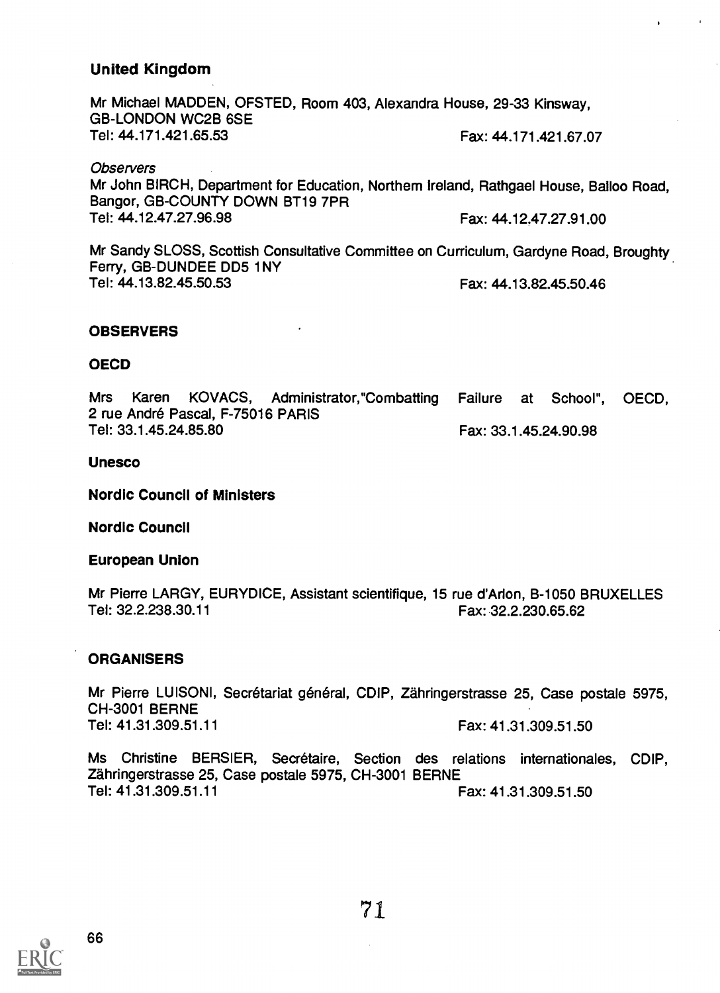# United Kingdom

Mr Michael MADDEN, OFSTED, Room 403, Alexandra House, 29-33 Kinsway, GB-LONDON WC2B 6SE<br>Tel: 44.171.421.65.53 Fax: 44.171.421.67.07

**Observers** Mr John BIRCH, Department for Education, Northern Ireland, Rathgael House, Balloo Road, Bangor, GB-COUNTY DOWN BT19 7PR<br>Tel: 44.12.47.27.96.98 Fax: 44.12.47.27.91.00

 $\mathbf{r}$ 

Mr Sandy SLOSS, Scottish Consultative Committee on Curriculum, Gardyne Road, Broughty Ferry, GB-DUNDEE DD5 1NY Tel: 44.13.82.45.50.53 Fax: 44.13.82.45.50.46

#### **OBSERVERS**

#### OECD

Mrs Karen KOVACS, Administrator,"Combatting Failure at School", OECD, 2 rue André Pascal, F-75016 PARIS<br>Tel: 33.1.45.24.85.80 Fax: 33.1.45.24.90.98

#### Unesco

Nordic Council of Ministers

Nordic Council

European Union

Mr Pierre LARGY, EURYDICE, Assistant scientifique, 15 rue d'Arion, B-1050 BRUXELLES<br>Fax: 32.2.238.30.11<br>Fax: 32.2.238.30.11 Fax: 32.2.230.65.62

#### **ORGANISERS**

Mr Pierre LUISONI, Secrétariat général, CDIP, Zähringerstrasse 25, Case postale 5975, CH-3001 BERNE<br>Tel: 41.31.309.51.11 Fax: 41.31.309.51.50

Ms Christine BERSIER, Secrétaire, Section des relations internationales, CDIP, Zahringerstrasse 25, Case postale 5975, CH-3001 BERNE Tel: 41.31.309.51.11 **Fax: 41.31.309.51.50** 

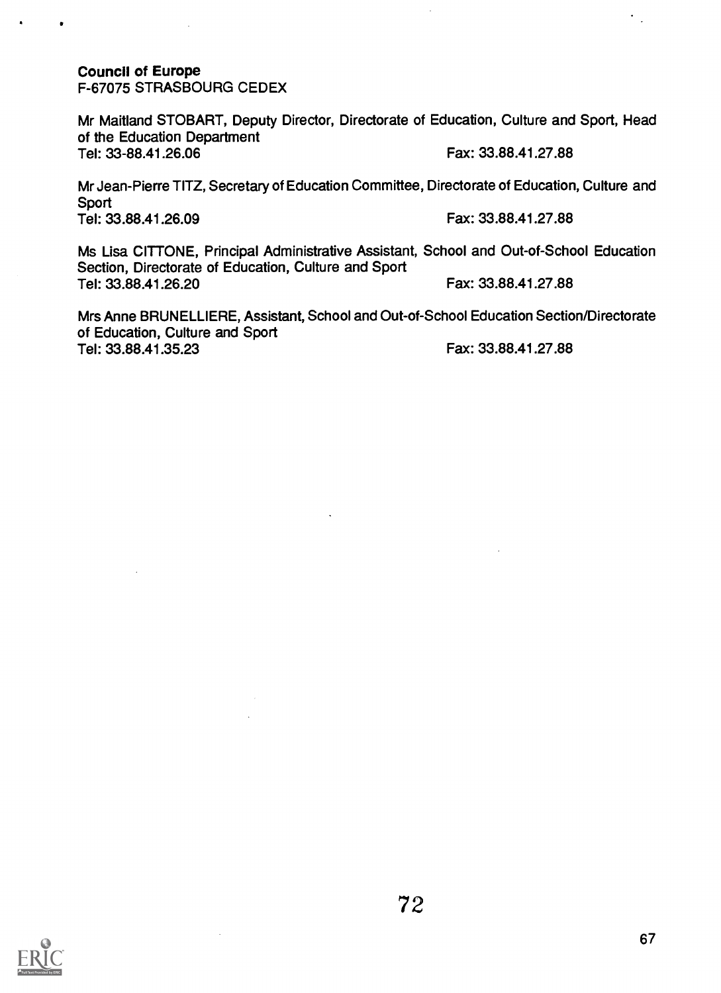# Council of Europe

F-67075 STRASBOURG CEDEX

Mr Maitland STOBART, Deputy Director, Directorate of Education, Culture and Sport, Head of the Education Department Tel: 33-88.41.26.06 Fax: 33.88.41.27.88

Mr Jean-Pierre TITZ, Secretary of Education Committee, Directorate of Education, Culture and **Sport** Tel: 33.88.41.26.09 Fax: 33.88.41.27.88

Ms Lisa CITTONE, Principal Administrative Assistant, School and Out-of-School Education Section, Directorate of Education, Culture and Sport Tel: 33.88.41.26.20 Fax: 33.88.41.27.88

Mrs Anne BRUNELLIERE, Assistant, School and Out-of-School Education Section/Directorate of Education, Culture and Sport Tel: 33.88.41.35.23 Fax: 33.88.41.27.88